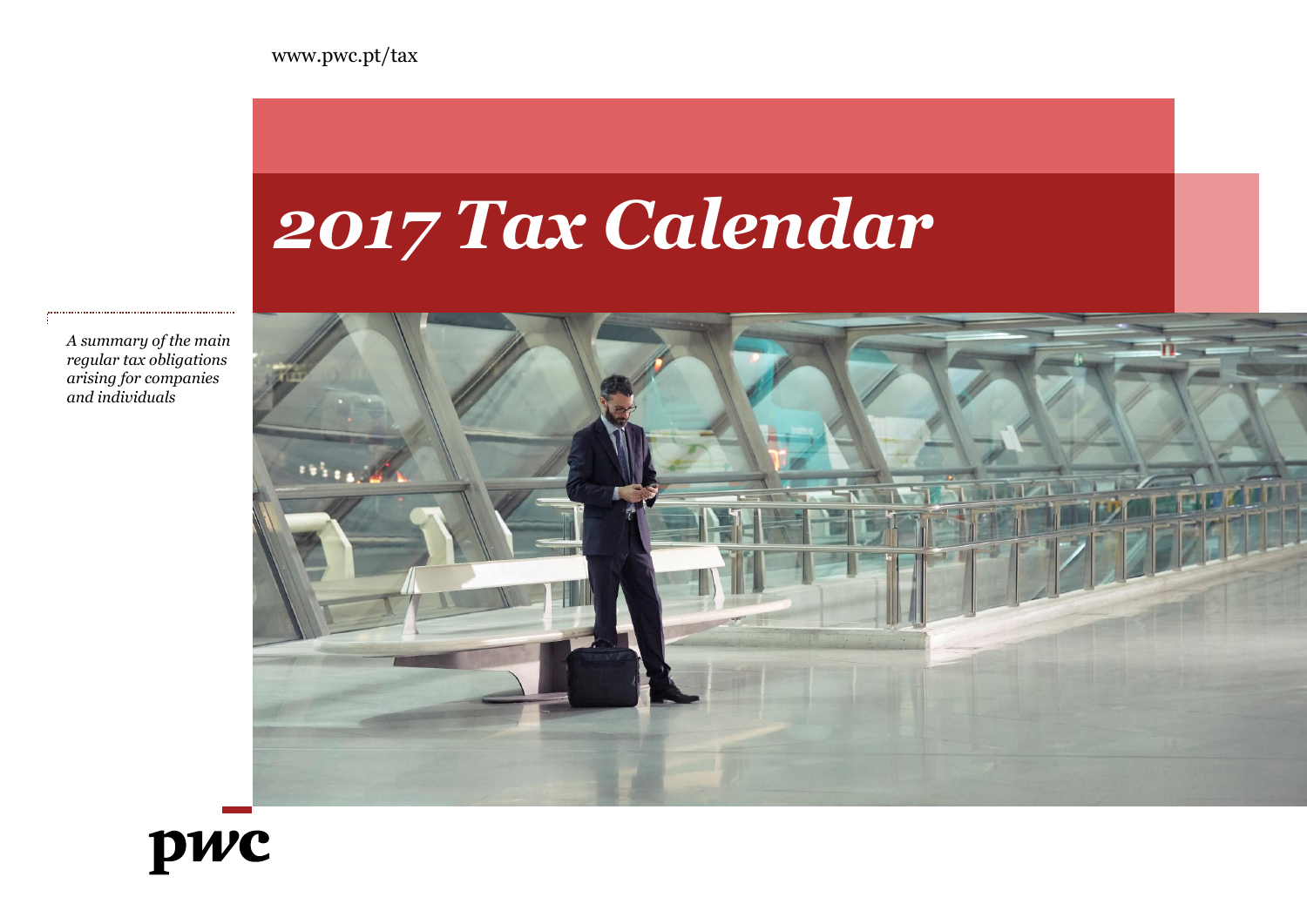

*A summary of the main regular tax obligations arising for companies and individuals*

# pwc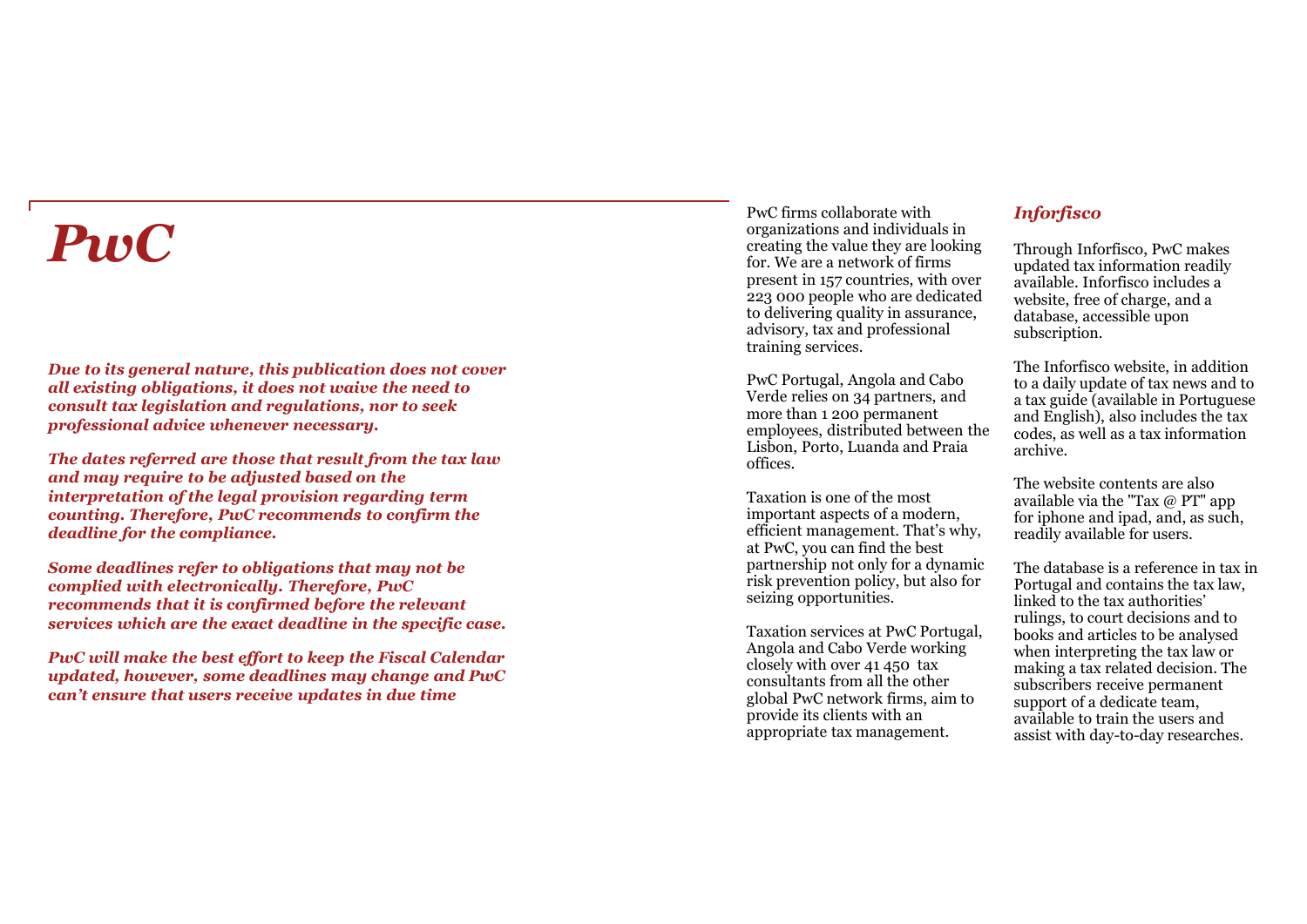# *PwC*

*Due to its general nature, this publication does not cover all existing obligations, it does not waive the need to consult tax legislation and regulations, nor to seek professional advice whenever necessary.* 

*The dates referred are those that result from the tax law and may require to be adjusted based on the interpretation of the legal provision regarding term counting. Therefore, PwC recommends to confirm the deadline for the compliance.*

*Some deadlines refer to obligations that may not be complied with electronically. Therefore, PwC recommends that it is confirmed before the relevant services which are the exact deadline in the specific case.*

*PwC will make the best effort to keep the Fiscal Calendar updated, however, some deadlines may change and PwC can't ensure that users receive updates in due time*

PwC firms collaborate with organizations and individuals in creating the value they are looking for. We are a network of firms present in 157 countries, with over 223 000 people who are dedicated to delivering quality in assurance, advisory, tax and professional training services.

PwC Portugal, Angola and Cabo Verde relies on 34 partners, and more than 1 200 permanent employees, distributed between the Lisbon, Porto, Luanda and Praia offices.

Taxation is one of the most important aspects of a modern, efficient management. That's why, at PwC, you can find the best partnership not only for a dynamic risk prevention policy, but also for seizing opportunities.

Taxation services at PwC Portugal, Angola and Cabo Verde working closely with over 41 450 tax consultants from all the other global PwC network firms, aim to provide its clients with an appropriate tax management.

## *Inforfisco*

Through Inforfisco, PwC makes updated tax information readily available. Inforfisco includes a website, free of charge, and a database, accessible upon subscription.

The Inforfisco website, in addition to a daily update of tax news and to a tax guide (available in Portuguese and English), also includes the tax codes, as well as a tax information archive.

The website contents are also available via the "Tax @ PT" app for iphone and ipad, and, as such, readily available for users.

The database is a reference in tax in Portugal and contains the tax law, linked to the tax authorities' rulings, to court decisions and to books and articles to be analysed when interpreting the tax law or making a tax related decision. The subscribers receive permanent support of a dedicate team, available to train the users and assist with day -to -day researches.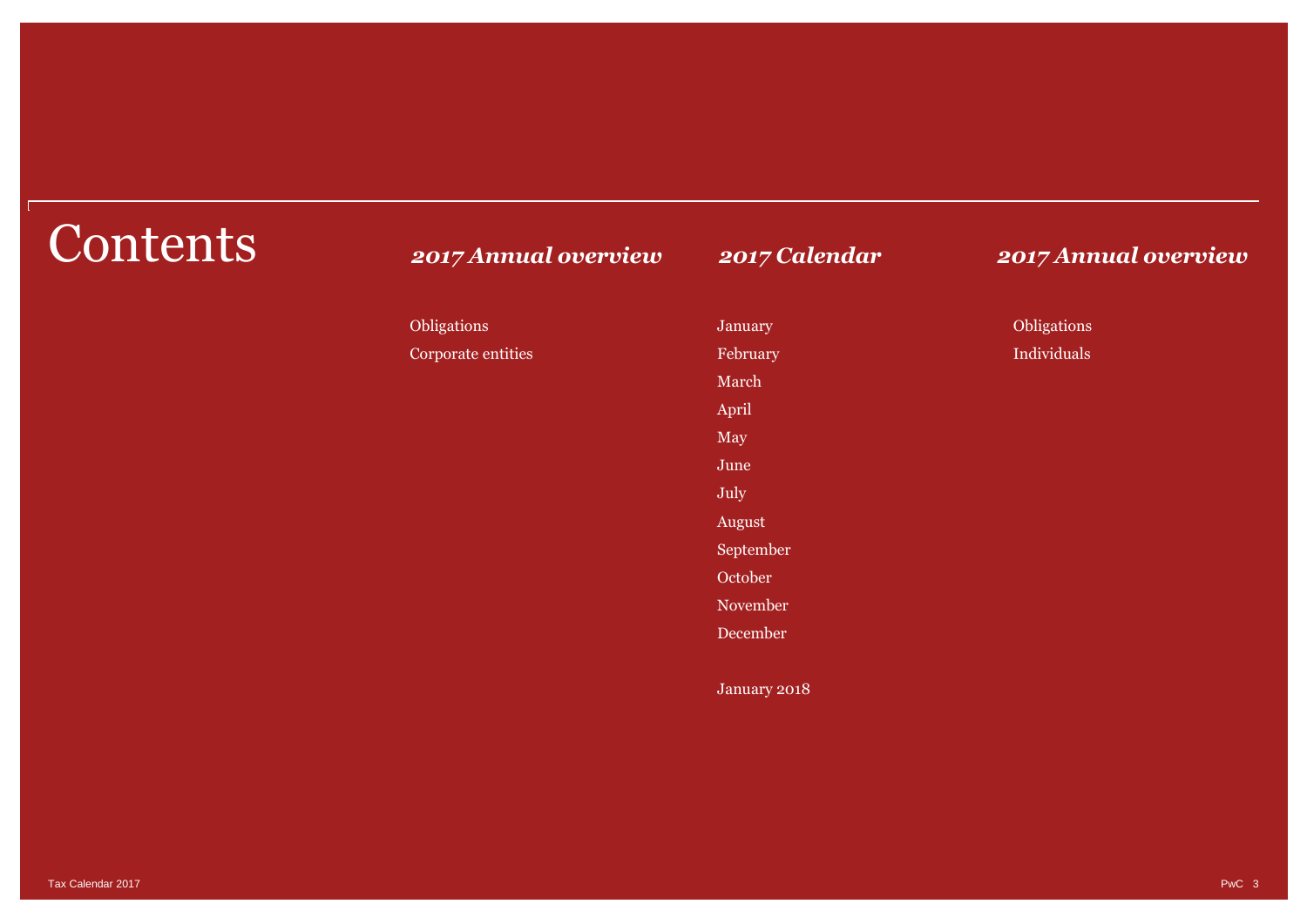| 2017 Annual overview | 2017 Calendar | 2017 Annual overview |
|----------------------|---------------|----------------------|
| Obligations          | January       | Obligations          |
| Corporate entities   | February      | Individuals          |
|                      | March         |                      |
|                      | April         |                      |
|                      | May           |                      |
|                      | June          |                      |
|                      | July          |                      |
|                      | August        |                      |
|                      | September     |                      |
|                      | October       |                      |
|                      | November      |                      |
|                      | December      |                      |
|                      | January 2018  |                      |
|                      |               |                      |

# **Contents**

Tax Calendar 2017 PwC 3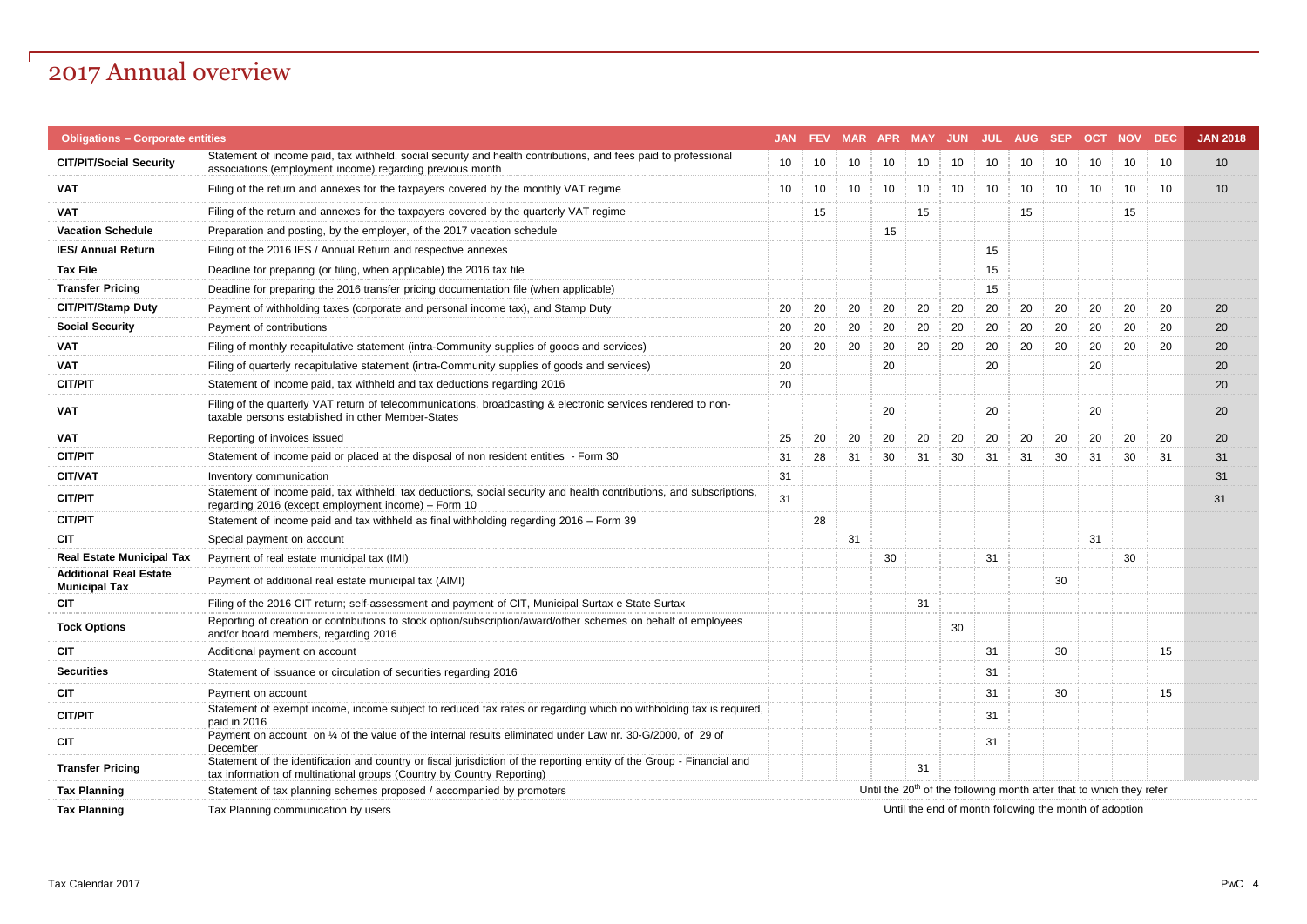## 2017 Annual overview

| <b>Obligations - Corporate entities</b>               |                                                                                                                                                                                                   |    |    |    |    |    |    |    | JAN FEV MAR APR MAY JUN JUL AUG SEP OCT NOV                                      |    |    |    | <b>DEC</b> | <b>JAN 2018</b> |
|-------------------------------------------------------|---------------------------------------------------------------------------------------------------------------------------------------------------------------------------------------------------|----|----|----|----|----|----|----|----------------------------------------------------------------------------------|----|----|----|------------|-----------------|
| <b>CIT/PIT/Social Security</b>                        | Statement of income paid, tax withheld, social security and health contributions, and fees paid to professional<br>associations (employment income) regarding previous month                      | 10 | 10 | 10 | 10 | 10 | 10 | 10 | 10                                                                               | 10 | 10 | 10 | 10         | 10              |
| <b>VAT</b>                                            | Filing of the return and annexes for the taxpayers covered by the monthly VAT regime                                                                                                              | 10 | 10 | 10 | 10 | 10 | 10 | 10 | 10                                                                               | 10 | 10 | 10 | 10         | 10              |
| <b>VAT</b>                                            | Filing of the return and annexes for the taxpayers covered by the quarterly VAT regime                                                                                                            |    | 15 |    |    | 15 |    |    | 15                                                                               |    |    | 15 |            |                 |
| <b>Vacation Schedule</b>                              | Preparation and posting, by the employer, of the 2017 vacation schedule                                                                                                                           |    |    |    | 15 |    |    |    |                                                                                  |    |    |    |            |                 |
| <b>IES/ Annual Return</b>                             | Filing of the 2016 IES / Annual Return and respective annexes                                                                                                                                     |    |    |    |    |    |    | 15 |                                                                                  |    |    |    |            |                 |
| <b>Tax File</b>                                       | Deadline for preparing (or filing, when applicable) the 2016 tax file                                                                                                                             |    |    |    |    |    |    | 15 |                                                                                  |    |    |    |            |                 |
| <b>Transfer Pricing</b>                               | Deadline for preparing the 2016 transfer pricing documentation file (when applicable)                                                                                                             |    |    |    |    |    |    | 15 |                                                                                  |    |    |    |            |                 |
| CIT/PIT/Stamp Duty                                    | Payment of withholding taxes (corporate and personal income tax), and Stamp Duty                                                                                                                  | 20 | 20 | 20 | 20 | 20 | 20 | 20 | 20                                                                               | 20 | 20 | 20 | 20         | 20              |
| <b>Social Security</b>                                | Payment of contributions                                                                                                                                                                          | 20 | 20 | 20 | 20 | 20 | 20 | 20 | 20                                                                               | 20 | 20 | 20 | 20         | 20              |
| <b>VAT</b>                                            | Filing of monthly recapitulative statement (intra-Community supplies of goods and services)                                                                                                       | 20 | 20 | 20 | 20 | 20 | 20 | 20 | 20                                                                               | 20 | 20 | 20 | 20         | 20              |
| <b>VAT</b>                                            | Filing of quarterly recapitulative statement (intra-Community supplies of goods and services)                                                                                                     | 20 |    |    | 20 |    |    | 20 |                                                                                  |    | 20 |    |            | 20              |
| <b>CIT/PIT</b>                                        | Statement of income paid, tax withheld and tax deductions regarding 2016                                                                                                                          | 20 |    |    |    |    |    |    |                                                                                  |    |    |    |            | 20              |
| VAT                                                   | Filing of the quarterly VAT return of telecommunications, broadcasting & electronic services rendered to non-<br>taxable persons established in other Member-States                               |    |    |    | 20 |    |    | 20 |                                                                                  |    | 20 |    |            | 20              |
| <b>VAT</b>                                            | Reporting of invoices issued                                                                                                                                                                      | 25 | 20 | 20 | 20 | 20 | 20 | 20 | 20                                                                               | 20 | 20 | 20 | 20         | 20              |
| <b>CIT/PIT</b>                                        | Statement of income paid or placed at the disposal of non resident entities - Form 30                                                                                                             | 31 | 28 | 31 | 30 | 31 | 30 | 31 | 31                                                                               | 30 | 31 | 30 | 31         | 31              |
| <b>CIT/VAT</b>                                        | Inventory communication                                                                                                                                                                           | 31 |    |    |    |    |    |    |                                                                                  |    |    |    |            | 31              |
| <b>CIT/PIT</b>                                        | Statement of income paid, tax withheld, tax deductions, social security and health contributions, and subscriptions,<br>regarding 2016 (except employment income) - Form 10                       | 31 |    |    |    |    |    |    |                                                                                  |    |    |    |            | 31              |
| <b>CIT/PIT</b>                                        | Statement of income paid and tax withheld as final withholding regarding 2016 - Form 39                                                                                                           |    | 28 |    |    |    |    |    |                                                                                  |    |    |    |            |                 |
| <b>CIT</b>                                            | Special payment on account                                                                                                                                                                        |    |    | 31 |    |    |    |    |                                                                                  |    | 31 |    |            |                 |
| <b>Real Estate Municipal Tax</b>                      | Payment of real estate municipal tax (IMI)                                                                                                                                                        |    |    |    | 30 |    |    | 31 |                                                                                  |    |    | 30 |            |                 |
| <b>Additional Real Estate</b><br><b>Municipal Tax</b> | Payment of additional real estate municipal tax (AIMI)                                                                                                                                            |    |    |    |    |    |    |    |                                                                                  | 30 |    |    |            |                 |
| <b>CIT</b>                                            | Filing of the 2016 CIT return; self-assessment and payment of CIT, Municipal Surtax e State Surtax                                                                                                |    |    |    |    | 31 |    |    |                                                                                  |    |    |    |            |                 |
| <b>Tock Options</b>                                   | Reporting of creation or contributions to stock option/subscription/award/other schemes on behalf of employees<br>and/or board members, regarding 2016                                            |    |    |    |    |    | 30 |    |                                                                                  |    |    |    |            |                 |
| <b>CIT</b>                                            | Additional payment on account                                                                                                                                                                     |    |    |    |    |    |    | 31 |                                                                                  | 30 |    |    | 15         |                 |
| <b>Securities</b>                                     | Statement of issuance or circulation of securities regarding 2016                                                                                                                                 |    |    |    |    |    |    | 31 |                                                                                  |    |    |    |            |                 |
| <b>CIT</b>                                            | Payment on account                                                                                                                                                                                |    |    |    |    |    |    | 31 |                                                                                  | 30 |    |    | 15         |                 |
| <b>CIT/PIT</b>                                        | Statement of exempt income, income subject to reduced tax rates or regarding which no withholding tax is required,<br>paid in 2016                                                                |    |    |    |    |    |    | 31 |                                                                                  |    |    |    |            |                 |
| <b>CIT</b>                                            | Payment on account on 1/4 of the value of the internal results eliminated under Law nr. 30-G/2000, of 29 of<br>December                                                                           |    |    |    |    |    |    | 31 |                                                                                  |    |    |    |            |                 |
| <b>Transfer Pricing</b>                               | Statement of the identification and country or fiscal jurisdiction of the reporting entity of the Group - Financial and<br>tax information of multinational groups (Country by Country Reporting) |    |    |    |    | 31 |    |    |                                                                                  |    |    |    |            |                 |
| <b>Tax Planning</b>                                   | Statement of tax planning schemes proposed / accompanied by promoters                                                                                                                             |    |    |    |    |    |    |    | Until the 20 <sup>th</sup> of the following month after that to which they refer |    |    |    |            |                 |
| <b>Tax Planning</b>                                   | Tax Planning communication by users                                                                                                                                                               |    |    |    |    |    |    |    | Until the end of month following the month of adoption                           |    |    |    |            |                 |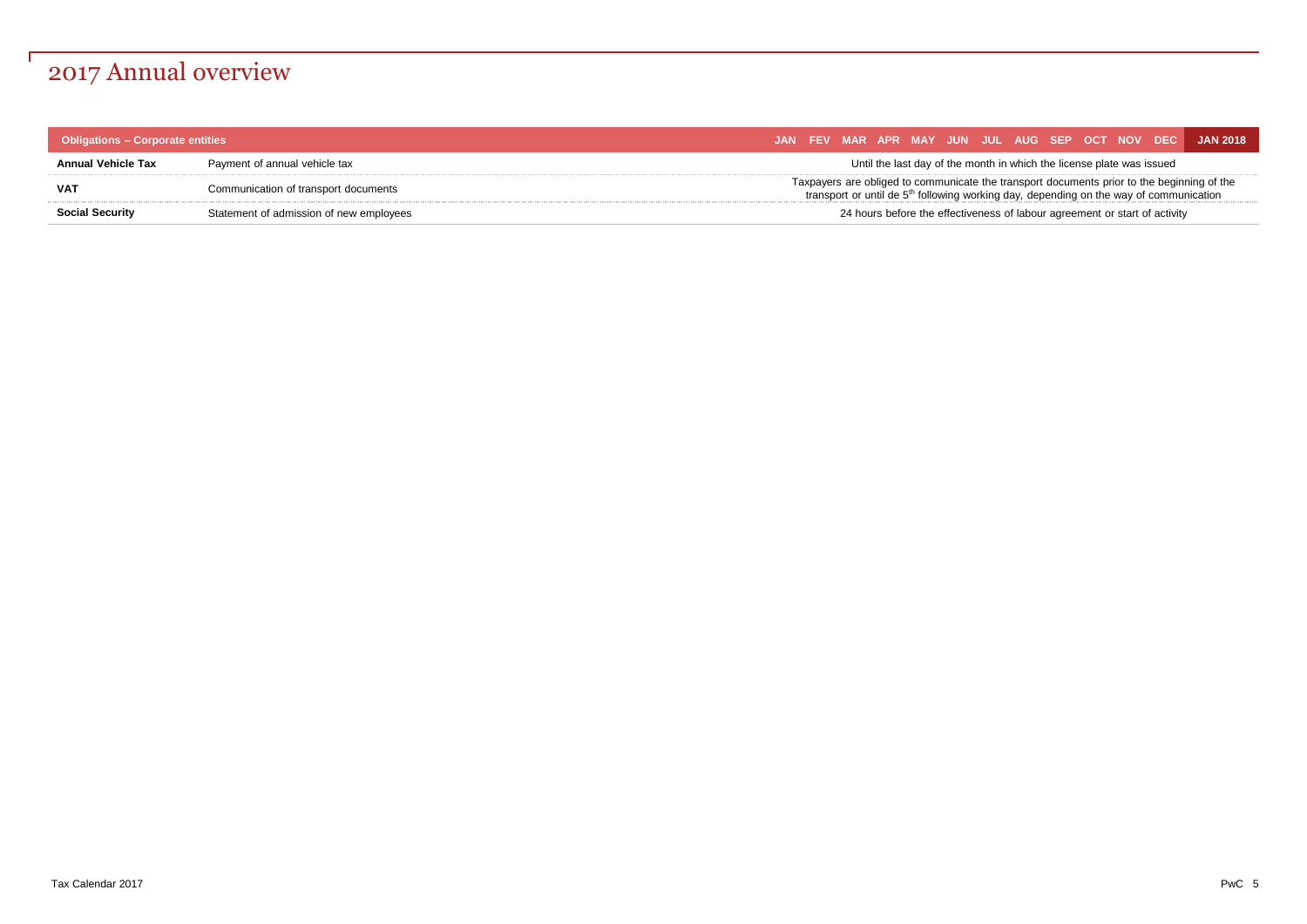## 2017 Annual overview

| <b>Obligations - Corporate entities</b> |                                         |  |  |  |                                                                       |  |                                                                            | JAN FEV MAR APR MAY JUN JUL AUG SEP OCT NOV DEC JAN 2018                                                                                                                               |
|-----------------------------------------|-----------------------------------------|--|--|--|-----------------------------------------------------------------------|--|----------------------------------------------------------------------------|----------------------------------------------------------------------------------------------------------------------------------------------------------------------------------------|
| Annual Vehicle Tax                      | Payment of annual vehicle tax           |  |  |  | Until the last day of the month in which the license plate was issued |  |                                                                            |                                                                                                                                                                                        |
| VAT                                     | Communication of transport documents    |  |  |  |                                                                       |  |                                                                            | Taxpayers are obliged to communicate the transport documents prior to the beginning of the<br>transport or until de $5th$ following working day, depending on the way of communication |
| <b>Social Security</b>                  | Statement of admission of new employees |  |  |  |                                                                       |  | 24 hours before the effectiveness of labour agreement or start of activity |                                                                                                                                                                                        |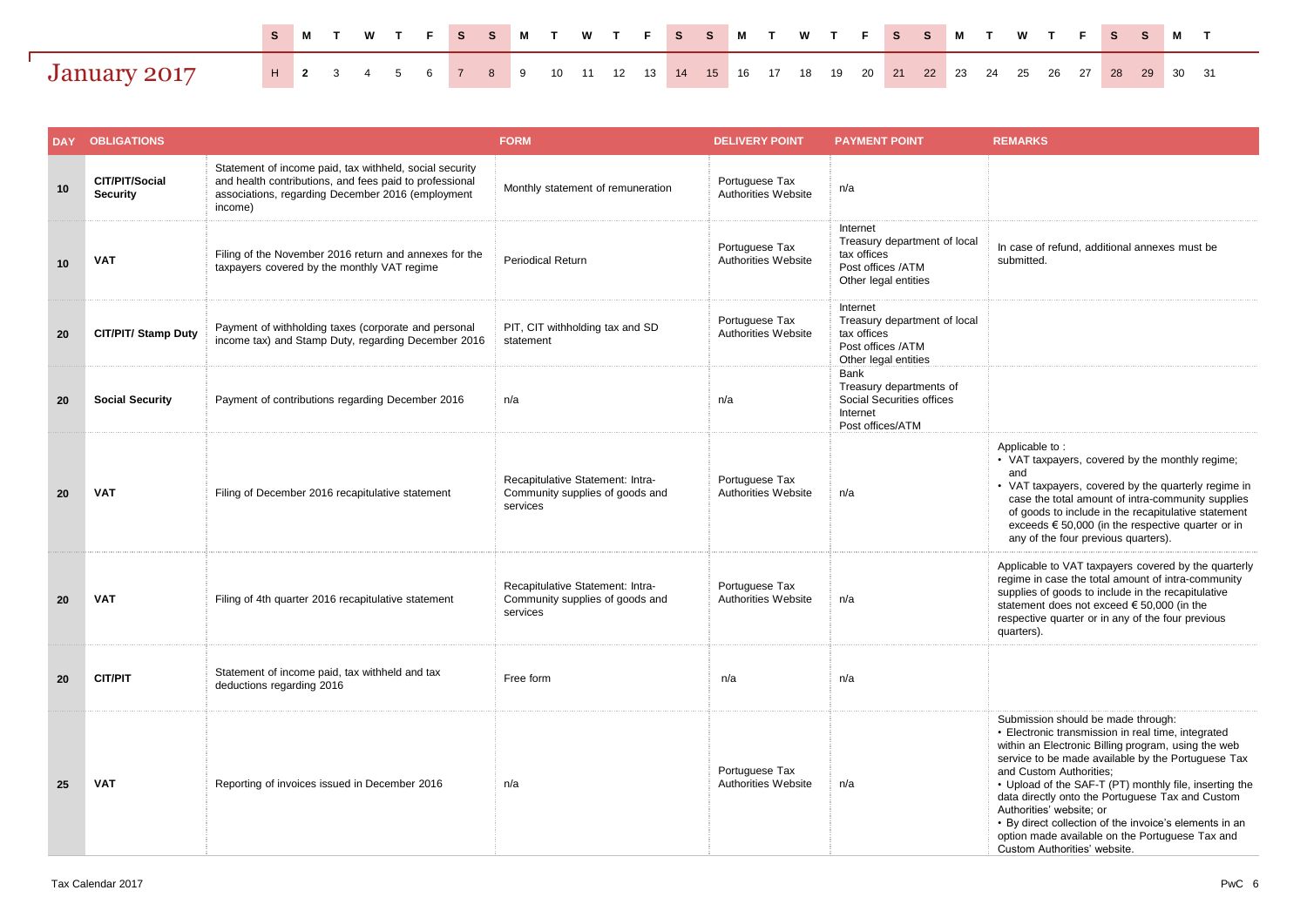|              |  |  |  |  |  |  |  |  |  |  | SMTWTFSSMTWTFSSMTWTFSSMTWTFSSMT                                                            |  |  |  |  |  |
|--------------|--|--|--|--|--|--|--|--|--|--|--------------------------------------------------------------------------------------------|--|--|--|--|--|
| January 2017 |  |  |  |  |  |  |  |  |  |  | <b>H</b> 2 3 4 5 6 7 8 9 10 11 12 13 14 15 16 17 18 19 20 21 22 23 24 25 26 27 28 29 30 31 |  |  |  |  |  |

| <b>DAY</b> | <b>OBLIGATIONS</b>                |                                                                                                                                                                                    | <b>FORM</b>                                                                     | <b>DELIVERY POINT</b>                 | <b>PAYMENT POINT</b>                                                                                 | <b>REMARKS</b>                                                                                                                                                                                                                                                                                                                                                                                                                                                                                                          |
|------------|-----------------------------------|------------------------------------------------------------------------------------------------------------------------------------------------------------------------------------|---------------------------------------------------------------------------------|---------------------------------------|------------------------------------------------------------------------------------------------------|-------------------------------------------------------------------------------------------------------------------------------------------------------------------------------------------------------------------------------------------------------------------------------------------------------------------------------------------------------------------------------------------------------------------------------------------------------------------------------------------------------------------------|
| 10         | CIT/PIT/Social<br><b>Security</b> | Statement of income paid, tax withheld, social security<br>and health contributions, and fees paid to professional<br>associations, regarding December 2016 (employment<br>income) | Monthly statement of remuneration                                               | Portuguese Tax<br>Authorities Website | n/a                                                                                                  |                                                                                                                                                                                                                                                                                                                                                                                                                                                                                                                         |
| 10         | <b>VAT</b>                        | Filing of the November 2016 return and annexes for the<br>taxpayers covered by the monthly VAT regime                                                                              | <b>Periodical Return</b>                                                        | Portuguese Tax<br>Authorities Website | Internet<br>Treasury department of local<br>tax offices<br>Post offices /ATM<br>Other legal entities | In case of refund, additional annexes must be<br>submitted.                                                                                                                                                                                                                                                                                                                                                                                                                                                             |
| 20         | <b>CIT/PIT/ Stamp Duty</b>        | Payment of withholding taxes (corporate and personal<br>income tax) and Stamp Duty, regarding December 2016                                                                        | PIT, CIT withholding tax and SD<br>statement                                    | Portuguese Tax<br>Authorities Website | Internet<br>Treasury department of local<br>tax offices<br>Post offices /ATM<br>Other legal entities |                                                                                                                                                                                                                                                                                                                                                                                                                                                                                                                         |
| 20         | <b>Social Security</b>            | Payment of contributions regarding December 2016                                                                                                                                   | n/a                                                                             | n/a                                   | Bank<br>Treasury departments of<br>Social Securities offices<br>Internet<br>Post offices/ATM         |                                                                                                                                                                                                                                                                                                                                                                                                                                                                                                                         |
| 20         | <b>VAT</b>                        | Filing of December 2016 recapitulative statement                                                                                                                                   | Recapitulative Statement: Intra-<br>Community supplies of goods and<br>services | Portuguese Tax<br>Authorities Website | n/a                                                                                                  | Applicable to:<br>• VAT taxpayers, covered by the monthly regime;<br>and<br>• VAT taxpayers, covered by the quarterly regime in<br>case the total amount of intra-community supplies<br>of goods to include in the recapitulative statement<br>exceeds $\epsilon$ 50,000 (in the respective quarter or in<br>any of the four previous quarters).                                                                                                                                                                        |
| 20         | <b>VAT</b>                        | Filing of 4th quarter 2016 recapitulative statement                                                                                                                                | Recapitulative Statement: Intra-<br>Community supplies of goods and<br>services | Portuguese Tax<br>Authorities Website | n/a                                                                                                  | Applicable to VAT taxpayers covered by the quarterly<br>regime in case the total amount of intra-community<br>supplies of goods to include in the recapitulative<br>statement does not exceed € 50,000 (in the<br>respective quarter or in any of the four previous<br>quarters).                                                                                                                                                                                                                                       |
| 20         | <b>CIT/PIT</b>                    | Statement of income paid, tax withheld and tax<br>deductions regarding 2016                                                                                                        | Free form                                                                       | n/a                                   | n/a                                                                                                  |                                                                                                                                                                                                                                                                                                                                                                                                                                                                                                                         |
| 25         | <b>VAT</b>                        | Reporting of invoices issued in December 2016                                                                                                                                      | n/a                                                                             | Portuguese Tax<br>Authorities Website | n/a                                                                                                  | Submission should be made through:<br>· Electronic transmission in real time, integrated<br>within an Electronic Billing program, using the web<br>service to be made available by the Portuguese Tax<br>and Custom Authorities;<br>• Upload of the SAF-T (PT) monthly file, inserting the<br>data directly onto the Portuguese Tax and Custom<br>Authorities' website; or<br>• By direct collection of the invoice's elements in an<br>option made available on the Portuguese Tax and<br>Custom Authorities' website. |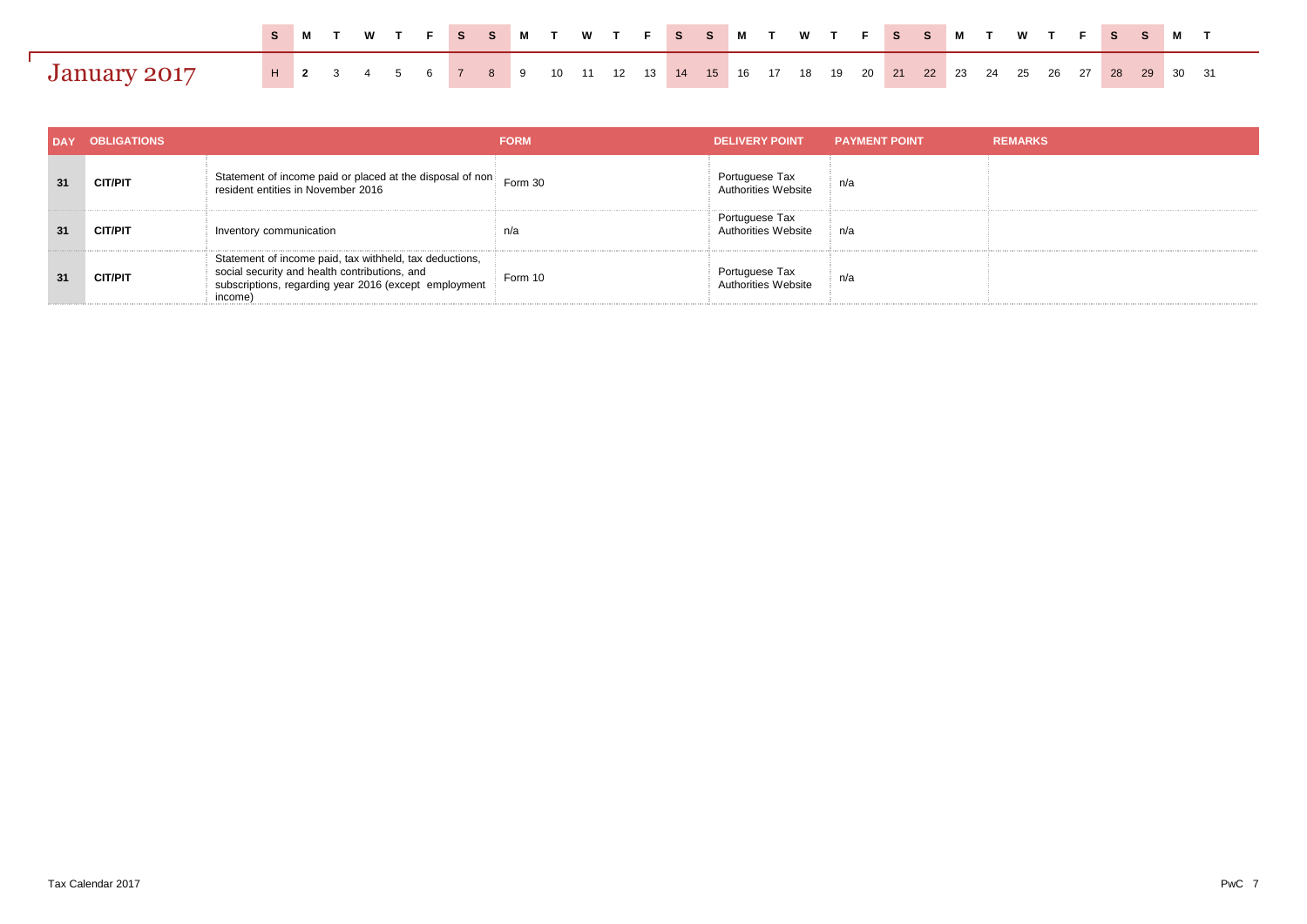|              |  |  |  |  |  |  |  |  |  |  | SMTWTFSSMTWTFSSMTWTFSSMTWTFSSMT                                                            |  |  |  |  |  |  |
|--------------|--|--|--|--|--|--|--|--|--|--|--------------------------------------------------------------------------------------------|--|--|--|--|--|--|
| January 2017 |  |  |  |  |  |  |  |  |  |  | <b>H</b> 2 3 4 5 6 7 8 9 10 11 12 13 14 15 16 17 18 19 20 21 22 23 24 25 26 27 28 29 30 31 |  |  |  |  |  |  |

| <b>DAY</b> | <b>OBLIGATIONS</b> |                                                                                                                                                                              | <b>FORM</b> | <b>DELIVERY POINT</b>                        | <b>PAYMENT POINT</b> | <b>REMARKS</b> |
|------------|--------------------|------------------------------------------------------------------------------------------------------------------------------------------------------------------------------|-------------|----------------------------------------------|----------------------|----------------|
| 31         | <b>CIT/PIT</b>     | Statement of income paid or placed at the disposal of non-<br>resident entities in November 2016                                                                             | Form 30     | Portuguese Tax<br>Authorities Website        | n/a                  |                |
| 31         | <b>CIT/PIT</b>     | Inventory communication                                                                                                                                                      | n/a         | Portuguese Tax<br><b>Authorities Website</b> | n/a                  |                |
| 31         | <b>CIT/PIT</b>     | Statement of income paid, tax withheld, tax deductions,<br>social security and health contributions, and<br>subscriptions, regarding year 2016 (except employment<br>income) | Form 10     | Portuguese Tax<br>Authorities Website        | n/a                  |                |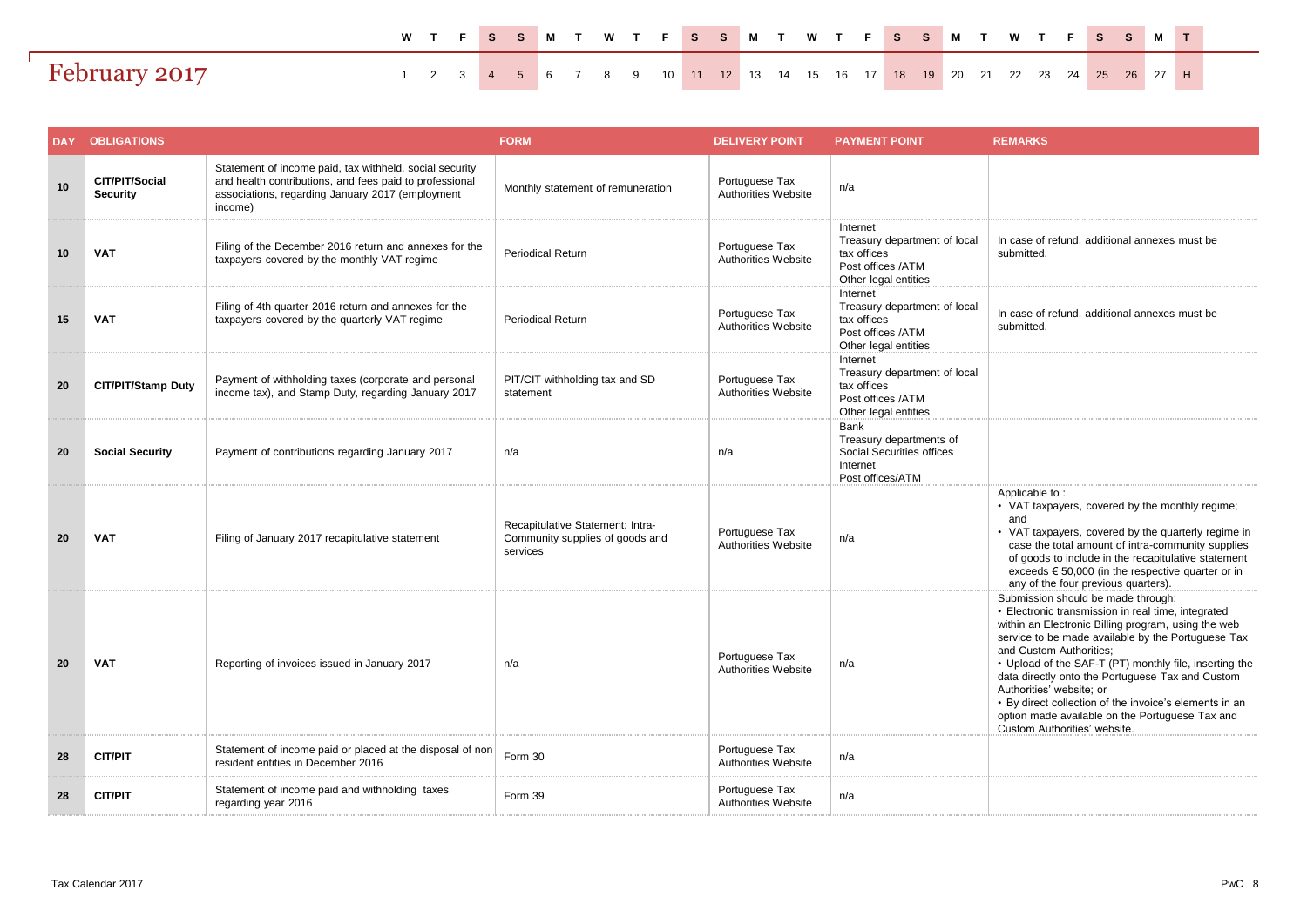|               |                                                                           |  |  |  |  |  |  |  |  |  |  |  |  |  | WTFSSMTWTFSSMTWTFSSMTWTFSSMT |
|---------------|---------------------------------------------------------------------------|--|--|--|--|--|--|--|--|--|--|--|--|--|------------------------------|
| February 2017 | 1 2 3 4 5 6 7 8 9 10 11 12 13 14 15 16 17 18 19 20 21 22 23 24 25 26 27 H |  |  |  |  |  |  |  |  |  |  |  |  |  |                              |

|    | <b>DAY OBLIGATIONS</b>            |                                                                                                                                                                                   | <b>FORM</b>                                                                     | <b>DELIVERY POINT</b>                 | <b>PAYMENT POINT</b>                                                                                 | <b>REMARKS</b>                                                                                                                                                                                                                                                                                                                                                                                                                                                                                                          |
|----|-----------------------------------|-----------------------------------------------------------------------------------------------------------------------------------------------------------------------------------|---------------------------------------------------------------------------------|---------------------------------------|------------------------------------------------------------------------------------------------------|-------------------------------------------------------------------------------------------------------------------------------------------------------------------------------------------------------------------------------------------------------------------------------------------------------------------------------------------------------------------------------------------------------------------------------------------------------------------------------------------------------------------------|
| 10 | CIT/PIT/Social<br><b>Security</b> | Statement of income paid, tax withheld, social security<br>and health contributions, and fees paid to professional<br>associations, regarding January 2017 (employment<br>income) | Monthly statement of remuneration                                               | Portuguese Tax<br>Authorities Website | n/a                                                                                                  |                                                                                                                                                                                                                                                                                                                                                                                                                                                                                                                         |
| 10 | <b>VAT</b>                        | Filing of the December 2016 return and annexes for the<br>taxpayers covered by the monthly VAT regime                                                                             | <b>Periodical Return</b>                                                        | Portuguese Tax<br>Authorities Website | Internet<br>Treasury department of local<br>tax offices<br>Post offices /ATM<br>Other legal entities | In case of refund, additional annexes must be<br>submitted.                                                                                                                                                                                                                                                                                                                                                                                                                                                             |
| 15 | <b>VAT</b>                        | Filing of 4th quarter 2016 return and annexes for the<br>taxpayers covered by the quarterly VAT regime                                                                            | <b>Periodical Return</b>                                                        | Portuguese Tax<br>Authorities Website | Internet<br>Treasury department of local<br>tax offices<br>Post offices /ATM<br>Other legal entities | In case of refund, additional annexes must be<br>submitted.                                                                                                                                                                                                                                                                                                                                                                                                                                                             |
| 20 | CIT/PIT/Stamp Duty                | Payment of withholding taxes (corporate and personal<br>income tax), and Stamp Duty, regarding January 2017                                                                       | PIT/CIT withholding tax and SD<br>statement                                     | Portuguese Tax<br>Authorities Website | Internet<br>Treasury department of local<br>tax offices<br>Post offices /ATM<br>Other legal entities |                                                                                                                                                                                                                                                                                                                                                                                                                                                                                                                         |
| 20 | <b>Social Security</b>            | Payment of contributions regarding January 2017                                                                                                                                   | n/a                                                                             | n/a                                   | Bank<br>Treasury departments of<br>Social Securities offices<br>Internet<br>Post offices/ATM         |                                                                                                                                                                                                                                                                                                                                                                                                                                                                                                                         |
| 20 | <b>VAT</b>                        | Filing of January 2017 recapitulative statement                                                                                                                                   | Recapitulative Statement: Intra-<br>Community supplies of goods and<br>services | Portuguese Tax<br>Authorities Website | n/a                                                                                                  | Applicable to:<br>• VAT taxpayers, covered by the monthly regime;<br>and<br>• VAT taxpayers, covered by the quarterly regime in<br>case the total amount of intra-community supplies<br>of goods to include in the recapitulative statement<br>exceeds $\epsilon$ 50,000 (in the respective quarter or in<br>any of the four previous quarters).                                                                                                                                                                        |
| 20 | <b>VAT</b>                        | Reporting of invoices issued in January 2017                                                                                                                                      | n/a                                                                             | Portuguese Tax<br>Authorities Website | n/a                                                                                                  | Submission should be made through:<br>• Electronic transmission in real time, integrated<br>within an Electronic Billing program, using the web<br>service to be made available by the Portuguese Tax<br>and Custom Authorities;<br>• Upload of the SAF-T (PT) monthly file, inserting the<br>data directly onto the Portuguese Tax and Custom<br>Authorities' website; or<br>• By direct collection of the invoice's elements in an<br>option made available on the Portuguese Tax and<br>Custom Authorities' website. |
| 28 | <b>CIT/PIT</b>                    | Statement of income paid or placed at the disposal of non<br>resident entities in December 2016                                                                                   | Form 30                                                                         | Portuguese Tax<br>Authorities Website | n/a                                                                                                  |                                                                                                                                                                                                                                                                                                                                                                                                                                                                                                                         |
| 28 | <b>CIT/PIT</b>                    | Statement of income paid and withholding taxes<br>regarding year 2016                                                                                                             | Form 39                                                                         | Portuguese Tax<br>Authorities Website | n/a                                                                                                  |                                                                                                                                                                                                                                                                                                                                                                                                                                                                                                                         |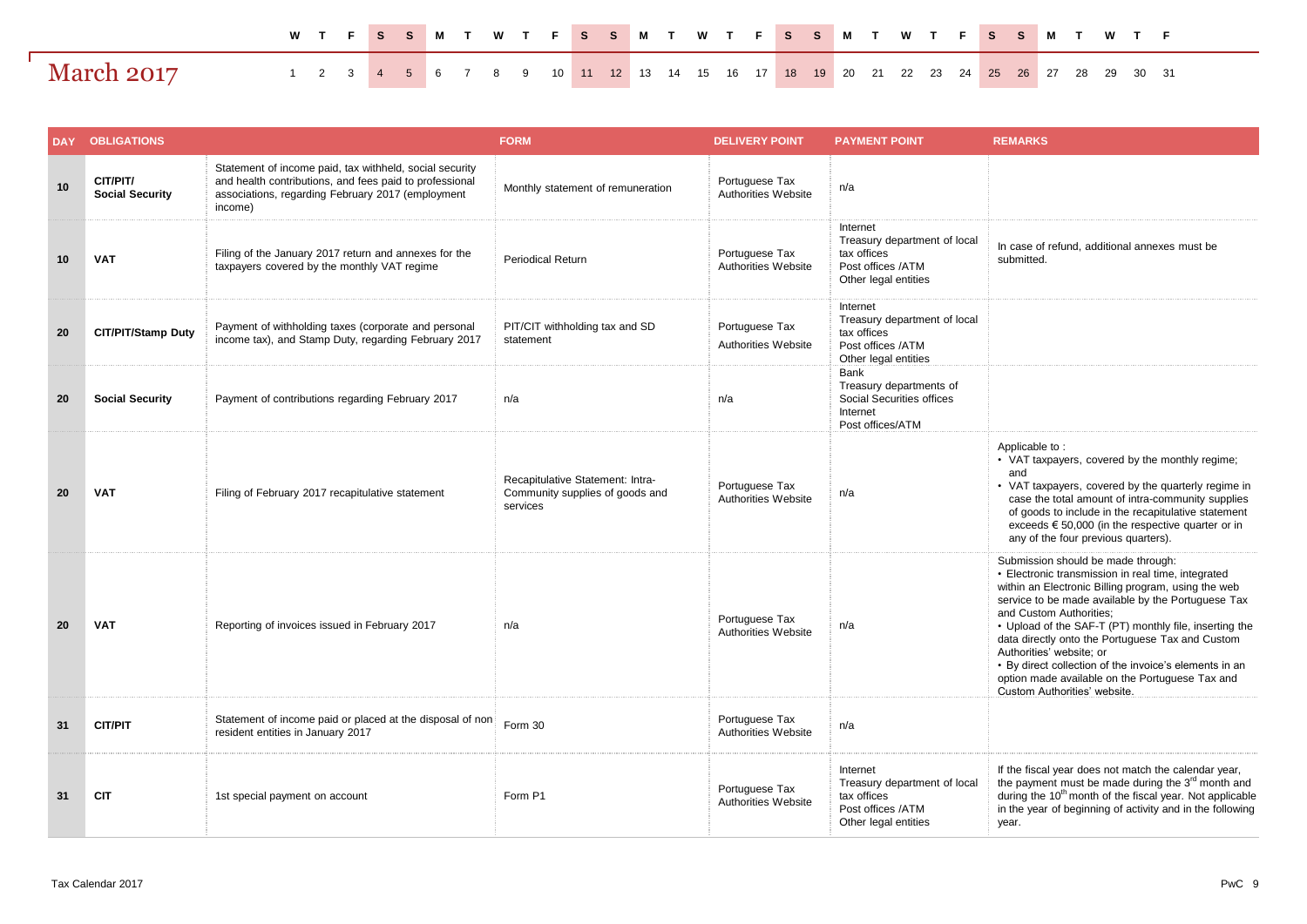|                   |  |  |  |  |  | W T F S S M T W T F S S M T W T F S S M T W T F S S M T W T F                       |  |  |  |  |  |  |  |  |  |  |
|-------------------|--|--|--|--|--|-------------------------------------------------------------------------------------|--|--|--|--|--|--|--|--|--|--|
| <b>March 2017</b> |  |  |  |  |  | 1 2 3 4 5 6 7 8 9 10 11 12 13 14 15 16 17 18 19 20 21 22 23 24 25 26 27 28 29 30 31 |  |  |  |  |  |  |  |  |  |  |

| <b>DAY</b> | <b>OBLIGATIONS</b>                 |                                                                                                                                                                                    | <b>FORM</b>                                                                     | <b>DELIVERY POINT</b>                        | <b>PAYMENT POINT</b>                                                                                 | <b>REMARKS</b>                                                                                                                                                                                                                                                                                                                                                                                                                                                                                                          |
|------------|------------------------------------|------------------------------------------------------------------------------------------------------------------------------------------------------------------------------------|---------------------------------------------------------------------------------|----------------------------------------------|------------------------------------------------------------------------------------------------------|-------------------------------------------------------------------------------------------------------------------------------------------------------------------------------------------------------------------------------------------------------------------------------------------------------------------------------------------------------------------------------------------------------------------------------------------------------------------------------------------------------------------------|
| 10         | CIT/PIT/<br><b>Social Security</b> | Statement of income paid, tax withheld, social security<br>and health contributions, and fees paid to professional<br>associations, regarding February 2017 (employment<br>income) | Monthly statement of remuneration                                               | Portuguese Tax<br>Authorities Website        | n/a                                                                                                  |                                                                                                                                                                                                                                                                                                                                                                                                                                                                                                                         |
| 10         | <b>VAT</b>                         | Filing of the January 2017 return and annexes for the<br>taxpayers covered by the monthly VAT regime                                                                               | <b>Periodical Return</b>                                                        | Portuguese Tax<br>Authorities Website        | Internet<br>Treasury department of local<br>tax offices<br>Post offices /ATM<br>Other legal entities | In case of refund, additional annexes must be<br>submitted.                                                                                                                                                                                                                                                                                                                                                                                                                                                             |
| 20         | <b>CIT/PIT/Stamp Duty</b>          | Payment of withholding taxes (corporate and personal<br>income tax), and Stamp Duty, regarding February 2017                                                                       | PIT/CIT withholding tax and SD<br>statement                                     | Portuguese Tax<br>Authorities Website        | Internet<br>Treasury department of local<br>tax offices<br>Post offices /ATM<br>Other legal entities |                                                                                                                                                                                                                                                                                                                                                                                                                                                                                                                         |
| 20         | <b>Social Security</b>             | Payment of contributions regarding February 2017                                                                                                                                   | n/a                                                                             | n/a                                          | Bank<br>Treasury departments of<br>Social Securities offices<br>Internet<br>Post offices/ATM         |                                                                                                                                                                                                                                                                                                                                                                                                                                                                                                                         |
| 20         | <b>VAT</b>                         | Filing of February 2017 recapitulative statement                                                                                                                                   | Recapitulative Statement: Intra-<br>Community supplies of goods and<br>services | Portuguese Tax<br>Authorities Website        | n/a                                                                                                  | Applicable to:<br>• VAT taxpayers, covered by the monthly regime;<br>and<br>• VAT taxpayers, covered by the quarterly regime in<br>case the total amount of intra-community supplies<br>of goods to include in the recapitulative statement<br>exceeds $\epsilon$ 50,000 (in the respective quarter or in<br>any of the four previous quarters).                                                                                                                                                                        |
| 20         | <b>VAT</b>                         | Reporting of invoices issued in February 2017                                                                                                                                      | n/a                                                                             | Portuguese Tax<br><b>Authorities Website</b> | n/a                                                                                                  | Submission should be made through:<br>• Electronic transmission in real time, integrated<br>within an Electronic Billing program, using the web<br>service to be made available by the Portuguese Tax<br>and Custom Authorities;<br>• Upload of the SAF-T (PT) monthly file, inserting the<br>data directly onto the Portuguese Tax and Custom<br>Authorities' website; or<br>• By direct collection of the invoice's elements in an<br>option made available on the Portuguese Tax and<br>Custom Authorities' website. |
| 31         | <b>CIT/PIT</b>                     | Statement of income paid or placed at the disposal of non<br>resident entities in January 2017                                                                                     | Form 30                                                                         | Portuguese Tax<br><b>Authorities Website</b> | n/a                                                                                                  |                                                                                                                                                                                                                                                                                                                                                                                                                                                                                                                         |
| 31         | <b>CIT</b>                         | 1st special payment on account                                                                                                                                                     | Form P1                                                                         | Portuguese Tax<br>Authorities Website        | Internet<br>Treasury department of local<br>tax offices<br>Post offices /ATM<br>Other legal entities | If the fiscal year does not match the calendar year,<br>the payment must be made during the 3 <sup>rd</sup> month and<br>during the 10 <sup>th</sup> month of the fiscal year. Not applicable<br>in the year of beginning of activity and in the following<br>year.                                                                                                                                                                                                                                                     |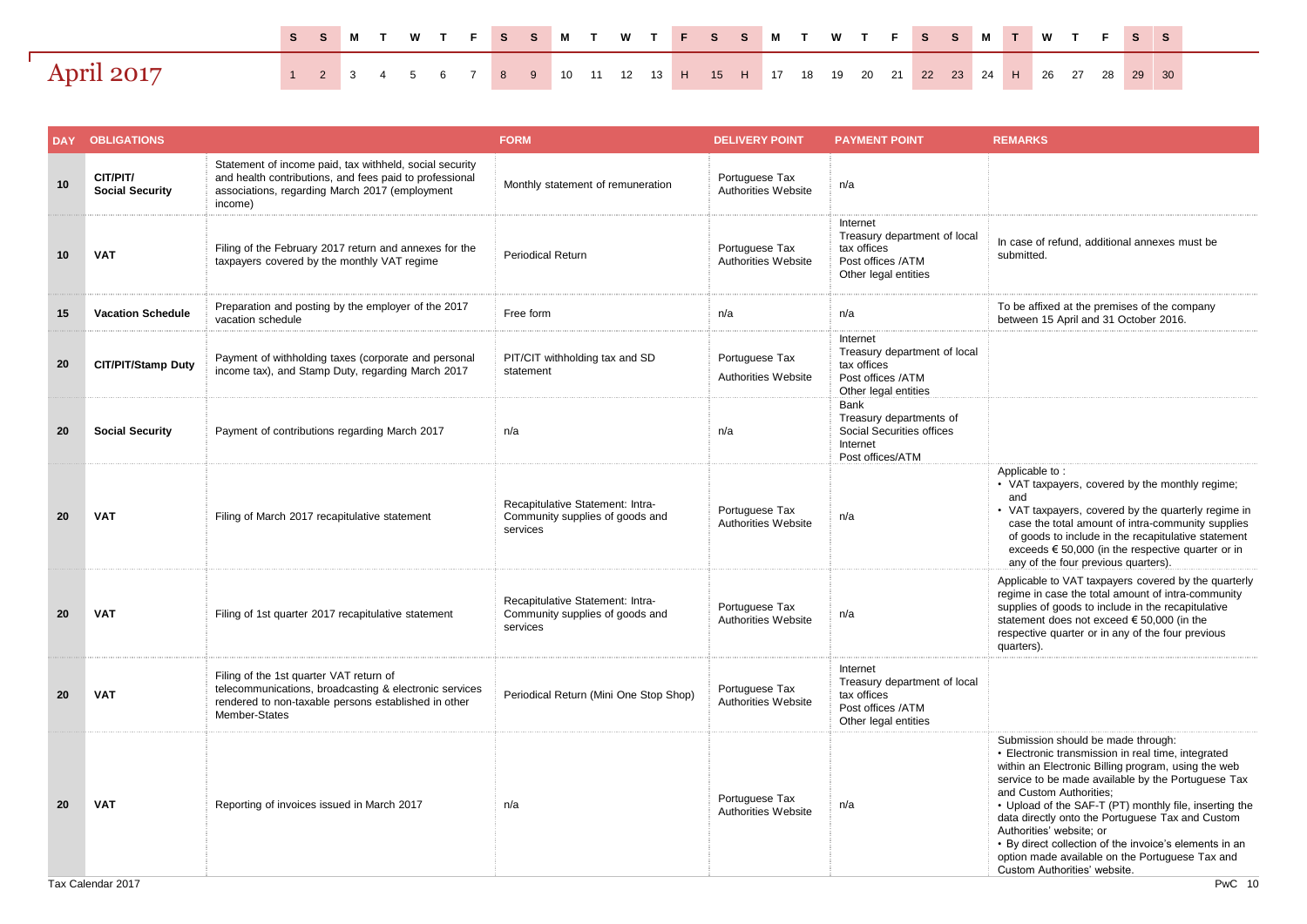|                   |  |  |  |  |  |  |  |  | SSMTWTFSSMTWTFSSMTWTFSSM <mark>T</mark> WTFSS                                 |  |  |  |  |  |  |
|-------------------|--|--|--|--|--|--|--|--|-------------------------------------------------------------------------------|--|--|--|--|--|--|
| <b>April 2017</b> |  |  |  |  |  |  |  |  | 1 2 3 4 5 6 7 8 9 10 11 12 13 H 15 H 17 18 19 20 21 22 23 24 H 26 27 28 29 30 |  |  |  |  |  |  |

| DAY | <b>OBLIGATIONS</b>                 |                                                                                                                                                                                 | <b>FORM</b>                                                                     | <b>DELIVERY POINT</b>                 | <b>PAYMENT POINT</b>                                                                                 | <b>REMARKS</b>                                                                                                                                                                                                                                                                                                                                                                                                                                                                                                          |
|-----|------------------------------------|---------------------------------------------------------------------------------------------------------------------------------------------------------------------------------|---------------------------------------------------------------------------------|---------------------------------------|------------------------------------------------------------------------------------------------------|-------------------------------------------------------------------------------------------------------------------------------------------------------------------------------------------------------------------------------------------------------------------------------------------------------------------------------------------------------------------------------------------------------------------------------------------------------------------------------------------------------------------------|
| 10  | CIT/PIT/<br><b>Social Security</b> | Statement of income paid, tax withheld, social security<br>and health contributions, and fees paid to professional<br>associations, regarding March 2017 (employment<br>income) | Monthly statement of remuneration                                               | Portuguese Tax<br>Authorities Website | n/a                                                                                                  |                                                                                                                                                                                                                                                                                                                                                                                                                                                                                                                         |
| 10  | <b>VAT</b>                         | Filing of the February 2017 return and annexes for the<br>taxpayers covered by the monthly VAT regime                                                                           | <b>Periodical Return</b>                                                        | Portuguese Tax<br>Authorities Website | Internet<br>Treasury department of local<br>tax offices<br>Post offices /ATM<br>Other legal entities | In case of refund, additional annexes must be<br>submitted.                                                                                                                                                                                                                                                                                                                                                                                                                                                             |
| 15  | <b>Vacation Schedule</b>           | Preparation and posting by the employer of the 2017<br>vacation schedule                                                                                                        | Free form                                                                       | n/a                                   | n/a                                                                                                  | To be affixed at the premises of the company<br>between 15 April and 31 October 2016.                                                                                                                                                                                                                                                                                                                                                                                                                                   |
| 20  | <b>CIT/PIT/Stamp Duty</b>          | Payment of withholding taxes (corporate and personal<br>income tax), and Stamp Duty, regarding March 2017                                                                       | PIT/CIT withholding tax and SD<br>statement                                     | Portuguese Tax<br>Authorities Website | Internet<br>Treasury department of local<br>tax offices<br>Post offices /ATM<br>Other legal entities |                                                                                                                                                                                                                                                                                                                                                                                                                                                                                                                         |
| 20  | <b>Social Security</b>             | Payment of contributions regarding March 2017                                                                                                                                   | n/a                                                                             | n/a                                   | Bank<br>Treasury departments of<br>Social Securities offices<br>Internet<br>Post offices/ATM         |                                                                                                                                                                                                                                                                                                                                                                                                                                                                                                                         |
| 20  | <b>VAT</b>                         | Filing of March 2017 recapitulative statement                                                                                                                                   | Recapitulative Statement: Intra-<br>Community supplies of goods and<br>services | Portuguese Tax<br>Authorities Website | n/a                                                                                                  | Applicable to:<br>• VAT taxpayers, covered by the monthly regime;<br>and<br>• VAT taxpayers, covered by the quarterly regime in<br>case the total amount of intra-community supplies<br>of goods to include in the recapitulative statement<br>exceeds $\epsilon$ 50,000 (in the respective quarter or in<br>any of the four previous quarters).                                                                                                                                                                        |
| 20  | <b>VAT</b>                         | Filing of 1st quarter 2017 recapitulative statement                                                                                                                             | Recapitulative Statement: Intra-<br>Community supplies of goods and<br>services | Portuguese Tax<br>Authorities Website | n/a                                                                                                  | Applicable to VAT taxpayers covered by the quarterly<br>regime in case the total amount of intra-community<br>supplies of goods to include in the recapitulative<br>statement does not exceed € 50,000 (in the<br>respective quarter or in any of the four previous<br>quarters).                                                                                                                                                                                                                                       |
| 20  | <b>VAT</b>                         | Filing of the 1st quarter VAT return of<br>telecommunications, broadcasting & electronic services<br>rendered to non-taxable persons established in other<br>Member-States      | Periodical Return (Mini One Stop Shop)                                          | Portuguese Tax<br>Authorities Website | Internet<br>Treasury department of local<br>tax offices<br>Post offices /ATM<br>Other legal entities |                                                                                                                                                                                                                                                                                                                                                                                                                                                                                                                         |
| 20  | <b>VAT</b>                         | Reporting of invoices issued in March 2017                                                                                                                                      | n/a                                                                             | Portuguese Tax<br>Authorities Website | n/a                                                                                                  | Submission should be made through:<br>• Electronic transmission in real time, integrated<br>within an Electronic Billing program, using the web<br>service to be made available by the Portuguese Tax<br>and Custom Authorities;<br>• Upload of the SAF-T (PT) monthly file, inserting the<br>data directly onto the Portuguese Tax and Custom<br>Authorities' website; or<br>• By direct collection of the invoice's elements in an<br>option made available on the Portuguese Tax and<br>Custom Authorities' website. |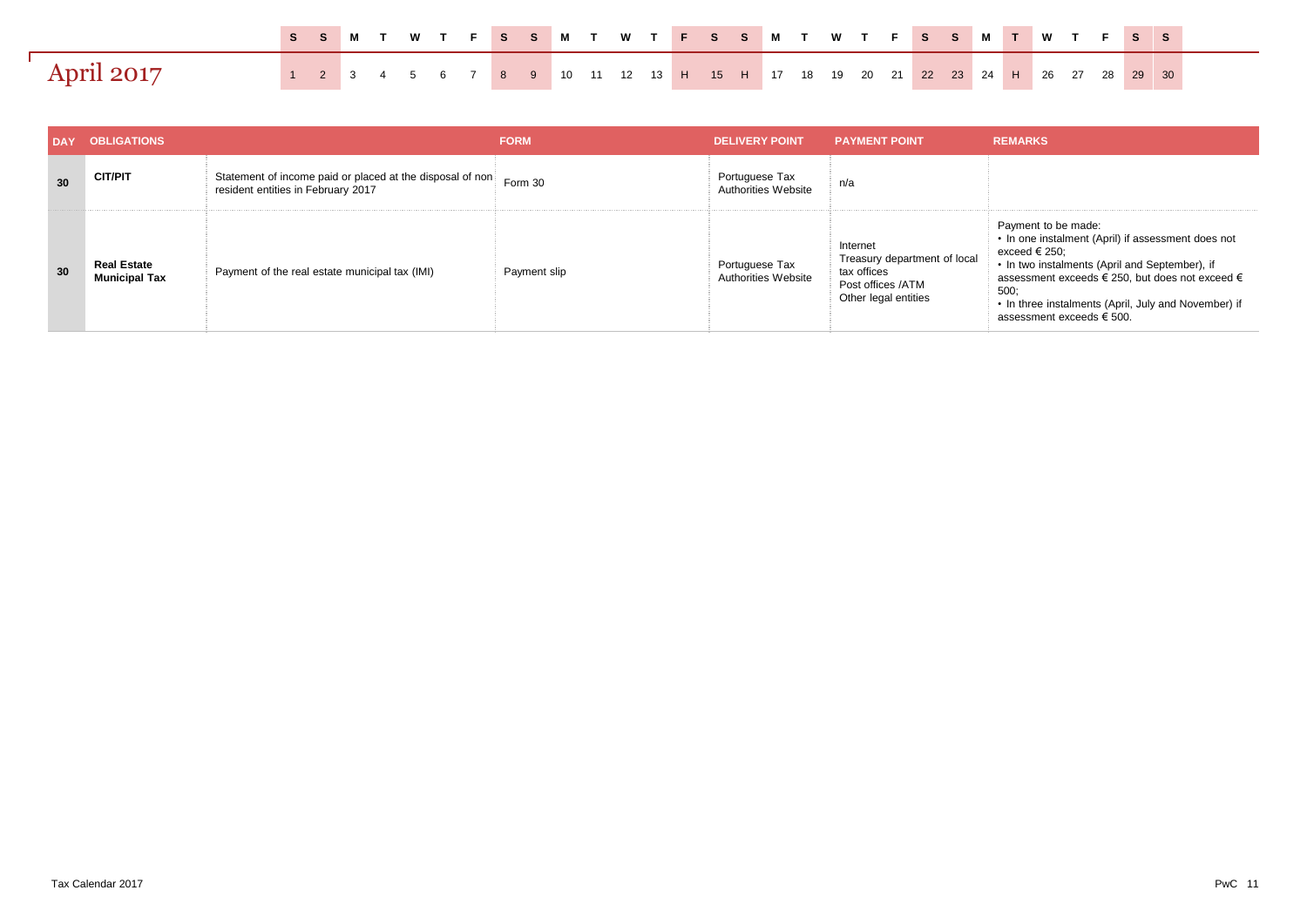|            |  |  |  |  |  |  |  |                                                                               |  |  |  |  |  |  |  | SSMTWTFSSMTWTFSSMTWTFSSMTWTFSS |
|------------|--|--|--|--|--|--|--|-------------------------------------------------------------------------------|--|--|--|--|--|--|--|--------------------------------|
| April 2017 |  |  |  |  |  |  |  | 1 2 3 4 5 6 7 8 9 10 11 12 13 H 15 H 17 18 19 20 21 22 23 24 H 26 27 28 29 30 |  |  |  |  |  |  |  |                                |

| <b>DAY</b> | <b>OBLIGATIONS</b>                         |                                                                                                 | <b>FORM</b>  | <b>DELIVERY POINT</b>                        | <b>PAYMENT POINT</b>                                                                                 | <b>REMARKS</b>                                                                                                                                                                                                                                                                               |
|------------|--------------------------------------------|-------------------------------------------------------------------------------------------------|--------------|----------------------------------------------|------------------------------------------------------------------------------------------------------|----------------------------------------------------------------------------------------------------------------------------------------------------------------------------------------------------------------------------------------------------------------------------------------------|
| 30         | <b>CIT/PIT</b>                             | Statement of income paid or placed at the disposal of non<br>resident entities in February 2017 | Form 30      | Portuguese Tax<br>Authorities Website        | n/a                                                                                                  |                                                                                                                                                                                                                                                                                              |
| 30         | <b>Real Estate</b><br><b>Municipal Tax</b> | Payment of the real estate municipal tax (IMI)                                                  | Payment slip | Portuguese Tax<br><b>Authorities Website</b> | Internet<br>Treasury department of local<br>tax offices<br>Post offices /ATM<br>Other legal entities | Payment to be made:<br>• In one instalment (April) if assessment does not<br>exceed € 250;<br>• In two instalments (April and September), if<br>assessment exceeds € 250, but does not exceed €<br>500:<br>• In three instalments (April, July and November) if<br>assessment exceeds € 500. |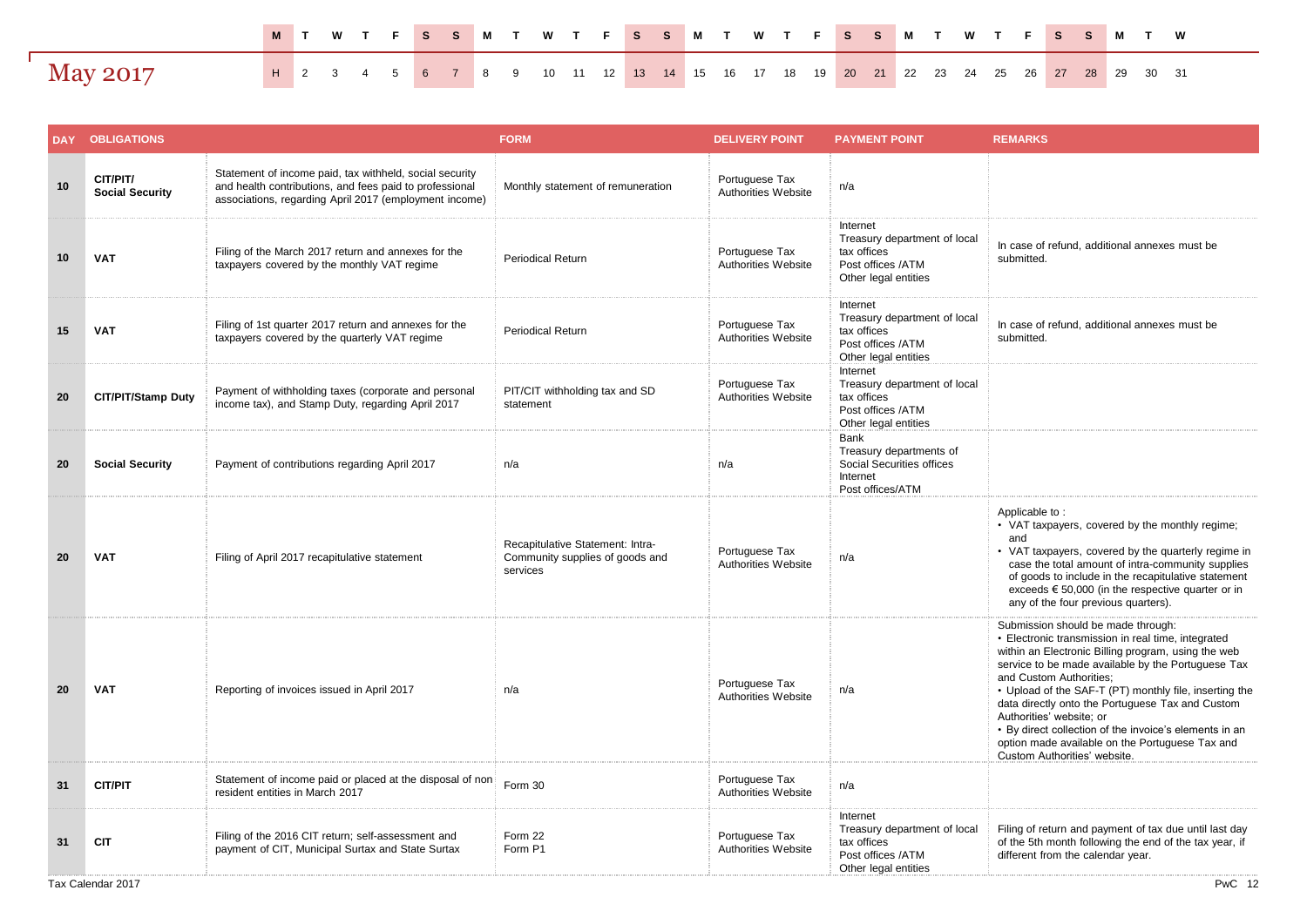|                 | M T W T F S S M T W T F S S M T W T F F S S M T W T F S S M T W                            |  |  |  |  |  |  |  |  |  |  |  |  |  |  |  |
|-----------------|--------------------------------------------------------------------------------------------|--|--|--|--|--|--|--|--|--|--|--|--|--|--|--|
| <b>May 2017</b> | <b>H</b> 2 3 4 5 6 7 8 9 10 11 12 13 14 15 16 17 18 19 20 21 22 23 24 25 26 27 28 29 30 31 |  |  |  |  |  |  |  |  |  |  |  |  |  |  |  |

|    | <b>DAY OBLIGATIONS</b>             |                                                                                                                                                                              | <b>FORM</b>                                                                     | <b>DELIVERY POINT</b>                        | <b>PAYMENT POINT</b>                                                                                 | <b>REMARKS</b>                                                                                                                                                                                                                                                                                                                                                                                                                                                                                                          |
|----|------------------------------------|------------------------------------------------------------------------------------------------------------------------------------------------------------------------------|---------------------------------------------------------------------------------|----------------------------------------------|------------------------------------------------------------------------------------------------------|-------------------------------------------------------------------------------------------------------------------------------------------------------------------------------------------------------------------------------------------------------------------------------------------------------------------------------------------------------------------------------------------------------------------------------------------------------------------------------------------------------------------------|
| 10 | CIT/PIT/<br><b>Social Security</b> | Statement of income paid, tax withheld, social security<br>and health contributions, and fees paid to professional<br>associations, regarding April 2017 (employment income) | Monthly statement of remuneration                                               | Portuguese Tax<br>Authorities Website        | n/a                                                                                                  |                                                                                                                                                                                                                                                                                                                                                                                                                                                                                                                         |
| 10 | <b>VAT</b>                         | Filing of the March 2017 return and annexes for the<br>taxpayers covered by the monthly VAT regime                                                                           | <b>Periodical Return</b>                                                        | Portuguese Tax<br>Authorities Website        | Internet<br>Treasury department of local<br>tax offices<br>Post offices /ATM<br>Other legal entities | In case of refund, additional annexes must be<br>submitted.                                                                                                                                                                                                                                                                                                                                                                                                                                                             |
| 15 | <b>VAT</b>                         | Filing of 1st quarter 2017 return and annexes for the<br>taxpayers covered by the quarterly VAT regime                                                                       | <b>Periodical Return</b>                                                        | Portuguese Tax<br>Authorities Website        | Internet<br>Treasury department of local<br>tax offices<br>Post offices /ATM<br>Other legal entities | In case of refund, additional annexes must be<br>submitted.                                                                                                                                                                                                                                                                                                                                                                                                                                                             |
| 20 | <b>CIT/PIT/Stamp Duty</b>          | Payment of withholding taxes (corporate and personal<br>income tax), and Stamp Duty, regarding April 2017                                                                    | PIT/CIT withholding tax and SD<br>statement                                     | Portuguese Tax<br>Authorities Website        | Internet<br>Treasury department of local<br>tax offices<br>Post offices /ATM<br>Other legal entities |                                                                                                                                                                                                                                                                                                                                                                                                                                                                                                                         |
| 20 | <b>Social Security</b>             | Payment of contributions regarding April 2017                                                                                                                                | n/a                                                                             | n/a                                          | <b>Bank</b><br>Treasury departments of<br>Social Securities offices<br>Internet<br>Post offices/ATM  |                                                                                                                                                                                                                                                                                                                                                                                                                                                                                                                         |
| 20 | <b>VAT</b>                         | Filing of April 2017 recapitulative statement                                                                                                                                | Recapitulative Statement: Intra-<br>Community supplies of goods and<br>services | Portuguese Tax<br>Authorities Website        | n/a                                                                                                  | Applicable to:<br>• VAT taxpayers, covered by the monthly regime;<br>and<br>• VAT taxpayers, covered by the quarterly regime in<br>case the total amount of intra-community supplies<br>of goods to include in the recapitulative statement<br>exceeds $\epsilon$ 50,000 (in the respective quarter or in<br>any of the four previous quarters).                                                                                                                                                                        |
| 20 | <b>VAT</b>                         | Reporting of invoices issued in April 2017                                                                                                                                   | n/a                                                                             | Portuguese Tax<br>Authorities Website        | n/a                                                                                                  | Submission should be made through:<br>• Electronic transmission in real time, integrated<br>within an Electronic Billing program, using the web<br>service to be made available by the Portuguese Tax<br>and Custom Authorities:<br>• Upload of the SAF-T (PT) monthly file, inserting the<br>data directly onto the Portuguese Tax and Custom<br>Authorities' website; or<br>• By direct collection of the invoice's elements in an<br>option made available on the Portuguese Tax and<br>Custom Authorities' website. |
| 31 | <b>CIT/PIT</b>                     | Statement of income paid or placed at the disposal of non<br>resident entities in March 2017                                                                                 | Form 30                                                                         | Portuguese Tax<br>Authorities Website        | n/a                                                                                                  |                                                                                                                                                                                                                                                                                                                                                                                                                                                                                                                         |
| 31 | <b>CIT</b>                         | Filing of the 2016 CIT return; self-assessment and<br>payment of CIT, Municipal Surtax and State Surtax                                                                      | Form 22<br>Form P1                                                              | Portuguese Tax<br><b>Authorities Website</b> | Internet<br>Treasury department of local<br>tax offices<br>Post offices /ATM<br>Other legal entities | Filing of return and payment of tax due until last day<br>of the 5th month following the end of the tax year, if<br>different from the calendar year.                                                                                                                                                                                                                                                                                                                                                                   |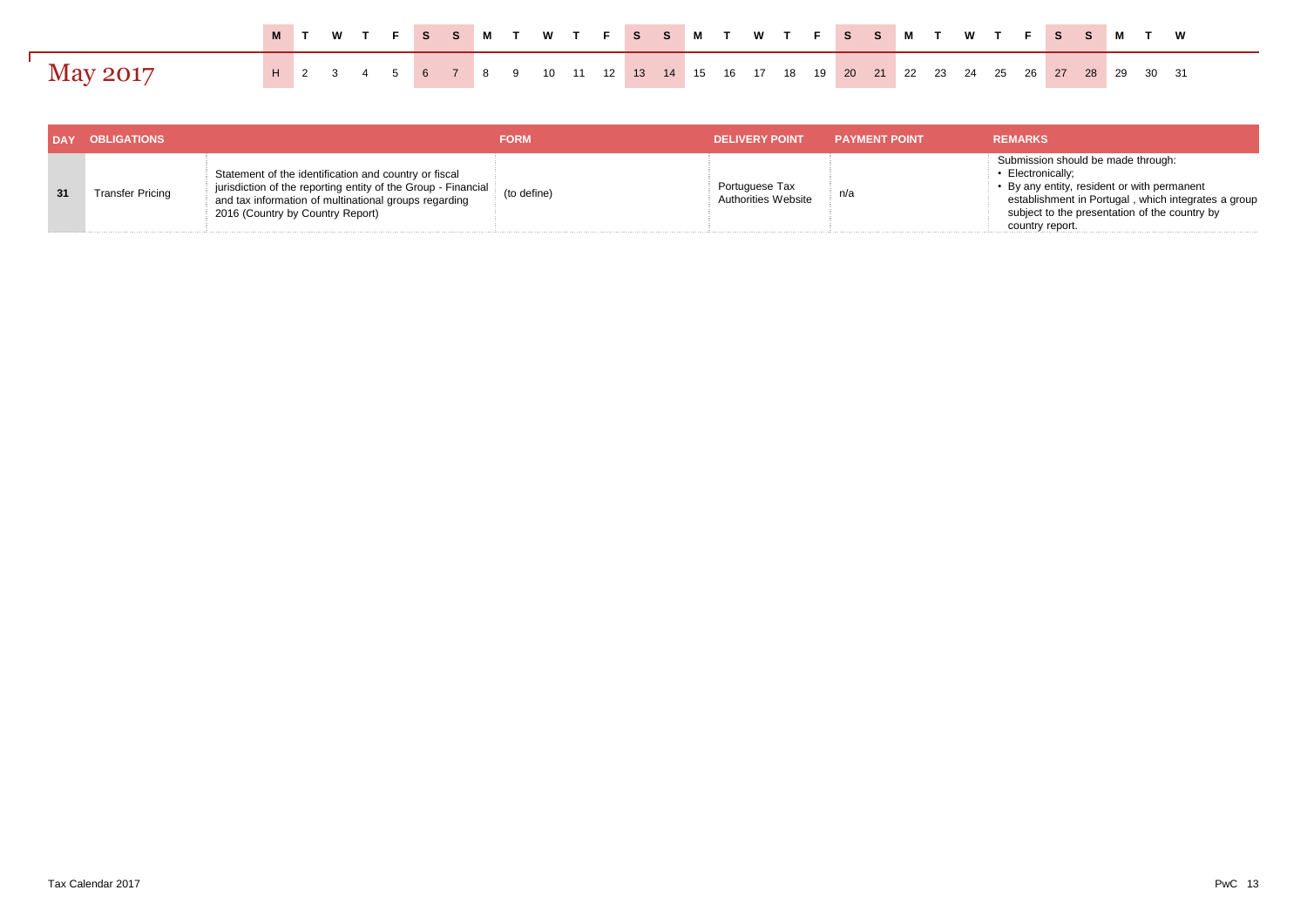|                 |  |  |  |  |  |  | M T W T F S S M T W T F S S M T W T F S S M T W T F S S M T W                       |  |  |  |  |  |  |  |  |  |
|-----------------|--|--|--|--|--|--|-------------------------------------------------------------------------------------|--|--|--|--|--|--|--|--|--|
| <b>May 2017</b> |  |  |  |  |  |  | H 2 3 4 5 6 7 8 9 10 11 12 13 14 15 16 17 18 19 20 21 22 23 24 25 26 27 28 29 30 31 |  |  |  |  |  |  |  |  |  |

|    | DAY OBLIGATIONS         |                                                                                                                                                                                                                     | <b>FORM</b> | <b>DELIVERY POINT</b>                 | <b>PAYMENT POINT</b> | <b>REMARKS</b>                                                                                                                                                                                                                    |
|----|-------------------------|---------------------------------------------------------------------------------------------------------------------------------------------------------------------------------------------------------------------|-------------|---------------------------------------|----------------------|-----------------------------------------------------------------------------------------------------------------------------------------------------------------------------------------------------------------------------------|
| 31 | <b>Transfer Pricing</b> | Statement of the identification and country or fiscal<br>jurisdiction of the reporting entity of the Group - Financial<br>and tax information of multinational groups regarding<br>2016 (Country by Country Report) | (to define) | Portuguese Tax<br>Authorities Website | n/a                  | Submission should be made through:<br>• Electronically;<br>• By any entity, resident or with permanent<br>establishment in Portugal, which integrates a group<br>subject to the presentation of the country by<br>country report. |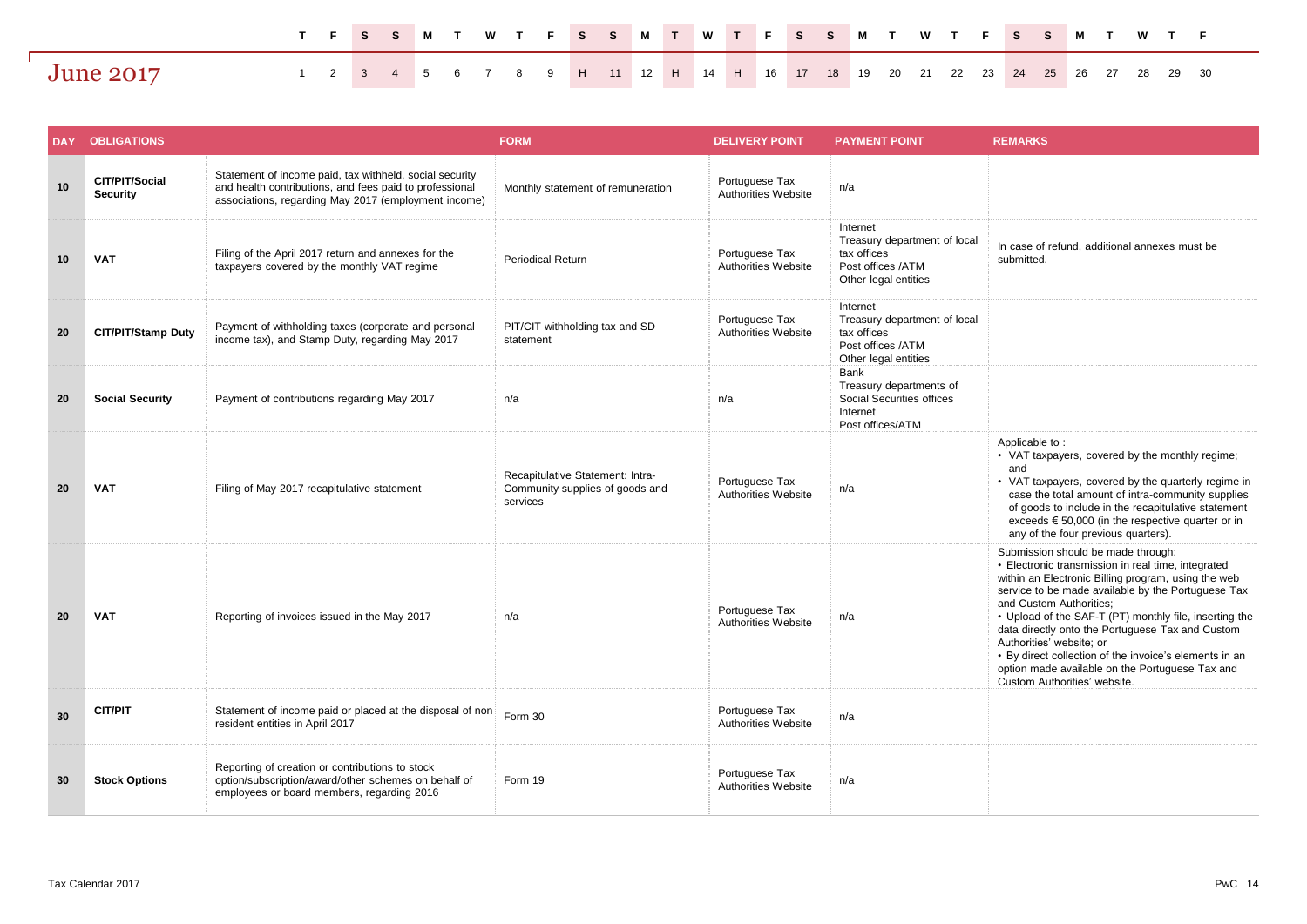|                  |  |  |  |  |  |  |  |  |  |  |  | TFS SM TWTFS SM TWTFS SM TWTFS SM TWTF                                        |  |  |  |
|------------------|--|--|--|--|--|--|--|--|--|--|--|-------------------------------------------------------------------------------|--|--|--|
| <b>June 2017</b> |  |  |  |  |  |  |  |  |  |  |  | 1 2 3 4 5 6 7 8 9 H 11 12 H 14 H 16 17 18 19 20 21 22 23 24 25 26 27 28 29 30 |  |  |  |

| <b>DAY</b> | <b>OBLIGATIONS</b>                |                                                                                                                                                                            | <b>FORM</b>                                                                     | <b>DELIVERY POINT</b>                 | <b>PAYMENT POINT</b>                                                                                 | <b>REMARKS</b>                                                                                                                                                                                                                                                                                                                                                                                                                                                                                                          |
|------------|-----------------------------------|----------------------------------------------------------------------------------------------------------------------------------------------------------------------------|---------------------------------------------------------------------------------|---------------------------------------|------------------------------------------------------------------------------------------------------|-------------------------------------------------------------------------------------------------------------------------------------------------------------------------------------------------------------------------------------------------------------------------------------------------------------------------------------------------------------------------------------------------------------------------------------------------------------------------------------------------------------------------|
| 10         | CIT/PIT/Social<br><b>Security</b> | Statement of income paid, tax withheld, social security<br>and health contributions, and fees paid to professional<br>associations, regarding May 2017 (employment income) | Monthly statement of remuneration                                               | Portuguese Tax<br>Authorities Website | n/a                                                                                                  |                                                                                                                                                                                                                                                                                                                                                                                                                                                                                                                         |
| 10         | <b>VAT</b>                        | Filing of the April 2017 return and annexes for the<br>taxpayers covered by the monthly VAT regime                                                                         | <b>Periodical Return</b>                                                        | Portuguese Tax<br>Authorities Website | Internet<br>Treasury department of local<br>tax offices<br>Post offices /ATM<br>Other legal entities | In case of refund, additional annexes must be<br>submitted.                                                                                                                                                                                                                                                                                                                                                                                                                                                             |
| 20         | <b>CIT/PIT/Stamp Duty</b>         | Payment of withholding taxes (corporate and personal<br>income tax), and Stamp Duty, regarding May 2017                                                                    | PIT/CIT withholding tax and SD<br>statement                                     | Portuguese Tax<br>Authorities Website | Internet<br>Treasury department of local<br>tax offices<br>Post offices /ATM<br>Other legal entities |                                                                                                                                                                                                                                                                                                                                                                                                                                                                                                                         |
| 20         | <b>Social Security</b>            | Payment of contributions regarding May 2017                                                                                                                                | n/a                                                                             | n/a                                   | Bank<br>Treasury departments of<br>Social Securities offices<br>Internet<br>Post offices/ATM         |                                                                                                                                                                                                                                                                                                                                                                                                                                                                                                                         |
| 20         | <b>VAT</b>                        | Filing of May 2017 recapitulative statement                                                                                                                                | Recapitulative Statement: Intra-<br>Community supplies of goods and<br>services | Portuguese Tax<br>Authorities Website | n/a                                                                                                  | Applicable to:<br>• VAT taxpayers, covered by the monthly regime;<br>and<br>• VAT taxpayers, covered by the quarterly regime in<br>case the total amount of intra-community supplies<br>of goods to include in the recapitulative statement<br>exceeds $\epsilon$ 50,000 (in the respective quarter or in<br>any of the four previous quarters).                                                                                                                                                                        |
| 20         | <b>VAT</b>                        | Reporting of invoices issued in the May 2017                                                                                                                               | n/a                                                                             | Portuguese Tax<br>Authorities Website | n/a                                                                                                  | Submission should be made through:<br>• Electronic transmission in real time, integrated<br>within an Electronic Billing program, using the web<br>service to be made available by the Portuguese Tax<br>and Custom Authorities:<br>• Upload of the SAF-T (PT) monthly file, inserting the<br>data directly onto the Portuguese Tax and Custom<br>Authorities' website; or<br>• By direct collection of the invoice's elements in an<br>option made available on the Portuguese Tax and<br>Custom Authorities' website. |
| 30         | <b>CIT/PIT</b>                    | Statement of income paid or placed at the disposal of non<br>resident entities in April 2017                                                                               | Form 30                                                                         | Portuguese Tax<br>Authorities Website | n/a                                                                                                  |                                                                                                                                                                                                                                                                                                                                                                                                                                                                                                                         |
| 30         | <b>Stock Options</b>              | Reporting of creation or contributions to stock<br>option/subscription/award/other schemes on behalf of<br>employees or board members, regarding 2016                      | Form 19                                                                         | Portuguese Tax<br>Authorities Website | n/a                                                                                                  |                                                                                                                                                                                                                                                                                                                                                                                                                                                                                                                         |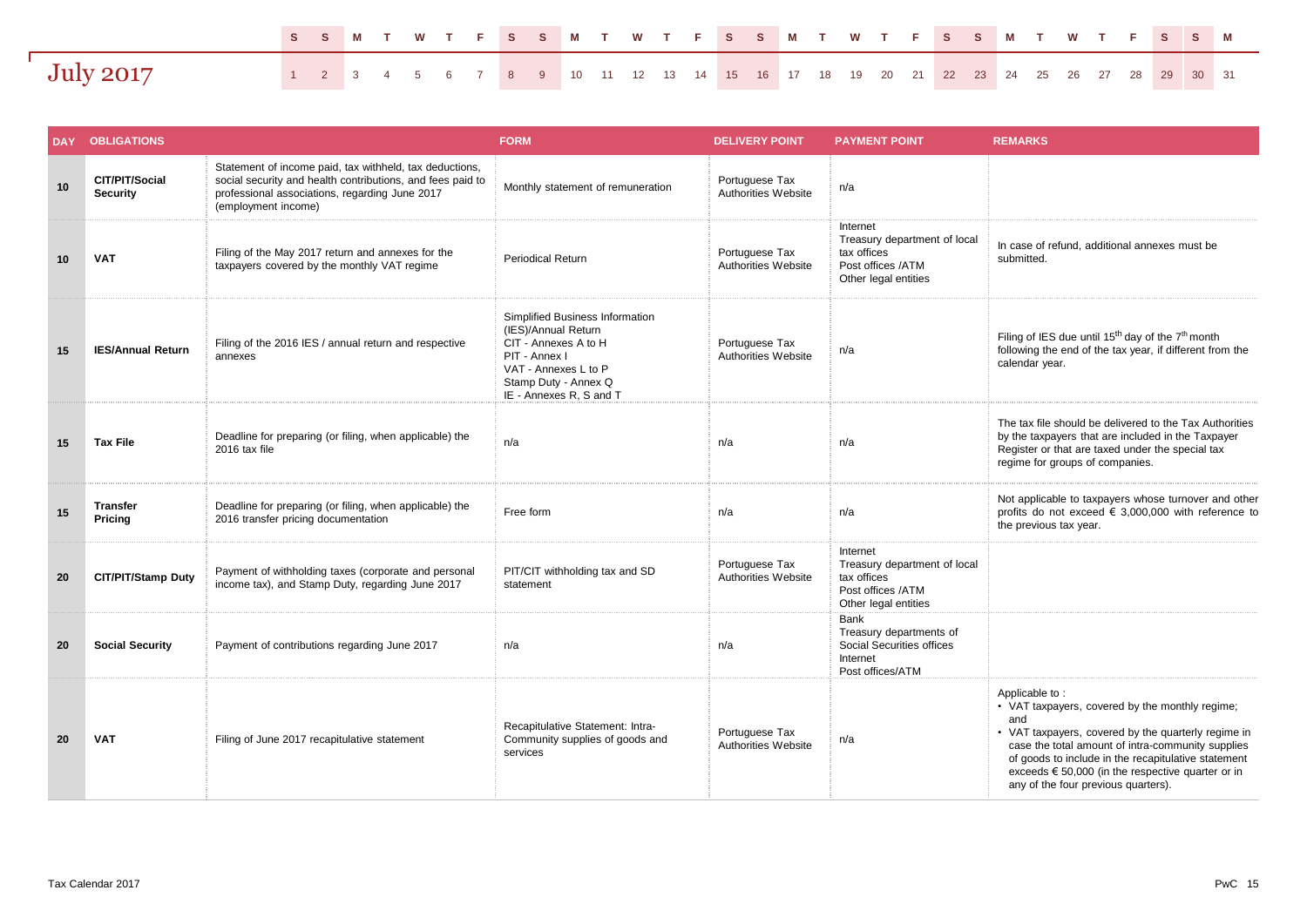|                  | SSMT WTFSSMT WTFSSMT WTFSSMT WTFSSM                                                 |  |  |  |  |  |  |  |  |  |  |  |  |  |  |  |
|------------------|-------------------------------------------------------------------------------------|--|--|--|--|--|--|--|--|--|--|--|--|--|--|--|
| <b>July 2017</b> | 1 2 3 4 5 6 7 8 9 10 11 12 13 14 15 16 17 18 19 20 21 22 23 24 25 26 27 28 29 30 31 |  |  |  |  |  |  |  |  |  |  |  |  |  |  |  |

| <b>DAY</b> | <b>OBLIGATIONS</b>                |                                                                                                                                                                                                | <b>FORM</b>                                                                                                                                                                | <b>DELIVERY POINT</b>                 | <b>PAYMENT POINT</b>                                                                                 | <b>REMARKS</b>                                                                                                                                                                                                                                                                                                                                   |
|------------|-----------------------------------|------------------------------------------------------------------------------------------------------------------------------------------------------------------------------------------------|----------------------------------------------------------------------------------------------------------------------------------------------------------------------------|---------------------------------------|------------------------------------------------------------------------------------------------------|--------------------------------------------------------------------------------------------------------------------------------------------------------------------------------------------------------------------------------------------------------------------------------------------------------------------------------------------------|
| 10         | CIT/PIT/Social<br><b>Security</b> | Statement of income paid, tax withheld, tax deductions,<br>social security and health contributions, and fees paid to<br>professional associations, regarding June 2017<br>(employment income) | Monthly statement of remuneration                                                                                                                                          | Portuguese Tax<br>Authorities Website | n/a                                                                                                  |                                                                                                                                                                                                                                                                                                                                                  |
| 10         | <b>VAT</b>                        | Filing of the May 2017 return and annexes for the<br>taxpayers covered by the monthly VAT regime                                                                                               | <b>Periodical Return</b>                                                                                                                                                   | Portuguese Tax<br>Authorities Website | Internet<br>Treasury department of local<br>tax offices<br>Post offices /ATM<br>Other legal entities | In case of refund, additional annexes must be<br>submitted.                                                                                                                                                                                                                                                                                      |
| 15         | <b>IES/Annual Return</b>          | Filing of the 2016 IES / annual return and respective<br>annexes                                                                                                                               | Simplified Business Information<br>(IES)/Annual Return<br>CIT - Annexes A to H<br>PIT - Annex I<br>VAT - Annexes L to P<br>Stamp Duty - Annex Q<br>IE - Annexes R, S and T | Portuguese Tax<br>Authorities Website | n/a                                                                                                  | Filing of IES due until $15^{th}$ day of the $7^{th}$ month<br>following the end of the tax year, if different from the<br>calendar year.                                                                                                                                                                                                        |
| 15         | <b>Tax File</b>                   | Deadline for preparing (or filing, when applicable) the<br>2016 tax file                                                                                                                       | n/a                                                                                                                                                                        | n/a                                   | n/a                                                                                                  | The tax file should be delivered to the Tax Authorities<br>by the taxpayers that are included in the Taxpayer<br>Register or that are taxed under the special tax<br>regime for groups of companies.                                                                                                                                             |
| 15         | <b>Transfer</b><br>Pricing        | Deadline for preparing (or filing, when applicable) the<br>2016 transfer pricing documentation                                                                                                 | Free form                                                                                                                                                                  | n/a                                   | n/a                                                                                                  | Not applicable to taxpayers whose turnover and other<br>profits do not exceed € 3,000,000 with reference to<br>the previous tax year.                                                                                                                                                                                                            |
| 20         | <b>CIT/PIT/Stamp Duty</b>         | Payment of withholding taxes (corporate and personal<br>income tax), and Stamp Duty, regarding June 2017                                                                                       | PIT/CIT withholding tax and SD<br>statement                                                                                                                                | Portuguese Tax<br>Authorities Website | Internet<br>Treasury department of local<br>tax offices<br>Post offices /ATM<br>Other legal entities |                                                                                                                                                                                                                                                                                                                                                  |
| 20         | <b>Social Security</b>            | Payment of contributions regarding June 2017                                                                                                                                                   | n/a                                                                                                                                                                        | n/a                                   | <b>Bank</b><br>Treasury departments of<br>Social Securities offices<br>Internet<br>Post offices/ATM  |                                                                                                                                                                                                                                                                                                                                                  |
| 20         | <b>VAT</b>                        | Filing of June 2017 recapitulative statement                                                                                                                                                   | Recapitulative Statement: Intra-<br>Community supplies of goods and<br>services                                                                                            | Portuguese Tax<br>Authorities Website | n/a                                                                                                  | Applicable to:<br>• VAT taxpayers, covered by the monthly regime;<br>and<br>• VAT taxpayers, covered by the quarterly regime in<br>case the total amount of intra-community supplies<br>of goods to include in the recapitulative statement<br>exceeds $\epsilon$ 50,000 (in the respective quarter or in<br>any of the four previous quarters). |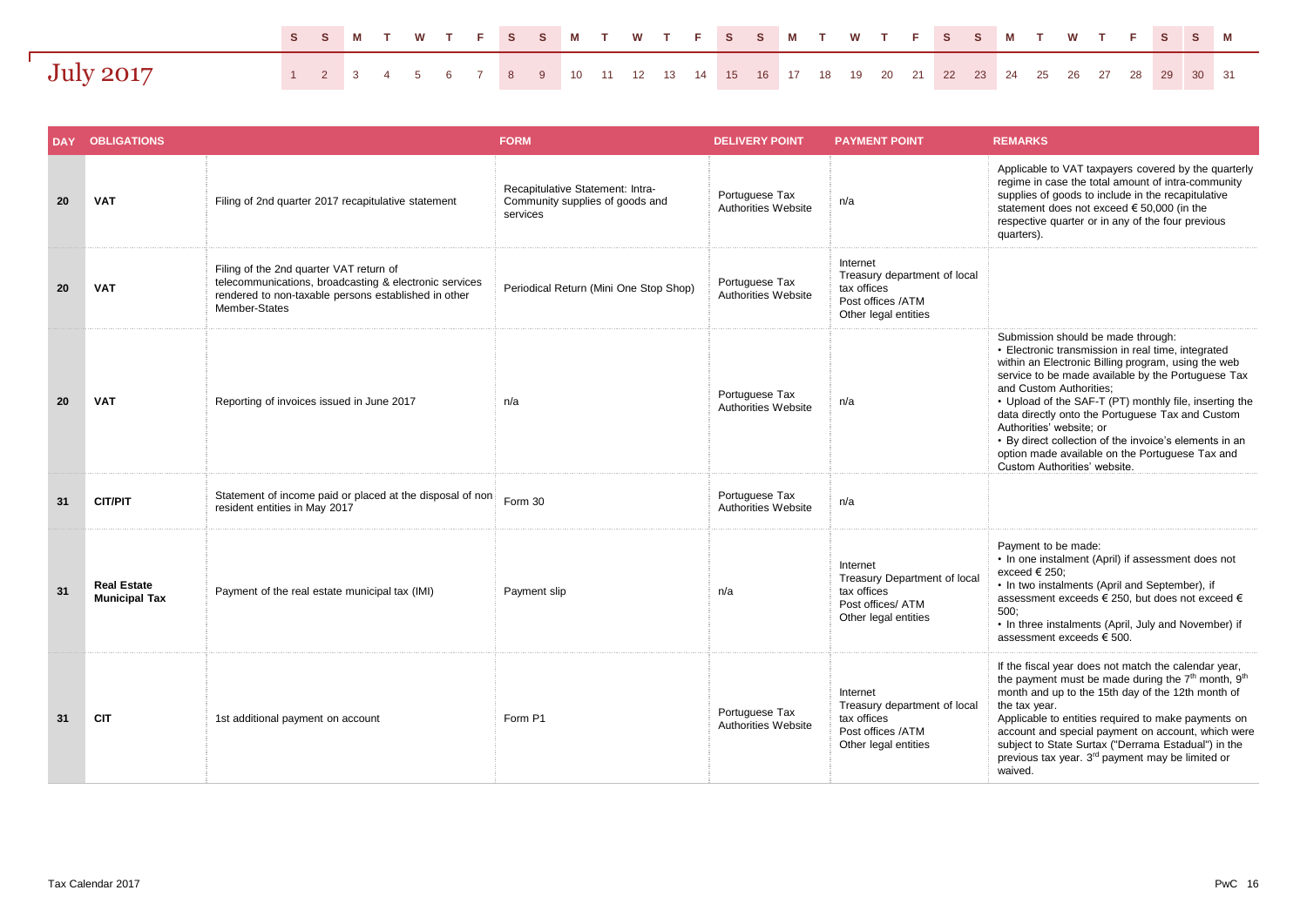|           | SSMT WTFSSMT WTFSSMT WTFSSMT WTFSSM                                                 |  |  |  |  |  |  |  |  |  |  |  |  |  |  |  |
|-----------|-------------------------------------------------------------------------------------|--|--|--|--|--|--|--|--|--|--|--|--|--|--|--|
| July 2017 | 1 2 3 4 5 6 7 8 9 10 11 12 13 14 15 16 17 18 19 20 21 22 23 24 25 26 27 28 29 30 31 |  |  |  |  |  |  |  |  |  |  |  |  |  |  |  |

| <b>DAY</b> | <b>OBLIGATIONS</b>                         |                                                                                                                                                                            | <b>FORM</b>                                                                     | <b>DELIVERY POINT</b>                 | <b>PAYMENT POINT</b>                                                                                 | <b>REMARKS</b>                                                                                                                                                                                                                                                                                                                                                                                                                                                                                                          |
|------------|--------------------------------------------|----------------------------------------------------------------------------------------------------------------------------------------------------------------------------|---------------------------------------------------------------------------------|---------------------------------------|------------------------------------------------------------------------------------------------------|-------------------------------------------------------------------------------------------------------------------------------------------------------------------------------------------------------------------------------------------------------------------------------------------------------------------------------------------------------------------------------------------------------------------------------------------------------------------------------------------------------------------------|
| 20         | <b>VAT</b>                                 | Filing of 2nd quarter 2017 recapitulative statement                                                                                                                        | Recapitulative Statement: Intra-<br>Community supplies of goods and<br>services | Portuguese Tax<br>Authorities Website | n/a                                                                                                  | Applicable to VAT taxpayers covered by the quarterly<br>regime in case the total amount of intra-community<br>supplies of goods to include in the recapitulative<br>statement does not exceed € 50,000 (in the<br>respective quarter or in any of the four previous<br>quarters).                                                                                                                                                                                                                                       |
| 20         | <b>VAT</b>                                 | Filing of the 2nd quarter VAT return of<br>telecommunications, broadcasting & electronic services<br>rendered to non-taxable persons established in other<br>Member-States | Periodical Return (Mini One Stop Shop)                                          | Portuguese Tax<br>Authorities Website | Internet<br>Treasury department of local<br>tax offices<br>Post offices /ATM<br>Other legal entities |                                                                                                                                                                                                                                                                                                                                                                                                                                                                                                                         |
| 20         | <b>VAT</b>                                 | Reporting of invoices issued in June 2017                                                                                                                                  | n/a                                                                             | Portuguese Tax<br>Authorities Website | n/a                                                                                                  | Submission should be made through:<br>• Electronic transmission in real time, integrated<br>within an Electronic Billing program, using the web<br>service to be made available by the Portuguese Tax<br>and Custom Authorities:<br>• Upload of the SAF-T (PT) monthly file, inserting the<br>data directly onto the Portuguese Tax and Custom<br>Authorities' website; or<br>• By direct collection of the invoice's elements in an<br>option made available on the Portuguese Tax and<br>Custom Authorities' website. |
| 31         | <b>CIT/PIT</b>                             | Statement of income paid or placed at the disposal of non<br>resident entities in May 2017                                                                                 | Form 30                                                                         | Portuguese Tax<br>Authorities Website | n/a                                                                                                  |                                                                                                                                                                                                                                                                                                                                                                                                                                                                                                                         |
| 31         | <b>Real Estate</b><br><b>Municipal Tax</b> | Payment of the real estate municipal tax (IMI)                                                                                                                             | Payment slip                                                                    | n/a                                   | Internet<br>Treasury Department of local<br>tax offices<br>Post offices/ ATM<br>Other legal entities | Payment to be made:<br>• In one instalment (April) if assessment does not<br>exceed $\epsilon$ 250:<br>• In two instalments (April and September), if<br>assessment exceeds € 250, but does not exceed €<br>500:<br>• In three instalments (April, July and November) if<br>assessment exceeds € 500.                                                                                                                                                                                                                   |
| 31         | <b>CIT</b>                                 | 1st additional payment on account                                                                                                                                          | Form P1                                                                         | Portuguese Tax<br>Authorities Website | Internet<br>Treasury department of local<br>tax offices<br>Post offices /ATM<br>Other legal entities | If the fiscal year does not match the calendar year,<br>the payment must be made during the 7 <sup>th</sup> month, 9 <sup>th</sup><br>month and up to the 15th day of the 12th month of<br>the tax year.<br>Applicable to entities required to make payments on<br>account and special payment on account, which were<br>subject to State Surtax ("Derrama Estadual") in the<br>previous tax year. 3 <sup>rd</sup> payment may be limited or<br>waived.                                                                 |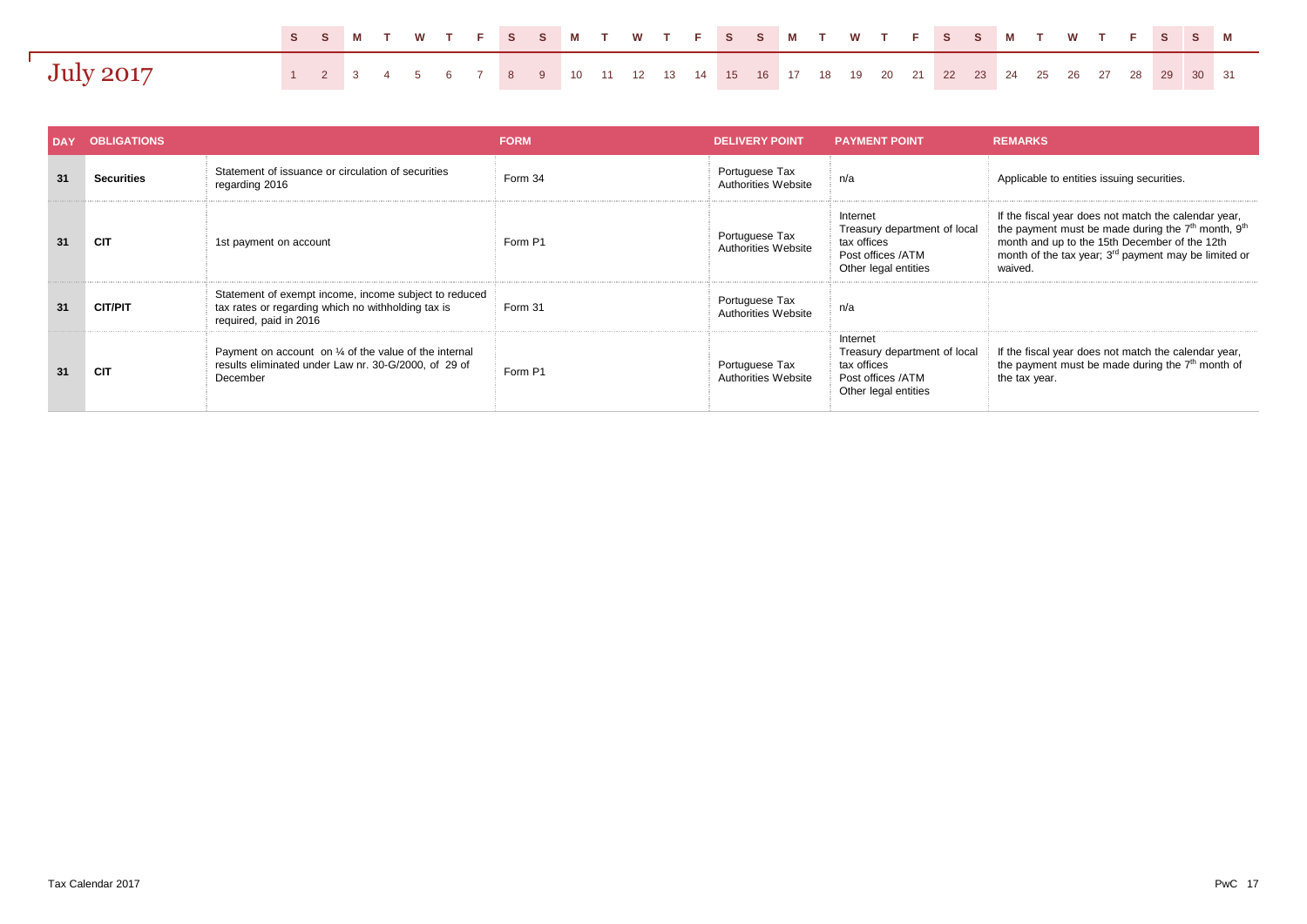|                  | SSMT WTFSSMT WTFSSMT WTFSSMT WTFSSM                                                 |  |  |  |  |  |  |  |  |  |  |  |  |  |  |  |
|------------------|-------------------------------------------------------------------------------------|--|--|--|--|--|--|--|--|--|--|--|--|--|--|--|
| <b>July 2017</b> | 1 2 3 4 5 6 7 8 9 10 11 12 13 14 15 16 17 18 19 20 21 22 23 24 25 26 27 28 29 30 31 |  |  |  |  |  |  |  |  |  |  |  |  |  |  |  |

| DAY | <b>OBLIGATIONS</b> |                                                                                                                                       | <b>FORM</b> | <b>DELIVERY POINT</b>                 | <b>PAYMENT POINT.</b>                                                                                | <b>REMARKS</b>                                                                                                                                                                                                                                                     |
|-----|--------------------|---------------------------------------------------------------------------------------------------------------------------------------|-------------|---------------------------------------|------------------------------------------------------------------------------------------------------|--------------------------------------------------------------------------------------------------------------------------------------------------------------------------------------------------------------------------------------------------------------------|
| 31  | <b>Securities</b>  | Statement of issuance or circulation of securities<br>regarding 2016                                                                  | Form 34     | Portuguese Tax<br>Authorities Website | n/a                                                                                                  | Applicable to entities issuing securities.                                                                                                                                                                                                                         |
| 31  | <b>CIT</b>         | 1st payment on account                                                                                                                | Form P1     | Portuguese Tax<br>Authorities Website | Internet<br>Treasury department of local<br>tax offices<br>Post offices /ATM<br>Other legal entities | If the fiscal year does not match the calendar year,<br>the payment must be made during the 7 <sup>th</sup> month, 9 <sup>th</sup><br>month and up to the 15th December of the 12th<br>month of the tax year; 3 <sup>rd</sup> payment may be limited or<br>waived. |
| 31  | <b>CIT/PIT</b>     | Statement of exempt income, income subject to reduced<br>tax rates or regarding which no withholding tax is<br>required, paid in 2016 | Form 31     | Portuguese Tax<br>Authorities Website | n/a                                                                                                  |                                                                                                                                                                                                                                                                    |
| 31  | <b>CIT</b>         | Payment on account on 1/4 of the value of the internal<br>results eliminated under Law nr. 30-G/2000, of 29 of<br>December            | Form P1     | Portuguese Tax<br>Authorities Website | Internet<br>Treasury department of local<br>tax offices<br>Post offices /ATM<br>Other legal entities | If the fiscal year does not match the calendar year,<br>the payment must be made during the $7th$ month of<br>the tax year.                                                                                                                                        |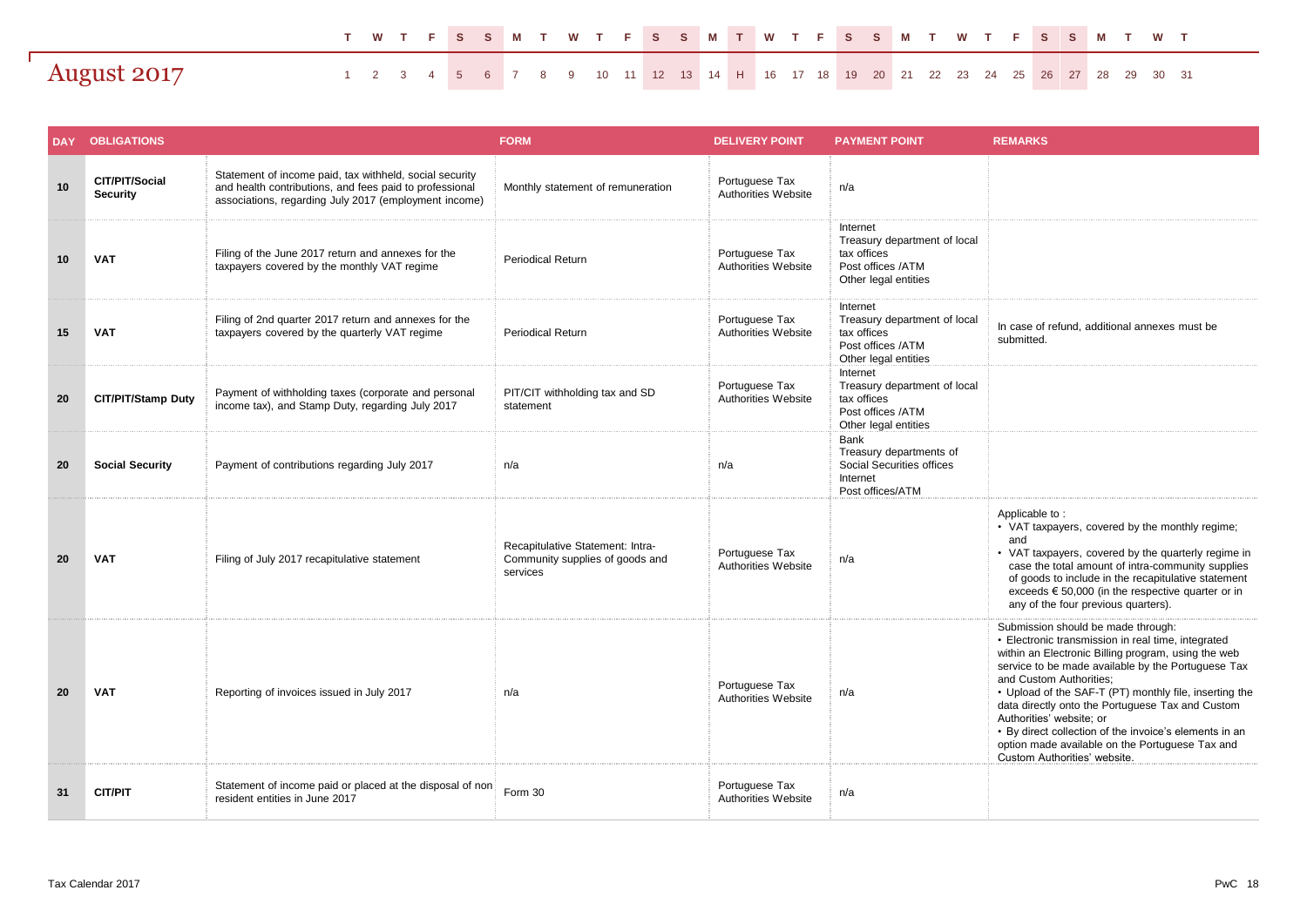|             |  |  |  |  |  |  |  |  |  |  |  |  |  |  | TWTFSSMTWTFSSMTWTFSSMTWTFSSMTWT                                                    |  |
|-------------|--|--|--|--|--|--|--|--|--|--|--|--|--|--|------------------------------------------------------------------------------------|--|
| August 2017 |  |  |  |  |  |  |  |  |  |  |  |  |  |  | 1 2 3 4 5 6 7 8 9 10 11 12 13 14 H 16 17 18 19 20 21 22 23 24 25 26 27 28 29 30 31 |  |

| <b>DAY</b> | <b>OBLIGATIONS</b>                |                                                                                                                                                                             | <b>FORM</b>                                                                     | <b>DELIVERY POINT</b>                        | <b>PAYMENT POINT</b>                                                                                 | <b>REMARKS</b>                                                                                                                                                                                                                                                                                                                                                                                                                                                                                                          |
|------------|-----------------------------------|-----------------------------------------------------------------------------------------------------------------------------------------------------------------------------|---------------------------------------------------------------------------------|----------------------------------------------|------------------------------------------------------------------------------------------------------|-------------------------------------------------------------------------------------------------------------------------------------------------------------------------------------------------------------------------------------------------------------------------------------------------------------------------------------------------------------------------------------------------------------------------------------------------------------------------------------------------------------------------|
| 10         | CIT/PIT/Social<br><b>Security</b> | Statement of income paid, tax withheld, social security<br>and health contributions, and fees paid to professional<br>associations, regarding July 2017 (employment income) | Monthly statement of remuneration                                               | Portuguese Tax<br>Authorities Website        | n/a                                                                                                  |                                                                                                                                                                                                                                                                                                                                                                                                                                                                                                                         |
| 10         | <b>VAT</b>                        | Filing of the June 2017 return and annexes for the<br>taxpayers covered by the monthly VAT regime                                                                           | <b>Periodical Return</b>                                                        | Portuguese Tax<br>Authorities Website        | Internet<br>Treasury department of local<br>tax offices<br>Post offices /ATM<br>Other legal entities |                                                                                                                                                                                                                                                                                                                                                                                                                                                                                                                         |
| 15         | <b>VAT</b>                        | Filing of 2nd quarter 2017 return and annexes for the<br>taxpayers covered by the quarterly VAT regime                                                                      | <b>Periodical Return</b>                                                        | Portuguese Tax<br><b>Authorities Website</b> | Internet<br>Treasury department of local<br>tax offices<br>Post offices /ATM<br>Other legal entities | In case of refund, additional annexes must be<br>submitted.                                                                                                                                                                                                                                                                                                                                                                                                                                                             |
| 20         | <b>CIT/PIT/Stamp Duty</b>         | Payment of withholding taxes (corporate and personal<br>income tax), and Stamp Duty, regarding July 2017                                                                    | PIT/CIT withholding tax and SD<br>statement                                     | Portuguese Tax<br>Authorities Website        | Internet<br>Treasury department of local<br>tax offices<br>Post offices /ATM<br>Other legal entities |                                                                                                                                                                                                                                                                                                                                                                                                                                                                                                                         |
| 20         | <b>Social Security</b>            | Payment of contributions regarding July 2017                                                                                                                                | n/a                                                                             | n/a                                          | Bank<br>Treasury departments of<br>Social Securities offices<br>Internet<br>Post offices/ATM         |                                                                                                                                                                                                                                                                                                                                                                                                                                                                                                                         |
| 20         | <b>VAT</b>                        | Filing of July 2017 recapitulative statement                                                                                                                                | Recapitulative Statement: Intra-<br>Community supplies of goods and<br>services | Portuguese Tax<br>Authorities Website        | n/a                                                                                                  | Applicable to:<br>• VAT taxpayers, covered by the monthly regime;<br>and<br>• VAT taxpayers, covered by the quarterly regime in<br>case the total amount of intra-community supplies<br>of goods to include in the recapitulative statement<br>exceeds $\epsilon$ 50,000 (in the respective quarter or in<br>any of the four previous quarters).                                                                                                                                                                        |
| 20         | <b>VAT</b>                        | Reporting of invoices issued in July 2017                                                                                                                                   | n/a                                                                             | Portuguese Tax<br>Authorities Website        | n/a                                                                                                  | Submission should be made through:<br>• Electronic transmission in real time, integrated<br>within an Electronic Billing program, using the web<br>service to be made available by the Portuguese Tax<br>and Custom Authorities;<br>• Upload of the SAF-T (PT) monthly file, inserting the<br>data directly onto the Portuguese Tax and Custom<br>Authorities' website; or<br>• By direct collection of the invoice's elements in an<br>option made available on the Portuguese Tax and<br>Custom Authorities' website. |
| 31         | <b>CIT/PIT</b>                    | Statement of income paid or placed at the disposal of non<br>resident entities in June 2017                                                                                 | Form 30                                                                         | Portuguese Tax<br>Authorities Website        | n/a                                                                                                  |                                                                                                                                                                                                                                                                                                                                                                                                                                                                                                                         |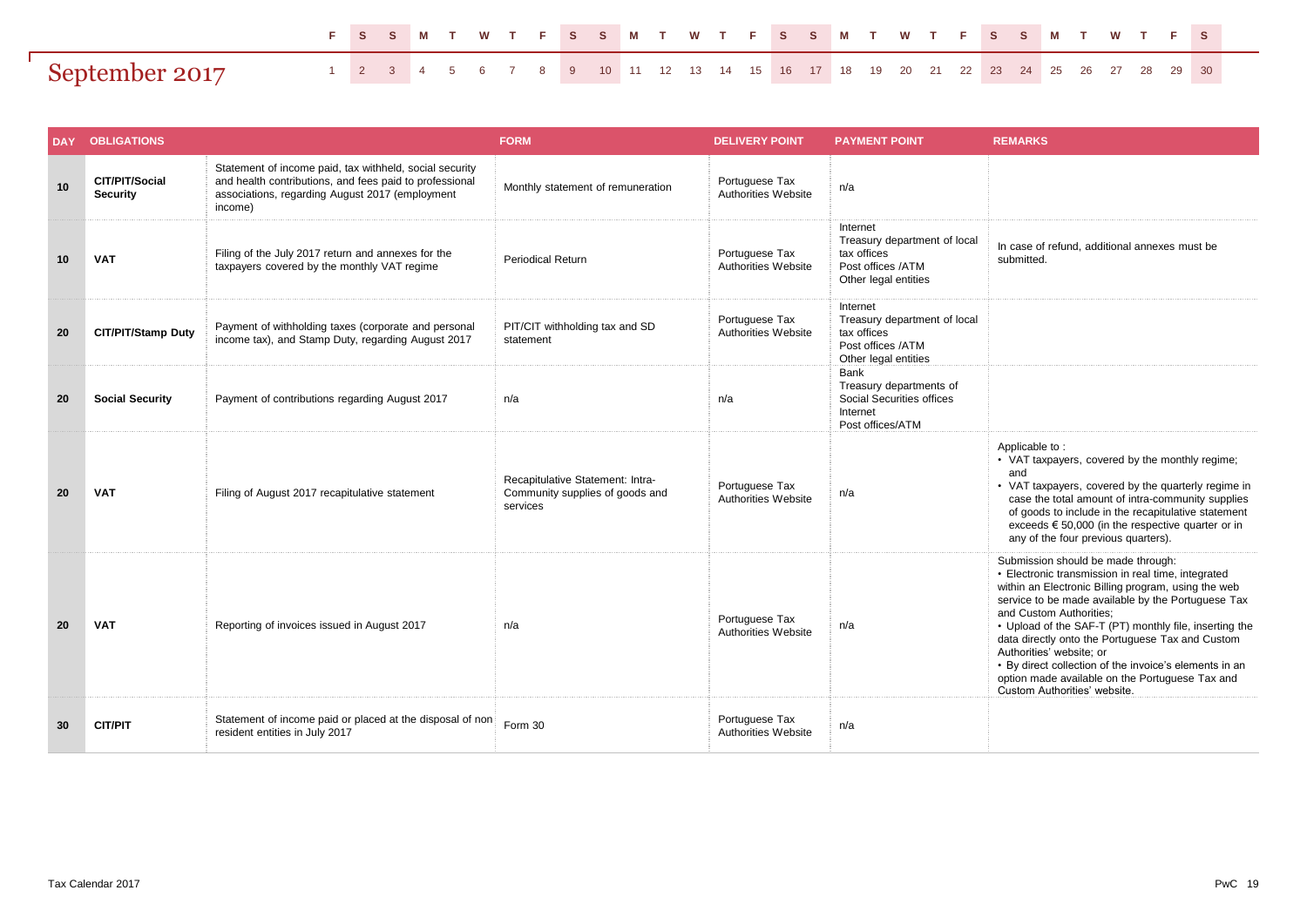|                |  |  |  |  |  |  |  |  |  |  |  |  |  |  | FSSM TWTFSSM TWTFSSM TWTFSSM TWTFS                                               |
|----------------|--|--|--|--|--|--|--|--|--|--|--|--|--|--|----------------------------------------------------------------------------------|
| September 2017 |  |  |  |  |  |  |  |  |  |  |  |  |  |  | 1 2 3 4 5 6 7 8 9 10 11 12 13 14 15 16 17 18 19 20 21 22 23 24 25 26 27 28 29 30 |

|    | DAY OBLIGATIONS                   |                                                                                                                                                                                  | <b>FORM</b>                                                                     | <b>DELIVERY POINT</b>                 | <b>PAYMENT POINT</b>                                                                                 | <b>REMARKS</b>                                                                                                                                                                                                                                                                                                                                                                                                                                                                                                          |
|----|-----------------------------------|----------------------------------------------------------------------------------------------------------------------------------------------------------------------------------|---------------------------------------------------------------------------------|---------------------------------------|------------------------------------------------------------------------------------------------------|-------------------------------------------------------------------------------------------------------------------------------------------------------------------------------------------------------------------------------------------------------------------------------------------------------------------------------------------------------------------------------------------------------------------------------------------------------------------------------------------------------------------------|
| 10 | CIT/PIT/Social<br><b>Security</b> | Statement of income paid, tax withheld, social security<br>and health contributions, and fees paid to professional<br>associations, regarding August 2017 (employment<br>income) | Monthly statement of remuneration                                               | Portuguese Tax<br>Authorities Website | n/a                                                                                                  |                                                                                                                                                                                                                                                                                                                                                                                                                                                                                                                         |
| 10 | <b>VAT</b>                        | Filing of the July 2017 return and annexes for the<br>taxpayers covered by the monthly VAT regime                                                                                | <b>Periodical Return</b>                                                        | Portuguese Tax<br>Authorities Website | Internet<br>Treasury department of local<br>tax offices<br>Post offices /ATM<br>Other legal entities | In case of refund, additional annexes must be<br>submitted.                                                                                                                                                                                                                                                                                                                                                                                                                                                             |
| 20 | <b>CIT/PIT/Stamp Duty</b>         | Payment of withholding taxes (corporate and personal<br>income tax), and Stamp Duty, regarding August 2017                                                                       | PIT/CIT withholding tax and SD<br>statement                                     | Portuguese Tax<br>Authorities Website | Internet<br>Treasury department of local<br>tax offices<br>Post offices /ATM<br>Other legal entities |                                                                                                                                                                                                                                                                                                                                                                                                                                                                                                                         |
| 20 | <b>Social Security</b>            | Payment of contributions regarding August 2017                                                                                                                                   | n/a                                                                             | n/a                                   | Bank<br>Treasury departments of<br>Social Securities offices<br>Internet<br>Post offices/ATM         |                                                                                                                                                                                                                                                                                                                                                                                                                                                                                                                         |
| 20 | <b>VAT</b>                        | Filing of August 2017 recapitulative statement                                                                                                                                   | Recapitulative Statement: Intra-<br>Community supplies of goods and<br>services | Portuguese Tax<br>Authorities Website | n/a                                                                                                  | Applicable to:<br>• VAT taxpayers, covered by the monthly regime;<br>and<br>• VAT taxpayers, covered by the quarterly regime in<br>case the total amount of intra-community supplies<br>of goods to include in the recapitulative statement<br>exceeds $\epsilon$ 50,000 (in the respective quarter or in<br>any of the four previous quarters).                                                                                                                                                                        |
| 20 | <b>VAT</b>                        | Reporting of invoices issued in August 2017                                                                                                                                      | n/a                                                                             | Portuguese Tax<br>Authorities Website | n/a                                                                                                  | Submission should be made through:<br>• Electronic transmission in real time, integrated<br>within an Electronic Billing program, using the web<br>service to be made available by the Portuguese Tax<br>and Custom Authorities:<br>• Upload of the SAF-T (PT) monthly file, inserting the<br>data directly onto the Portuguese Tax and Custom<br>Authorities' website: or<br>• By direct collection of the invoice's elements in an<br>option made available on the Portuguese Tax and<br>Custom Authorities' website. |
| 30 | <b>CIT/PIT</b>                    | Statement of income paid or placed at the disposal of non<br>resident entities in July 2017                                                                                      | Form 30                                                                         | Portuguese Tax<br>Authorities Website | n/a                                                                                                  |                                                                                                                                                                                                                                                                                                                                                                                                                                                                                                                         |

Г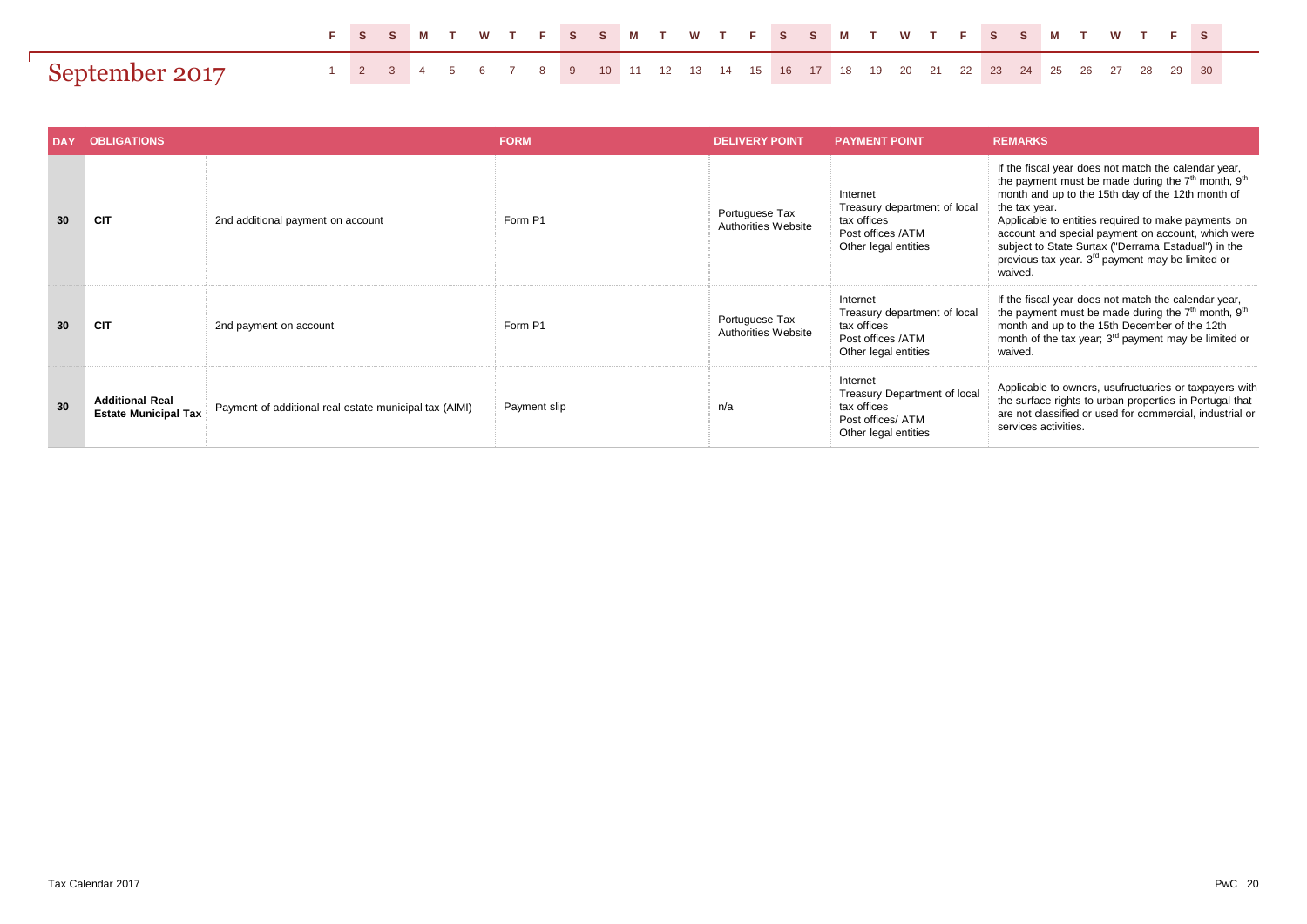|                |  |  |  |  | FSSM TWTFSSM TWTFSSM TWTFSSM TWTFS                                                                            |  |  |  |  |  |  |  |  |  |  |  |
|----------------|--|--|--|--|---------------------------------------------------------------------------------------------------------------|--|--|--|--|--|--|--|--|--|--|--|
| Sentember 2017 |  |  |  |  | 1  2  3  4  5  6  7  8  9  10  11  12  13  14  15  16  17  18  19  20  21  22  23  24  25  26  27  28  29  30 |  |  |  |  |  |  |  |  |  |  |  |

| <b>DAY</b> | <b>OBLIGATIONS</b>                                    |                                                        | <b>FORM</b>  | <b>DELIVERY POINT</b>                 | <b>PAYMENT POINT</b>                                                                                 | <b>REMARKS</b>                                                                                                                                                                                                                                                                                                                                                                                                                      |
|------------|-------------------------------------------------------|--------------------------------------------------------|--------------|---------------------------------------|------------------------------------------------------------------------------------------------------|-------------------------------------------------------------------------------------------------------------------------------------------------------------------------------------------------------------------------------------------------------------------------------------------------------------------------------------------------------------------------------------------------------------------------------------|
| 30         | <b>CIT</b>                                            | 2nd additional payment on account                      | Form P1      | Portuguese Tax<br>Authorities Website | Internet<br>Treasury department of local<br>tax offices<br>Post offices /ATM<br>Other legal entities | If the fiscal year does not match the calendar year,<br>the payment must be made during the $7th$ month, $9th$<br>month and up to the 15th day of the 12th month of<br>the tax year.<br>Applicable to entities required to make payments on<br>account and special payment on account, which were<br>subject to State Surtax ("Derrama Estadual") in the<br>previous tax year. 3 <sup>rd</sup> payment may be limited or<br>waived. |
| 30         | <b>CIT</b>                                            | 2nd payment on account                                 | Form P1      | Portuguese Tax<br>Authorities Website | Internet<br>Treasury department of local<br>tax offices<br>Post offices /ATM<br>Other legal entities | If the fiscal year does not match the calendar year,<br>the payment must be made during the 7 <sup>th</sup> month, 9 <sup>th</sup><br>month and up to the 15th December of the 12th<br>month of the tax year; 3 <sup>rd</sup> payment may be limited or<br>waived.                                                                                                                                                                  |
| 30         | <b>Additional Real</b><br><b>Estate Municipal Tax</b> | Payment of additional real estate municipal tax (AIMI) | Payment slip | n/a                                   | Internet<br>Treasury Department of local<br>tax offices<br>Post offices/ ATM<br>Other legal entities | Applicable to owners, usufructuaries or taxpayers with<br>the surface rights to urban properties in Portugal that<br>are not classified or used for commercial, industrial or<br>services activities.                                                                                                                                                                                                                               |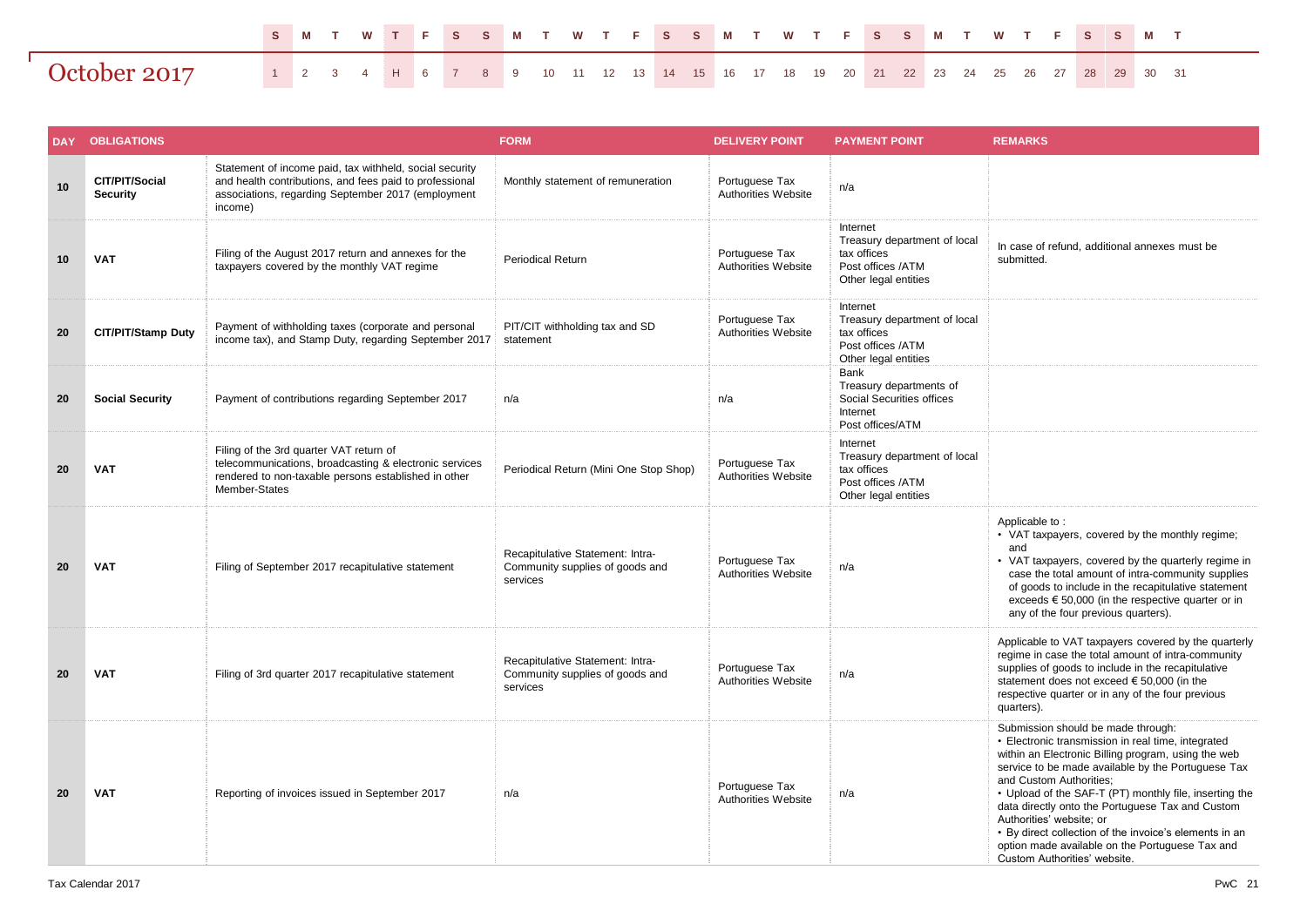|              |  |  |  |  |  |  |  |  |  |  |  |  |  |  | S M T W T F S S M T W T F S S M T W T F S S M T W T F S S M T                       |  |
|--------------|--|--|--|--|--|--|--|--|--|--|--|--|--|--|-------------------------------------------------------------------------------------|--|
| October 2017 |  |  |  |  |  |  |  |  |  |  |  |  |  |  | 1 2 3 4 H 6 7 8 9 10 11 12 13 14 15 16 17 18 19 20 21 22 23 24 25 26 27 28 29 30 31 |  |

| <b>DAY</b> | <b>OBLIGATIONS</b>                |                                                                                                                                                                                     | <b>FORM</b>                                                                     | <b>DELIVERY POINT</b>                        | <b>PAYMENT POINT</b>                                                                                 | <b>REMARKS</b>                                                                                                                                                                                                                                                                                                                                                                                                                                                                                                          |
|------------|-----------------------------------|-------------------------------------------------------------------------------------------------------------------------------------------------------------------------------------|---------------------------------------------------------------------------------|----------------------------------------------|------------------------------------------------------------------------------------------------------|-------------------------------------------------------------------------------------------------------------------------------------------------------------------------------------------------------------------------------------------------------------------------------------------------------------------------------------------------------------------------------------------------------------------------------------------------------------------------------------------------------------------------|
| 10         | CIT/PIT/Social<br><b>Security</b> | Statement of income paid, tax withheld, social security<br>and health contributions, and fees paid to professional<br>associations, regarding September 2017 (employment<br>income) | Monthly statement of remuneration                                               | Portuguese Tax<br>Authorities Website        | n/a                                                                                                  |                                                                                                                                                                                                                                                                                                                                                                                                                                                                                                                         |
| 10         | <b>VAT</b>                        | Filing of the August 2017 return and annexes for the<br>taxpayers covered by the monthly VAT regime                                                                                 | <b>Periodical Return</b>                                                        | Portuguese Tax<br>Authorities Website        | Internet<br>Treasury department of local<br>tax offices<br>Post offices /ATM<br>Other legal entities | In case of refund, additional annexes must be<br>submitted.                                                                                                                                                                                                                                                                                                                                                                                                                                                             |
| 20         | CIT/PIT/Stamp Duty                | Payment of withholding taxes (corporate and personal<br>income tax), and Stamp Duty, regarding September 2017                                                                       | PIT/CIT withholding tax and SD<br>statement                                     | Portuguese Tax<br>Authorities Website        | Internet<br>Treasury department of local<br>tax offices<br>Post offices /ATM<br>Other legal entities |                                                                                                                                                                                                                                                                                                                                                                                                                                                                                                                         |
| 20         | <b>Social Security</b>            | Payment of contributions regarding September 2017                                                                                                                                   | n/a                                                                             | n/a                                          | Bank<br>Treasury departments of<br>Social Securities offices<br>Internet<br>Post offices/ATM         |                                                                                                                                                                                                                                                                                                                                                                                                                                                                                                                         |
| 20         | <b>VAT</b>                        | Filing of the 3rd quarter VAT return of<br>telecommunications, broadcasting & electronic services<br>rendered to non-taxable persons established in other<br>Member-States          | Periodical Return (Mini One Stop Shop)                                          | Portuguese Tax<br>Authorities Website        | Internet<br>Treasury department of local<br>tax offices<br>Post offices /ATM<br>Other legal entities |                                                                                                                                                                                                                                                                                                                                                                                                                                                                                                                         |
| 20         | <b>VAT</b>                        | Filing of September 2017 recapitulative statement                                                                                                                                   | Recapitulative Statement: Intra-<br>Community supplies of goods and<br>services | Portuguese Tax<br><b>Authorities Website</b> | n/a                                                                                                  | Applicable to:<br>• VAT taxpayers, covered by the monthly regime;<br>and<br>• VAT taxpayers, covered by the quarterly regime in<br>case the total amount of intra-community supplies<br>of goods to include in the recapitulative statement<br>exceeds $\epsilon$ 50,000 (in the respective quarter or in<br>any of the four previous quarters).                                                                                                                                                                        |
| 20         | <b>VAT</b>                        | Filing of 3rd quarter 2017 recapitulative statement                                                                                                                                 | Recapitulative Statement: Intra-<br>Community supplies of goods and<br>services | Portuguese Tax<br>Authorities Website        | n/a                                                                                                  | Applicable to VAT taxpayers covered by the quarterly<br>regime in case the total amount of intra-community<br>supplies of goods to include in the recapitulative<br>statement does not exceed $\epsilon$ 50,000 (in the<br>respective quarter or in any of the four previous<br>quarters).                                                                                                                                                                                                                              |
| 20         | <b>VAT</b>                        | Reporting of invoices issued in September 2017                                                                                                                                      | n/a                                                                             | Portuguese Tax<br>Authorities Website        | n/a                                                                                                  | Submission should be made through:<br>• Electronic transmission in real time, integrated<br>within an Electronic Billing program, using the web<br>service to be made available by the Portuguese Tax<br>and Custom Authorities;<br>• Upload of the SAF-T (PT) monthly file, inserting the<br>data directly onto the Portuguese Tax and Custom<br>Authorities' website; or<br>• By direct collection of the invoice's elements in an<br>option made available on the Portuguese Tax and<br>Custom Authorities' website. |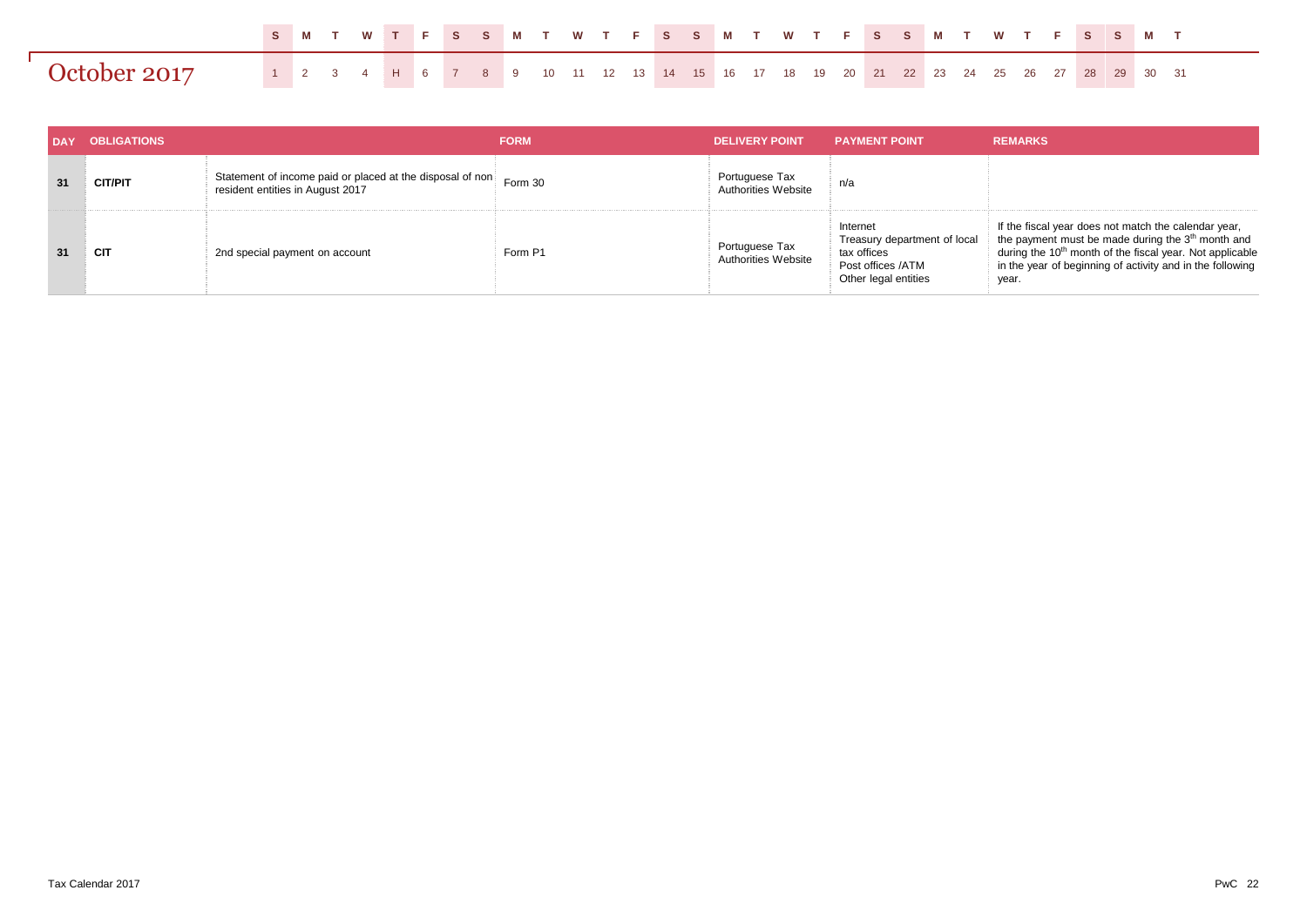|              |  |  |  | SMTWTFSSMTWTFSSMTWTFSSMTWTFSSMT                                                     |  |  |  |  |  |  |  |  |  |  |  |  |
|--------------|--|--|--|-------------------------------------------------------------------------------------|--|--|--|--|--|--|--|--|--|--|--|--|
| October 2017 |  |  |  | 1 2 3 4 H 6 7 8 9 10 11 12 13 14 15 16 17 18 19 20 21 22 23 24 25 26 27 28 29 30 31 |  |  |  |  |  |  |  |  |  |  |  |  |

| <b>DAY</b> | <b>OBLIGATIONS</b> |                                                                                               | <b>FORM</b> | <b>DELIVERY POINT</b>                 | <b>PAYMENT POINT</b>                                                                                 | <b>REMARKS</b>                                                                                                                                                                                                                                                      |
|------------|--------------------|-----------------------------------------------------------------------------------------------|-------------|---------------------------------------|------------------------------------------------------------------------------------------------------|---------------------------------------------------------------------------------------------------------------------------------------------------------------------------------------------------------------------------------------------------------------------|
| 31         | <b>CIT/PIT</b>     | Statement of income paid or placed at the disposal of non<br>resident entities in August 2017 | Form 30     | Portuguese Tax<br>Authorities Website | n/a                                                                                                  |                                                                                                                                                                                                                                                                     |
| 31         | CIT                | 2nd special payment on account                                                                | Form P1     | Portuguese Tax<br>Authorities Website | Internet<br>Treasury department of local<br>tax offices<br>Post offices /ATM<br>Other legal entities | If the fiscal year does not match the calendar year,<br>the payment must be made during the 3 <sup>th</sup> month and<br>during the 10 <sup>th</sup> month of the fiscal year. Not applicable<br>in the year of beginning of activity and in the following<br>year. |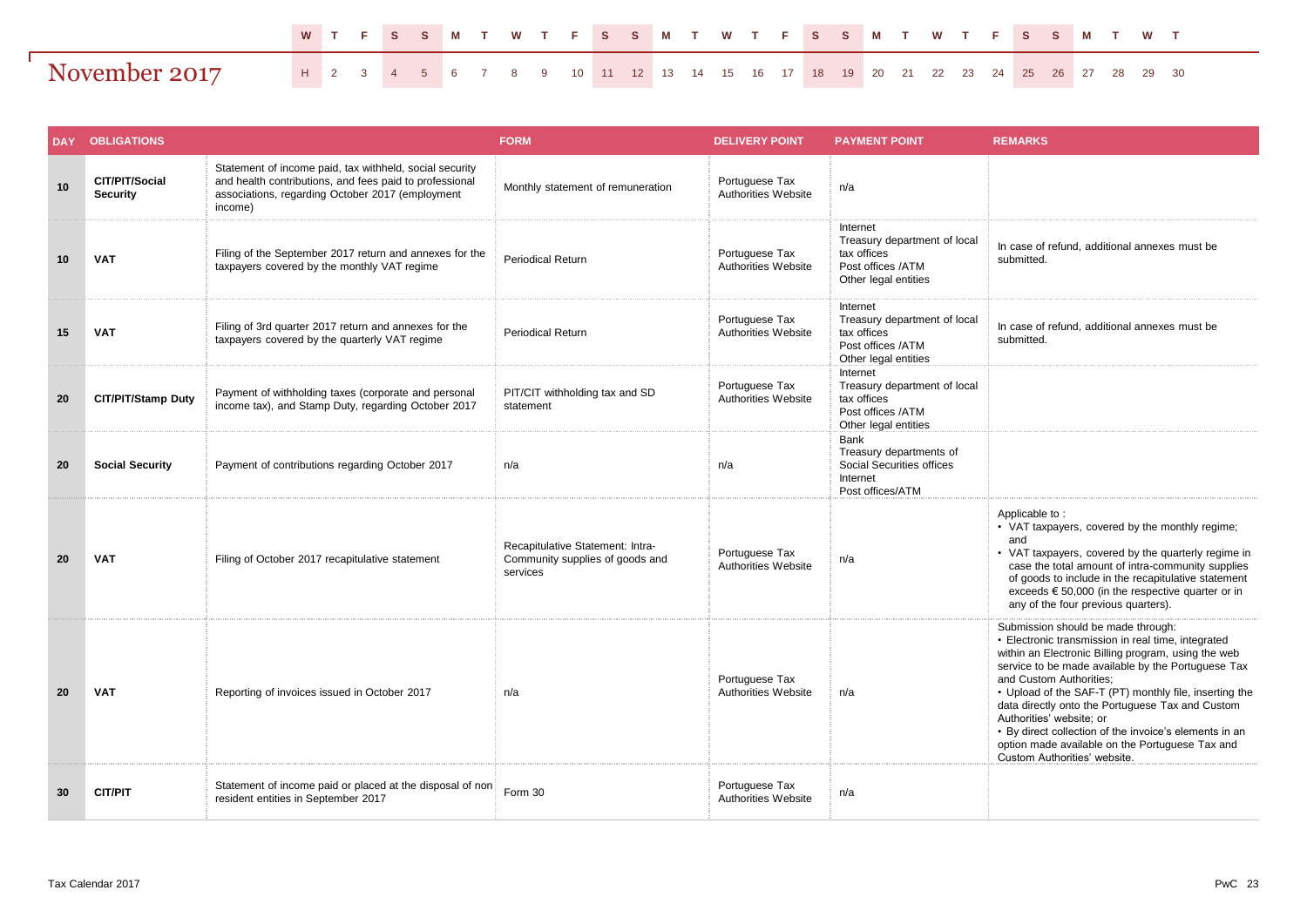|               |                                                                                  |  |  |  |  |  |  |  |  |  |  |  |  |  | W T F S S M T W T F S S M T W T F S S M T W T F S S M T W T |  |
|---------------|----------------------------------------------------------------------------------|--|--|--|--|--|--|--|--|--|--|--|--|--|-------------------------------------------------------------|--|
| November 2017 | H 2 3 4 5 6 7 8 9 10 11 12 13 14 15 16 17 18 19 20 21 22 23 24 25 26 27 28 29 30 |  |  |  |  |  |  |  |  |  |  |  |  |  |                                                             |  |

| <b>DAY</b> | <b>OBLIGATIONS</b>                |                                                                                                                                                                                   | <b>FORM</b>                                                                     | <b>DELIVERY POINT</b>                 | <b>PAYMENT POINT</b>                                                                                 | <b>REMARKS</b>                                                                                                                                                                                                                                                                                                                                                                                                                                                                                                          |
|------------|-----------------------------------|-----------------------------------------------------------------------------------------------------------------------------------------------------------------------------------|---------------------------------------------------------------------------------|---------------------------------------|------------------------------------------------------------------------------------------------------|-------------------------------------------------------------------------------------------------------------------------------------------------------------------------------------------------------------------------------------------------------------------------------------------------------------------------------------------------------------------------------------------------------------------------------------------------------------------------------------------------------------------------|
| 10         | CIT/PIT/Social<br><b>Security</b> | Statement of income paid, tax withheld, social security<br>and health contributions, and fees paid to professional<br>associations, regarding October 2017 (employment<br>income) | Monthly statement of remuneration                                               | Portuguese Tax<br>Authorities Website | n/a                                                                                                  |                                                                                                                                                                                                                                                                                                                                                                                                                                                                                                                         |
| 10         | <b>VAT</b>                        | Filing of the September 2017 return and annexes for the<br>taxpayers covered by the monthly VAT regime                                                                            | <b>Periodical Return</b>                                                        | Portuguese Tax<br>Authorities Website | Internet<br>Treasury department of local<br>tax offices<br>Post offices /ATM<br>Other legal entities | In case of refund, additional annexes must be<br>submitted.                                                                                                                                                                                                                                                                                                                                                                                                                                                             |
| 15         | <b>VAT</b>                        | Filing of 3rd quarter 2017 return and annexes for the<br>taxpayers covered by the quarterly VAT regime                                                                            | <b>Periodical Return</b>                                                        | Portuguese Tax<br>Authorities Website | Internet<br>Treasury department of local<br>tax offices<br>Post offices /ATM<br>Other legal entities | In case of refund, additional annexes must be<br>submitted.                                                                                                                                                                                                                                                                                                                                                                                                                                                             |
| 20         | <b>CIT/PIT/Stamp Duty</b>         | Payment of withholding taxes (corporate and personal<br>income tax), and Stamp Duty, regarding October 2017                                                                       | PIT/CIT withholding tax and SD<br>statement                                     | Portuguese Tax<br>Authorities Website | Internet<br>Treasury department of local<br>tax offices<br>Post offices /ATM<br>Other legal entities |                                                                                                                                                                                                                                                                                                                                                                                                                                                                                                                         |
| 20         | <b>Social Security</b>            | Payment of contributions regarding October 2017                                                                                                                                   | n/a                                                                             | n/a                                   | Bank<br>Treasury departments of<br>Social Securities offices<br>Internet<br>Post offices/ATM         |                                                                                                                                                                                                                                                                                                                                                                                                                                                                                                                         |
| 20         | <b>VAT</b>                        | Filing of October 2017 recapitulative statement                                                                                                                                   | Recapitulative Statement: Intra-<br>Community supplies of goods and<br>services | Portuguese Tax<br>Authorities Website | n/a                                                                                                  | Applicable to:<br>• VAT taxpayers, covered by the monthly regime;<br>and<br>• VAT taxpayers, covered by the quarterly regime in<br>case the total amount of intra-community supplies<br>of goods to include in the recapitulative statement<br>exceeds $\epsilon$ 50,000 (in the respective quarter or in<br>any of the four previous quarters).                                                                                                                                                                        |
| 20         | <b>VAT</b>                        | Reporting of invoices issued in October 2017                                                                                                                                      | n/a                                                                             | Portuguese Tax<br>Authorities Website | n/a                                                                                                  | Submission should be made through:<br>• Electronic transmission in real time, integrated<br>within an Electronic Billing program, using the web<br>service to be made available by the Portuguese Tax<br>and Custom Authorities;<br>• Upload of the SAF-T (PT) monthly file, inserting the<br>data directly onto the Portuguese Tax and Custom<br>Authorities' website; or<br>• By direct collection of the invoice's elements in an<br>option made available on the Portuguese Tax and<br>Custom Authorities' website. |
| 30         | <b>CIT/PIT</b>                    | Statement of income paid or placed at the disposal of non<br>resident entities in September 2017                                                                                  | Form 30                                                                         | Portuguese Tax<br>Authorities Website | n/a                                                                                                  |                                                                                                                                                                                                                                                                                                                                                                                                                                                                                                                         |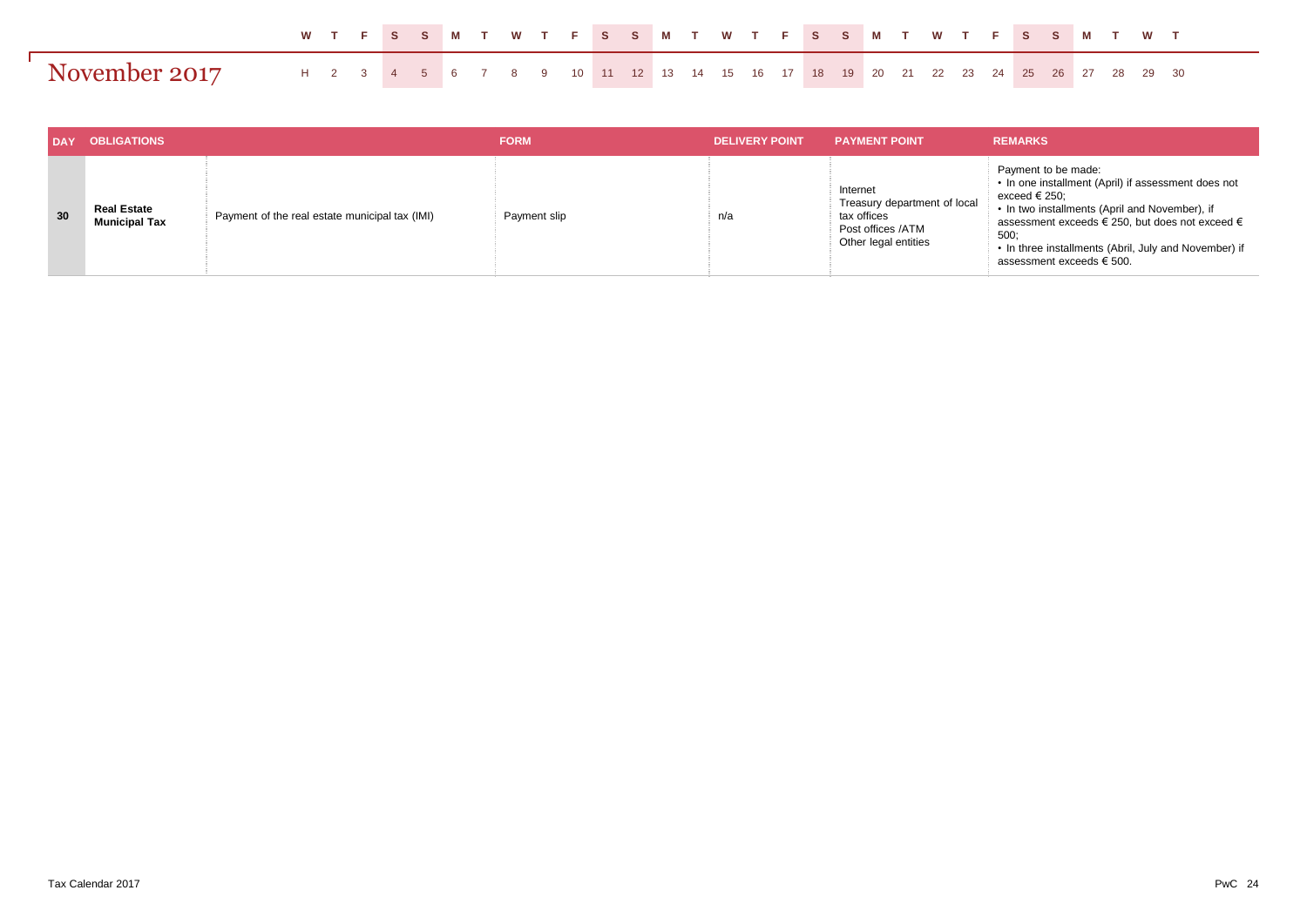|               |  | W T F S S M T W T F S S M T W T F S S M T W T F S S M T W T                      |  |  |  |  |  |  |  |  |  |  |  |  |  |  |
|---------------|--|----------------------------------------------------------------------------------|--|--|--|--|--|--|--|--|--|--|--|--|--|--|
| November 2017 |  | H 2 3 4 5 6 7 8 9 10 11 12 13 14 15 16 17 18 19 20 21 22 23 24 25 26 27 28 29 30 |  |  |  |  |  |  |  |  |  |  |  |  |  |  |

|    | <b>OBLIGATIONS</b>                         |                                                | <b>FORM</b>  | <b>DELIVERY POINT</b> | <b>PAYMENT POINT</b>                                                                                 | <b>REMARKS</b>                                                                                                                                                                                                                                                                                          |
|----|--------------------------------------------|------------------------------------------------|--------------|-----------------------|------------------------------------------------------------------------------------------------------|---------------------------------------------------------------------------------------------------------------------------------------------------------------------------------------------------------------------------------------------------------------------------------------------------------|
| 30 | <b>Real Estate</b><br><b>Municipal Tax</b> | Payment of the real estate municipal tax (IMI) | Payment slip | n/a                   | Internet<br>Treasury department of local<br>tax offices<br>Post offices /ATM<br>Other legal entities | Payment to be made:<br>• In one installment (April) if assessment does not<br>exceed € 250;<br>• In two installments (April and November), if<br>assessment exceeds € 250, but does not exceed $\epsilon$<br>500:<br>• In three installments (Abril, July and November) if<br>assessment exceeds € 500. |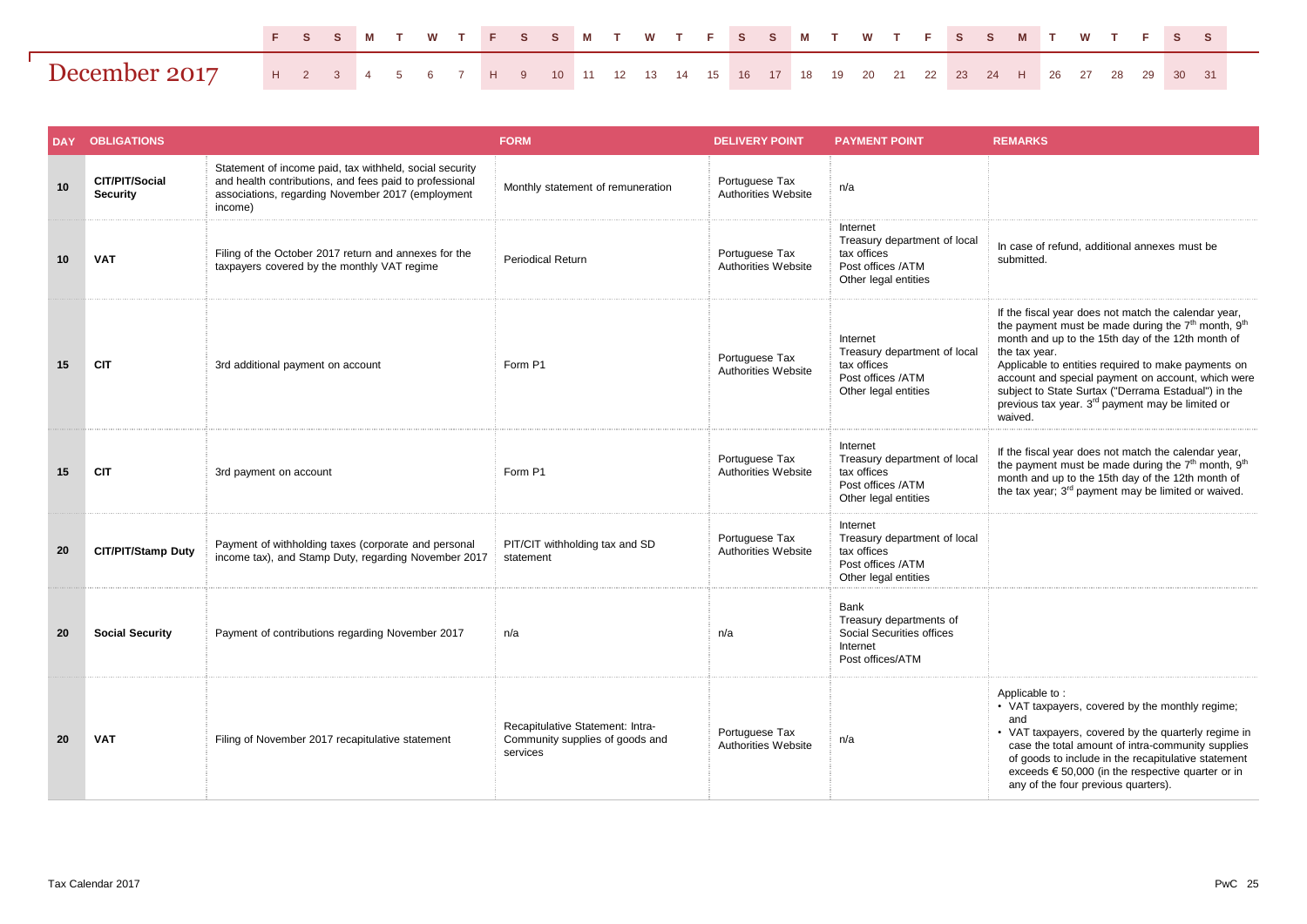|                                                                                                         |  |  |  |  |  |  |  |  |  | FSSMTWTFSSMTWTFSSMTWTFSSMTWTFSS |  |  |  |  |  |  |  |
|---------------------------------------------------------------------------------------------------------|--|--|--|--|--|--|--|--|--|---------------------------------|--|--|--|--|--|--|--|
| <b>December 2017</b> H 2 3 4 5 6 7 H 9 10 11 12 13 14 15 16 17 18 19 20 21 22 23 24 H 26 27 28 29 30 31 |  |  |  |  |  |  |  |  |  |                                 |  |  |  |  |  |  |  |

| <b>DAY</b> | <b>OBLIGATIONS</b>                |                                                                                                                                                                                    | <b>FORM</b>                                                                     | <b>DELIVERY POINT</b>                 | <b>PAYMENT POINT</b>                                                                                 | <b>REMARKS</b>                                                                                                                                                                                                                                                                                                                                                                                                                                          |
|------------|-----------------------------------|------------------------------------------------------------------------------------------------------------------------------------------------------------------------------------|---------------------------------------------------------------------------------|---------------------------------------|------------------------------------------------------------------------------------------------------|---------------------------------------------------------------------------------------------------------------------------------------------------------------------------------------------------------------------------------------------------------------------------------------------------------------------------------------------------------------------------------------------------------------------------------------------------------|
| 10         | CIT/PIT/Social<br><b>Security</b> | Statement of income paid, tax withheld, social security<br>and health contributions, and fees paid to professional<br>associations, regarding November 2017 (employment<br>income) | Monthly statement of remuneration                                               | Portuguese Tax<br>Authorities Website | n/a                                                                                                  |                                                                                                                                                                                                                                                                                                                                                                                                                                                         |
| 10         | <b>VAT</b>                        | Filing of the October 2017 return and annexes for the<br>taxpayers covered by the monthly VAT regime                                                                               | <b>Periodical Return</b>                                                        | Portuguese Tax<br>Authorities Website | Internet<br>Treasury department of local<br>tax offices<br>Post offices /ATM<br>Other legal entities | In case of refund, additional annexes must be<br>submitted.                                                                                                                                                                                                                                                                                                                                                                                             |
| 15         | <b>CIT</b>                        | 3rd additional payment on account                                                                                                                                                  | Form P1                                                                         | Portuguese Tax<br>Authorities Website | Internet<br>Treasury department of local<br>tax offices<br>Post offices /ATM<br>Other legal entities | If the fiscal year does not match the calendar year,<br>the payment must be made during the 7 <sup>th</sup> month, 9 <sup>th</sup><br>month and up to the 15th day of the 12th month of<br>the tax year.<br>Applicable to entities required to make payments on<br>account and special payment on account, which were<br>subject to State Surtax ("Derrama Estadual") in the<br>previous tax year. 3 <sup>rd</sup> payment may be limited or<br>waived. |
| 15         | <b>CIT</b>                        | 3rd payment on account                                                                                                                                                             | Form P1                                                                         | Portuguese Tax<br>Authorities Website | Internet<br>Treasury department of local<br>tax offices<br>Post offices /ATM<br>Other legal entities | If the fiscal year does not match the calendar year,<br>the payment must be made during the 7 <sup>th</sup> month, 9 <sup>th</sup><br>month and up to the 15th day of the 12th month of<br>the tax year; 3 <sup>rd</sup> payment may be limited or waived.                                                                                                                                                                                              |
| 20         | <b>CIT/PIT/Stamp Duty</b>         | Payment of withholding taxes (corporate and personal<br>income tax), and Stamp Duty, regarding November 2017                                                                       | PIT/CIT withholding tax and SD<br>statement                                     | Portuguese Tax<br>Authorities Website | Internet<br>Treasury department of local<br>tax offices<br>Post offices /ATM<br>Other legal entities |                                                                                                                                                                                                                                                                                                                                                                                                                                                         |
| 20         | <b>Social Security</b>            | Payment of contributions regarding November 2017                                                                                                                                   | n/a                                                                             | n/a                                   | Bank<br>Treasury departments of<br>Social Securities offices<br>Internet<br>Post offices/ATM         |                                                                                                                                                                                                                                                                                                                                                                                                                                                         |
| 20         | <b>VAT</b>                        | Filing of November 2017 recapitulative statement                                                                                                                                   | Recapitulative Statement: Intra-<br>Community supplies of goods and<br>services | Portuguese Tax<br>Authorities Website | n/a                                                                                                  | Applicable to:<br>• VAT taxpayers, covered by the monthly regime;<br>and<br>• VAT taxpayers, covered by the quarterly regime in<br>case the total amount of intra-community supplies<br>of goods to include in the recapitulative statement<br>exceeds $\epsilon$ 50,000 (in the respective quarter or in<br>any of the four previous quarters).                                                                                                        |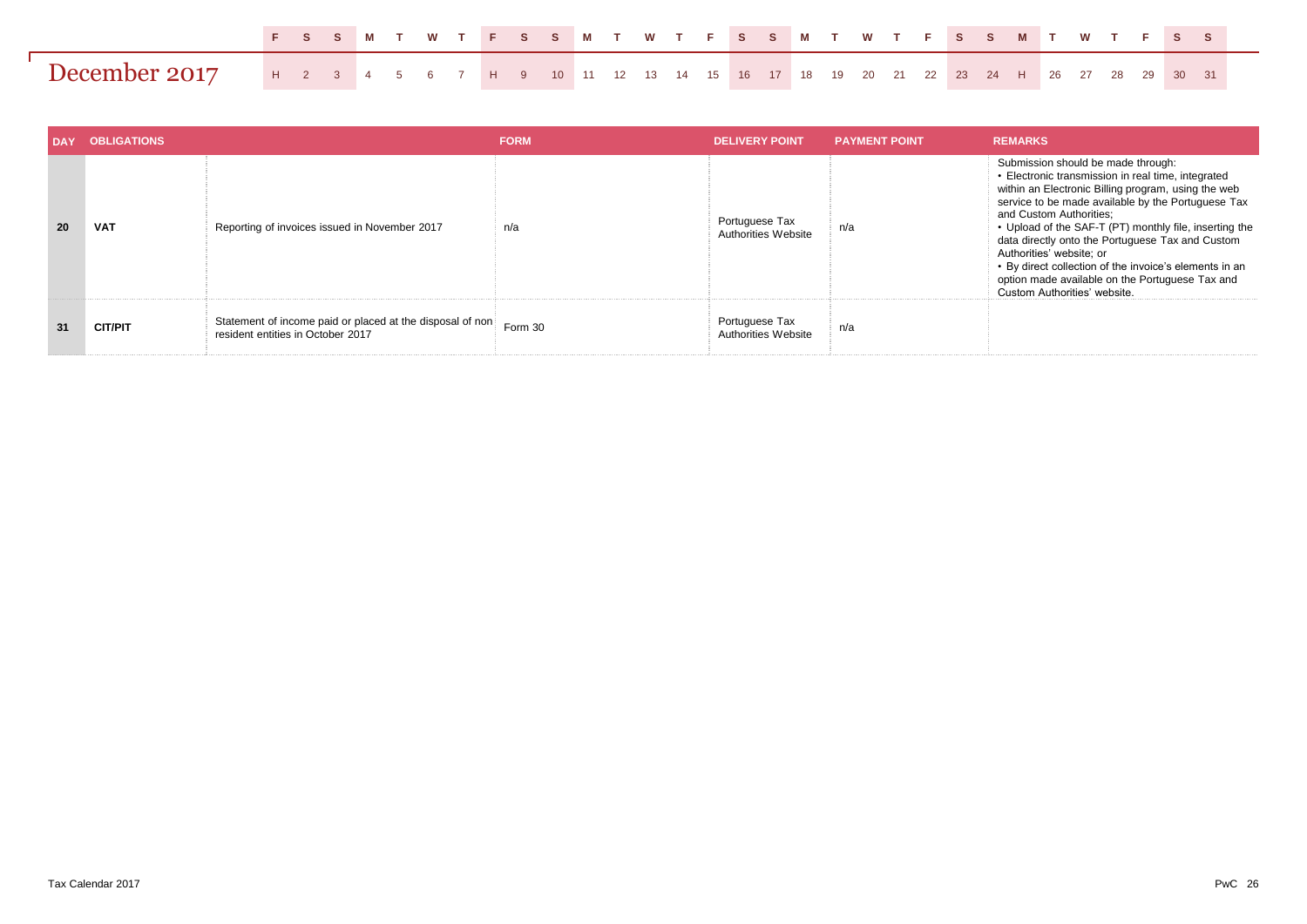|                                                                                                  |  |  |  |  | FSS M TWT FSS M TWT FSS M TWT FSS M TWT FSS |  |  |  |  |  |  |  |  |  |  |  |  |
|--------------------------------------------------------------------------------------------------|--|--|--|--|---------------------------------------------|--|--|--|--|--|--|--|--|--|--|--|--|
| December 2017 H 2 3 4 5 6 7 H 9 10 11 12 13 14 15 16 17 18 19 20 21 22 23 24 H 26 27 28 29 30 31 |  |  |  |  |                                             |  |  |  |  |  |  |  |  |  |  |  |  |

|    | <b>OBLIGATIONS</b> |                                                                                                | <b>FORM</b> | <b>DELIVERY POINT</b>                        | <b>PAYMENT POINT</b> | <b>REMARKS</b>                                                                                                                                                                                                                                                                                                                                                                                                                                                                                                          |
|----|--------------------|------------------------------------------------------------------------------------------------|-------------|----------------------------------------------|----------------------|-------------------------------------------------------------------------------------------------------------------------------------------------------------------------------------------------------------------------------------------------------------------------------------------------------------------------------------------------------------------------------------------------------------------------------------------------------------------------------------------------------------------------|
| 20 | <b>VAT</b>         | Reporting of invoices issued in November 2017                                                  | n/a         | Portuguese Tax<br>Authorities Website        | n/a                  | Submission should be made through:<br>• Electronic transmission in real time, integrated<br>within an Electronic Billing program, using the web<br>service to be made available by the Portuguese Tax<br>and Custom Authorities:<br>• Upload of the SAF-T (PT) monthly file, inserting the<br>data directly onto the Portuguese Tax and Custom<br>Authorities' website: or<br>• By direct collection of the invoice's elements in an<br>option made available on the Portuguese Tax and<br>Custom Authorities' website. |
| 31 | <b>CIT/PIT</b>     | Statement of income paid or placed at the disposal of non<br>resident entities in October 2017 | Form 30     | Portuguese Tax<br><b>Authorities Website</b> | n/a                  |                                                                                                                                                                                                                                                                                                                                                                                                                                                                                                                         |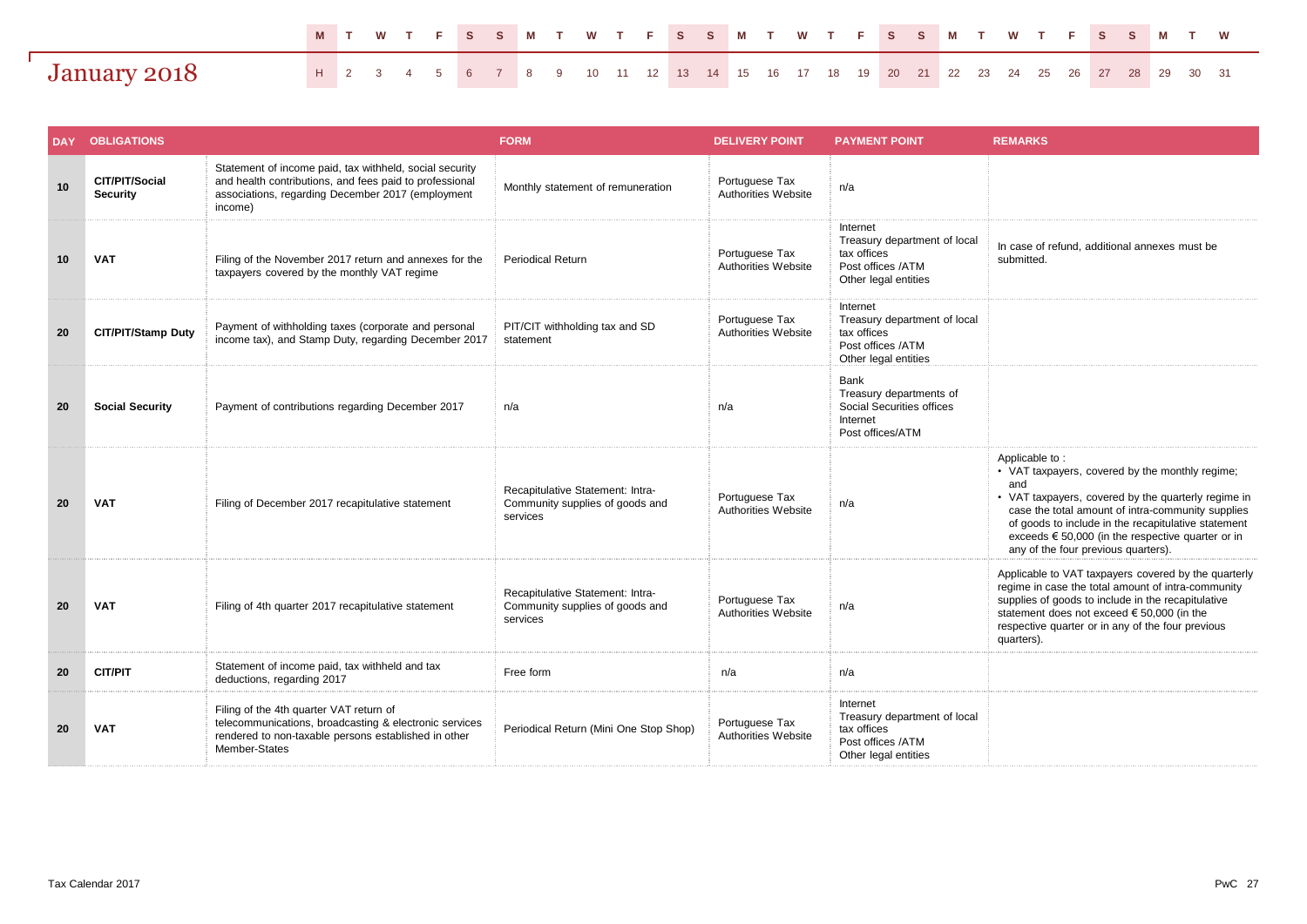|              |                                                                                     |  |  |  |  | M T W T F S S M T W T F S S M T W T F S S M T W T F S S M T W |  |  |  |  |  |  |  |  |  |  |  |
|--------------|-------------------------------------------------------------------------------------|--|--|--|--|---------------------------------------------------------------|--|--|--|--|--|--|--|--|--|--|--|
| January 2018 | H 2 3 4 5 6 7 8 9 10 11 12 13 14 15 16 17 18 19 20 21 22 23 24 25 26 27 28 29 30 31 |  |  |  |  |                                                               |  |  |  |  |  |  |  |  |  |  |  |

| <b>DAY</b> | <b>OBLIGATIONS</b>                |                                                                                                                                                                                    | <b>FORM</b>                                                                     | <b>DELIVERY POINT</b>                        | <b>PAYMENT POINT</b>                                                                                 | <b>REMARKS</b>                                                                                                                                                                                                                                                                                                                                   |
|------------|-----------------------------------|------------------------------------------------------------------------------------------------------------------------------------------------------------------------------------|---------------------------------------------------------------------------------|----------------------------------------------|------------------------------------------------------------------------------------------------------|--------------------------------------------------------------------------------------------------------------------------------------------------------------------------------------------------------------------------------------------------------------------------------------------------------------------------------------------------|
| 10         | CIT/PIT/Social<br><b>Security</b> | Statement of income paid, tax withheld, social security<br>and health contributions, and fees paid to professional<br>associations, regarding December 2017 (employment<br>income) | Monthly statement of remuneration                                               | Portuguese Tax<br><b>Authorities Website</b> | n/a                                                                                                  |                                                                                                                                                                                                                                                                                                                                                  |
| 10         | <b>VAT</b>                        | Filing of the November 2017 return and annexes for the<br>taxpayers covered by the monthly VAT regime                                                                              | <b>Periodical Return</b>                                                        | Portuguese Tax<br><b>Authorities Website</b> | Internet<br>Treasury department of local<br>tax offices<br>Post offices /ATM<br>Other legal entities | In case of refund, additional annexes must be<br>submitted.                                                                                                                                                                                                                                                                                      |
| 20         | <b>CIT/PIT/Stamp Duty</b>         | Payment of withholding taxes (corporate and personal<br>income tax), and Stamp Duty, regarding December 2017                                                                       | PIT/CIT withholding tax and SD<br>statement                                     | Portuguese Tax<br>Authorities Website        | Internet<br>Treasury department of local<br>tax offices<br>Post offices /ATM<br>Other legal entities |                                                                                                                                                                                                                                                                                                                                                  |
| 20         | <b>Social Security</b>            | Payment of contributions regarding December 2017                                                                                                                                   | n/a                                                                             | n/a                                          | Bank<br>Treasury departments of<br>Social Securities offices<br>Internet<br>Post offices/ATM         |                                                                                                                                                                                                                                                                                                                                                  |
| 20         | <b>VAT</b>                        | Filing of December 2017 recapitulative statement                                                                                                                                   | Recapitulative Statement: Intra-<br>Community supplies of goods and<br>services | Portuguese Tax<br>Authorities Website        | n/a                                                                                                  | Applicable to:<br>• VAT taxpayers, covered by the monthly regime;<br>and<br>• VAT taxpayers, covered by the quarterly regime in<br>case the total amount of intra-community supplies<br>of goods to include in the recapitulative statement<br>exceeds $\epsilon$ 50,000 (in the respective quarter or in<br>any of the four previous quarters). |
| 20         | <b>VAT</b>                        | Filing of 4th quarter 2017 recapitulative statement                                                                                                                                | Recapitulative Statement: Intra-<br>Community supplies of goods and<br>services | Portuguese Tax<br>Authorities Website        | n/a                                                                                                  | Applicable to VAT taxpayers covered by the quarterly<br>regime in case the total amount of intra-community<br>supplies of goods to include in the recapitulative<br>statement does not exceed € 50,000 (in the<br>respective quarter or in any of the four previous<br>quarters).                                                                |
| 20         | <b>CIT/PIT</b>                    | Statement of income paid, tax withheld and tax<br>deductions, regarding 2017                                                                                                       | Free form                                                                       | n/a                                          | n/a                                                                                                  |                                                                                                                                                                                                                                                                                                                                                  |
| 20         | <b>VAT</b>                        | Filing of the 4th quarter VAT return of<br>telecommunications, broadcasting & electronic services<br>rendered to non-taxable persons established in other<br>Member-States         | Periodical Return (Mini One Stop Shop)                                          | Portuguese Tax<br>Authorities Website        | Internet<br>Treasury department of local<br>tax offices<br>Post offices /ATM<br>Other legal entities |                                                                                                                                                                                                                                                                                                                                                  |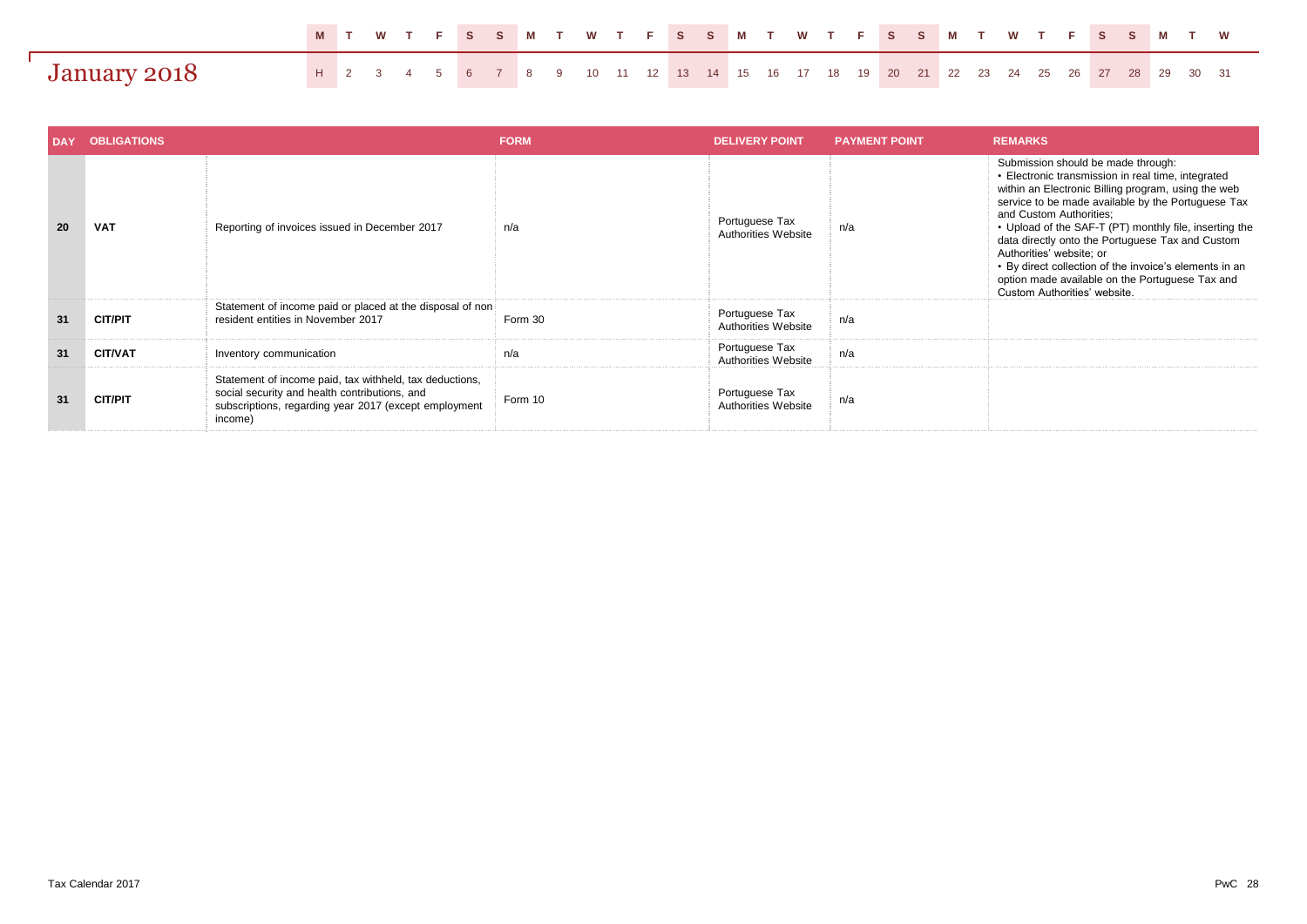|              |                                                                                     |  |  |  |  | MTWTFSSMTWTFSSMTWTFSSMTWTFSSMTW |  |  |  |  |  |  |  |  |  |  |  |
|--------------|-------------------------------------------------------------------------------------|--|--|--|--|---------------------------------|--|--|--|--|--|--|--|--|--|--|--|
| January 2018 | H 2 3 4 5 6 7 8 9 10 11 12 13 14 15 16 17 18 19 20 21 22 23 24 25 26 27 28 29 30 31 |  |  |  |  |                                 |  |  |  |  |  |  |  |  |  |  |  |

|    | <b>OBLIGATIONS</b> |                                                                                                                                                                              | <b>FORM</b> | <b>DELIVERY POINT</b>                 | <b>PAYMENT POINT</b> | <b>REMARKS</b>                                                                                                                                                                                                                                                                                                                                                                                                                                                                                                          |  |  |  |  |  |  |
|----|--------------------|------------------------------------------------------------------------------------------------------------------------------------------------------------------------------|-------------|---------------------------------------|----------------------|-------------------------------------------------------------------------------------------------------------------------------------------------------------------------------------------------------------------------------------------------------------------------------------------------------------------------------------------------------------------------------------------------------------------------------------------------------------------------------------------------------------------------|--|--|--|--|--|--|
| 20 | <b>VAT</b>         | Reporting of invoices issued in December 2017                                                                                                                                | n/a         | Portuguese Tax<br>Authorities Website | n/a                  | Submission should be made through:<br>• Electronic transmission in real time, integrated<br>within an Electronic Billing program, using the web<br>service to be made available by the Portuguese Tax<br>and Custom Authorities:<br>• Upload of the SAF-T (PT) monthly file, inserting the<br>data directly onto the Portuguese Tax and Custom<br>Authorities' website: or<br>• By direct collection of the invoice's elements in an<br>option made available on the Portuguese Tax and<br>Custom Authorities' website. |  |  |  |  |  |  |
| 31 | <b>CIT/PIT</b>     | Statement of income paid or placed at the disposal of non<br>resident entities in November 2017                                                                              | Form 30     | Portuguese Tax<br>Authorities Website | n/a                  |                                                                                                                                                                                                                                                                                                                                                                                                                                                                                                                         |  |  |  |  |  |  |
| 31 | <b>CIT/VAT</b>     | Inventory communication                                                                                                                                                      | n/a         | Portuguese Tax<br>Authorities Website | n/a                  |                                                                                                                                                                                                                                                                                                                                                                                                                                                                                                                         |  |  |  |  |  |  |
| 31 | <b>CIT/PIT</b>     | Statement of income paid, tax withheld, tax deductions,<br>social security and health contributions, and<br>subscriptions, regarding year 2017 (except employment<br>income) | Form 10     | Portuguese Tax<br>Authorities Website | n/a                  |                                                                                                                                                                                                                                                                                                                                                                                                                                                                                                                         |  |  |  |  |  |  |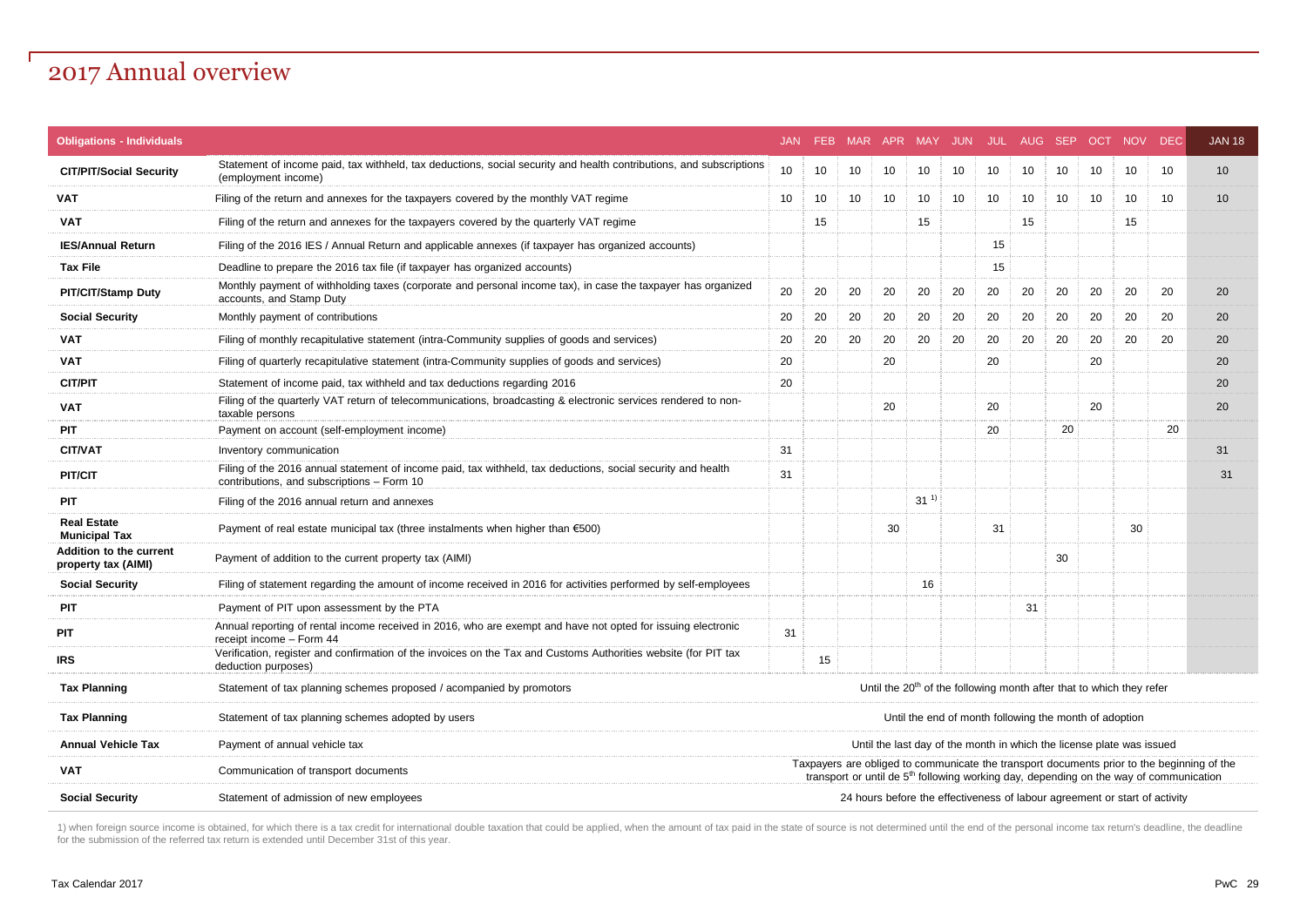## 2017 Annual overview

| <b>Obligations - Individuals</b>                      |                                                                                                                                                                                                                                | <b>JAN</b> |    | FEB MAR APR MAY JUN JUL AUG SEP                                                  |    |          |    |    |    |    |    | OCT NOV | <b>DEC</b>                                                                 | <b>JAN 18</b> |  |  |
|-------------------------------------------------------|--------------------------------------------------------------------------------------------------------------------------------------------------------------------------------------------------------------------------------|------------|----|----------------------------------------------------------------------------------|----|----------|----|----|----|----|----|---------|----------------------------------------------------------------------------|---------------|--|--|
| <b>CIT/PIT/Social Security</b>                        | Statement of income paid, tax withheld, tax deductions, social security and health contributions, and subscriptions<br>(employment income)                                                                                     |            | 10 | 10                                                                               | 10 | 10       | 10 | 10 | 10 | 10 | 10 | 10      | 10                                                                         | 10            |  |  |
| <b>VAT</b>                                            | Filing of the return and annexes for the taxpayers covered by the monthly VAT regime                                                                                                                                           | 10         | 10 | 10                                                                               | 10 | 10       | 10 | 10 | 10 | 10 | 10 | 10      | 10                                                                         | 10            |  |  |
| <b>VAT</b>                                            | Filing of the return and annexes for the taxpayers covered by the quarterly VAT regime                                                                                                                                         |            | 15 |                                                                                  |    | 15       |    |    | 15 |    |    | 15      |                                                                            |               |  |  |
| <b>IES/Annual Return</b>                              | Filing of the 2016 IES / Annual Return and applicable annexes (if taxpayer has organized accounts)                                                                                                                             |            |    |                                                                                  |    |          |    | 15 |    |    |    |         |                                                                            |               |  |  |
| <b>Tax File</b>                                       | Deadline to prepare the 2016 tax file (if taxpayer has organized accounts)                                                                                                                                                     |            |    |                                                                                  |    |          |    | 15 |    |    |    |         |                                                                            |               |  |  |
| <b>PIT/CIT/Stamp Duty</b>                             | Monthly payment of withholding taxes (corporate and personal income tax), in case the taxpayer has organized<br>accounts, and Stamp Duty                                                                                       | 20         | 20 | 20                                                                               | 20 | 20       | 20 | 20 | 20 | 20 | 20 | 20      | 20                                                                         | 20            |  |  |
| <b>Social Security</b>                                | Monthly payment of contributions                                                                                                                                                                                               | 20         | 20 | 20                                                                               | 20 | 20       | 20 | 20 | 20 | 20 | 20 | 20      | 20                                                                         | 20            |  |  |
| <b>VAT</b>                                            | Filing of monthly recapitulative statement (intra-Community supplies of goods and services)                                                                                                                                    | 20         | 20 | 20                                                                               | 20 | 20       | 20 | 20 | 20 | 20 | 20 | 20      | 20                                                                         | 20            |  |  |
| <b>VAT</b>                                            | Filing of quarterly recapitulative statement (intra-Community supplies of goods and services)                                                                                                                                  | 20         |    |                                                                                  | 20 |          |    | 20 |    |    | 20 |         |                                                                            | 20            |  |  |
| <b>CIT/PIT</b>                                        | Statement of income paid, tax withheld and tax deductions regarding 2016                                                                                                                                                       | 20         |    |                                                                                  |    |          |    |    |    |    |    |         |                                                                            | 20            |  |  |
| <b>VAT</b>                                            | Filing of the quarterly VAT return of telecommunications, broadcasting & electronic services rendered to non-<br>taxable persons                                                                                               |            |    |                                                                                  | 20 |          |    | 20 |    |    | 20 |         |                                                                            | 20            |  |  |
| <b>PIT</b>                                            | Payment on account (self-employment income)                                                                                                                                                                                    |            |    |                                                                                  |    |          |    | 20 |    | 20 |    |         | 20                                                                         |               |  |  |
| <b>CIT/VAT</b>                                        | Inventory communication                                                                                                                                                                                                        | 31         |    |                                                                                  |    |          |    |    |    |    |    |         |                                                                            | 31            |  |  |
| <b>PIT/CIT</b>                                        | Filing of the 2016 annual statement of income paid, tax withheld, tax deductions, social security and health<br>contributions, and subscriptions - Form 10                                                                     | 31         |    |                                                                                  |    |          |    |    |    |    |    |         |                                                                            | 31            |  |  |
| PIT                                                   | Filing of the 2016 annual return and annexes                                                                                                                                                                                   |            |    |                                                                                  |    | $31^{1}$ |    |    |    |    |    |         |                                                                            |               |  |  |
| <b>Real Estate</b><br><b>Municipal Tax</b>            | Payment of real estate municipal tax (three instalments when higher than $€500$ )                                                                                                                                              |            |    |                                                                                  | 30 |          |    | 31 |    |    |    | 30      |                                                                            |               |  |  |
| <b>Addition to the current</b><br>property tax (AIMI) | Payment of addition to the current property tax (AIMI)                                                                                                                                                                         |            |    |                                                                                  |    |          |    |    |    | 30 |    |         |                                                                            |               |  |  |
| <b>Social Security</b>                                | Filing of statement regarding the amount of income received in 2016 for activities performed by self-employees                                                                                                                 |            |    |                                                                                  |    | 16       |    |    |    |    |    |         |                                                                            |               |  |  |
| PIT                                                   | Payment of PIT upon assessment by the PTA                                                                                                                                                                                      |            |    |                                                                                  |    |          |    |    | 31 |    |    |         |                                                                            |               |  |  |
| <b>PIT</b>                                            | Annual reporting of rental income received in 2016, who are exempt and have not opted for issuing electronic<br>receipt income - Form 44                                                                                       | 31         |    |                                                                                  |    |          |    |    |    |    |    |         |                                                                            |               |  |  |
| <b>IRS</b>                                            | Verification, register and confirmation of the invoices on the Tax and Customs Authorities website (for PIT tax<br>deduction purposes)                                                                                         |            | 15 |                                                                                  |    |          |    |    |    |    |    |         |                                                                            |               |  |  |
| <b>Tax Planning</b>                                   | Statement of tax planning schemes proposed / acompanied by promotors                                                                                                                                                           |            |    | Until the 20 <sup>th</sup> of the following month after that to which they refer |    |          |    |    |    |    |    |         |                                                                            |               |  |  |
| <b>Tax Planning</b>                                   | Statement of tax planning schemes adopted by users                                                                                                                                                                             |            |    | Until the end of month following the month of adoption                           |    |          |    |    |    |    |    |         |                                                                            |               |  |  |
| <b>Annual Vehicle Tax</b>                             | Payment of annual vehicle tax                                                                                                                                                                                                  |            |    | Until the last day of the month in which the license plate was issued            |    |          |    |    |    |    |    |         |                                                                            |               |  |  |
| <b>VAT</b>                                            | Taxpayers are obliged to communicate the transport documents prior to the beginning of the<br>Communication of transport documents<br>transport or until de $5th$ following working day, depending on the way of communication |            |    |                                                                                  |    |          |    |    |    |    |    |         |                                                                            |               |  |  |
| <b>Social Security</b>                                | Statement of admission of new employees                                                                                                                                                                                        |            |    |                                                                                  |    |          |    |    |    |    |    |         | 24 hours before the effectiveness of labour agreement or start of activity |               |  |  |

1) when foreign source income is obtained, for which there is a tax credit for international double taxation that could be applied, when the amount of tax paid in the state of source is not determined until the end of the